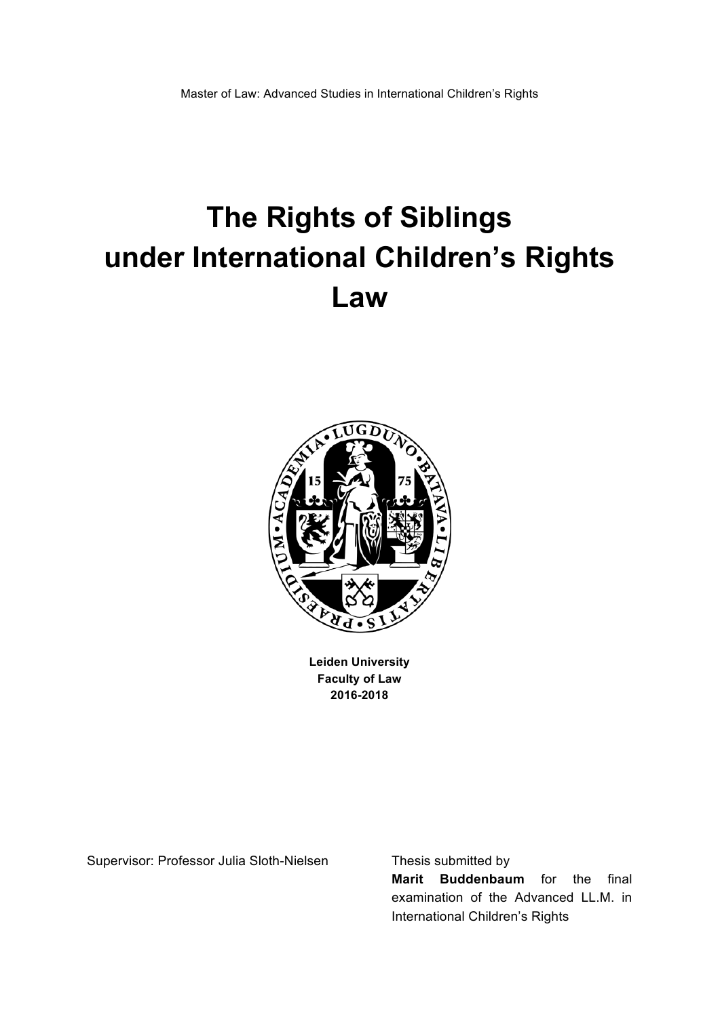# **The Rights of Siblings under International Children's Rights Law\$**



**Leiden University Faculty of Law 2016B2018**

Supervisor: Professor Julia Sloth-Nielsen Thesis submitted by

**Marit Buddenbaum** for the final examination of the Advanced LL.M. in International Children's Rights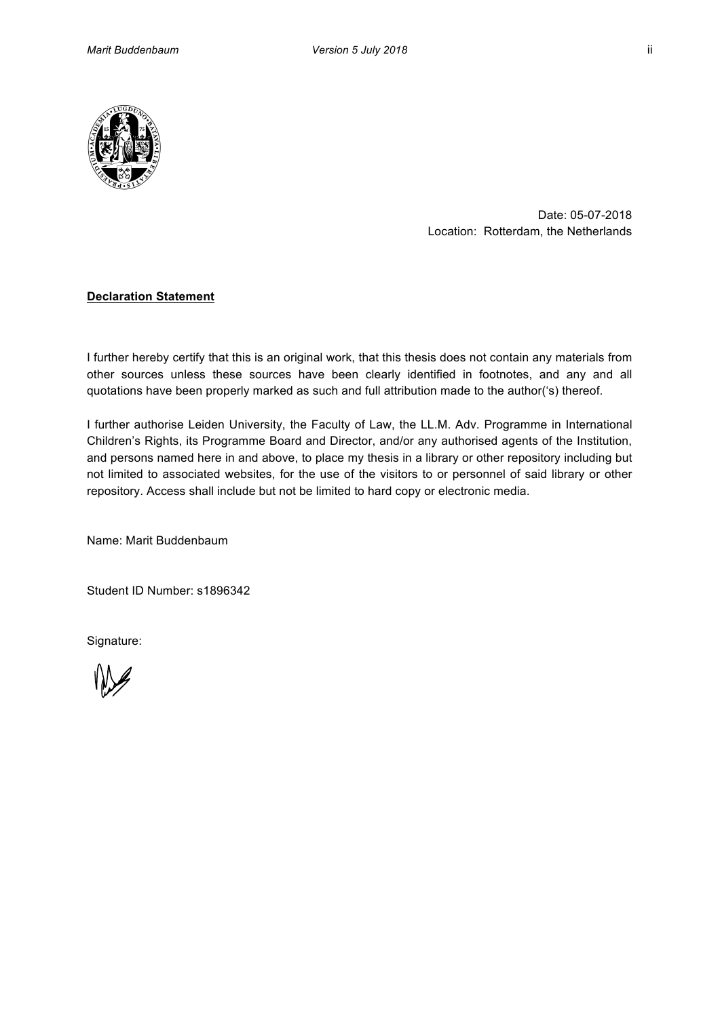

Date: 05-07-2018 Location: Rotterdam, the Netherlands

# **Declaration Statement**

I further hereby certify that this is an original work, that this thesis does not contain any materials from other sources unless these sources have been clearly identified in footnotes, and any and all quotations have been properly marked as such and full attribution made to the author('s) thereof.

I further authorise Leiden University, the Faculty of Law, the LL.M. Adv. Programme in International Children's Rights, its Programme Board and Director, and/or any authorised agents of the Institution, and persons named here in and above, to place my thesis in a library or other repository including but not limited to associated websites, for the use of the visitors to or personnel of said library or other repository. Access shall include but not be limited to hard copy or electronic media.

Name: Marit Buddenbaum

Student ID Number: s1896342

Signature: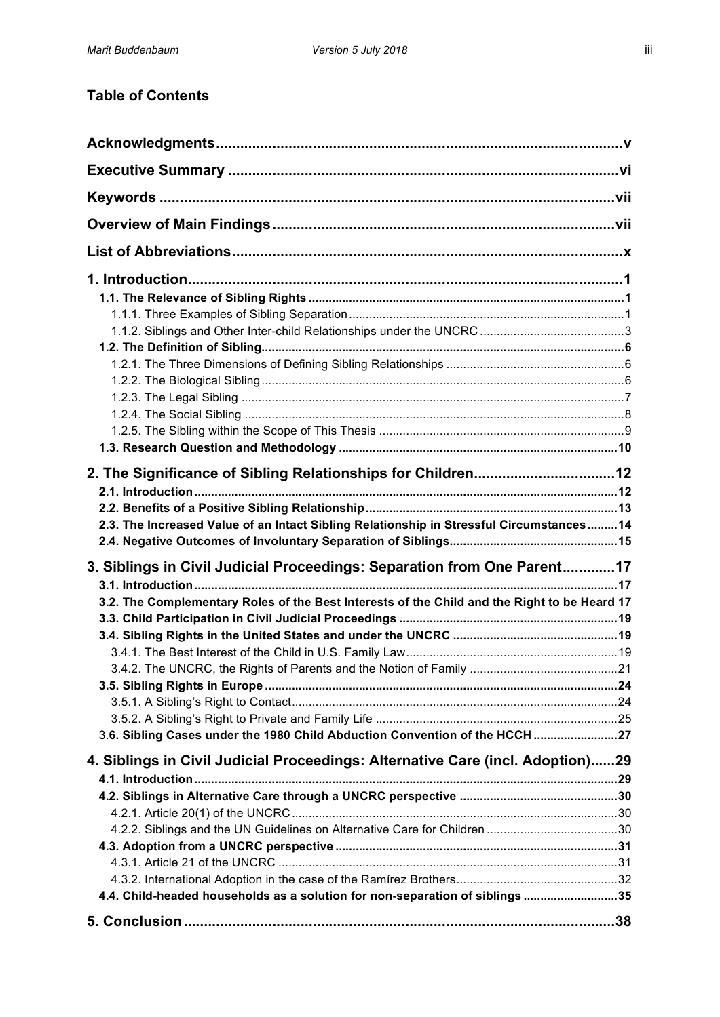# **Table of Contents**

| 2.3. The Increased Value of an Intact Sibling Relationship in Stressful Circumstances 14                                                                                                                                                               |  |
|--------------------------------------------------------------------------------------------------------------------------------------------------------------------------------------------------------------------------------------------------------|--|
| 3. Siblings in Civil Judicial Proceedings: Separation from One Parent17<br>3.2. The Complementary Roles of the Best Interests of the Child and the Right to be Heard 17<br>3.6. Sibling Cases under the 1980 Child Abduction Convention of the HCCH 27 |  |
| 4. Siblings in Civil Judicial Proceedings: Alternative Care (incl. Adoption)29                                                                                                                                                                         |  |
| 4.4. Child-headed households as a solution for non-separation of siblings 35                                                                                                                                                                           |  |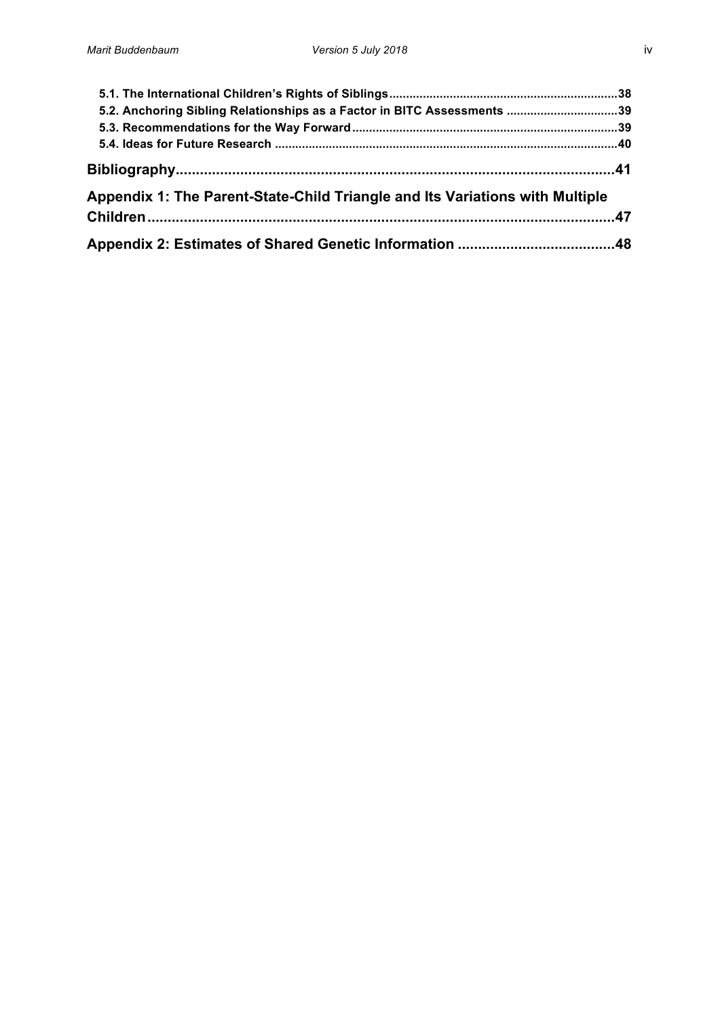| 5.2. Anchoring Sibling Relationships as a Factor in BITC Assessments 39      |  |
|------------------------------------------------------------------------------|--|
|                                                                              |  |
|                                                                              |  |
|                                                                              |  |
| Appendix 1: The Parent-State-Child Triangle and Its Variations with Multiple |  |
|                                                                              |  |
|                                                                              |  |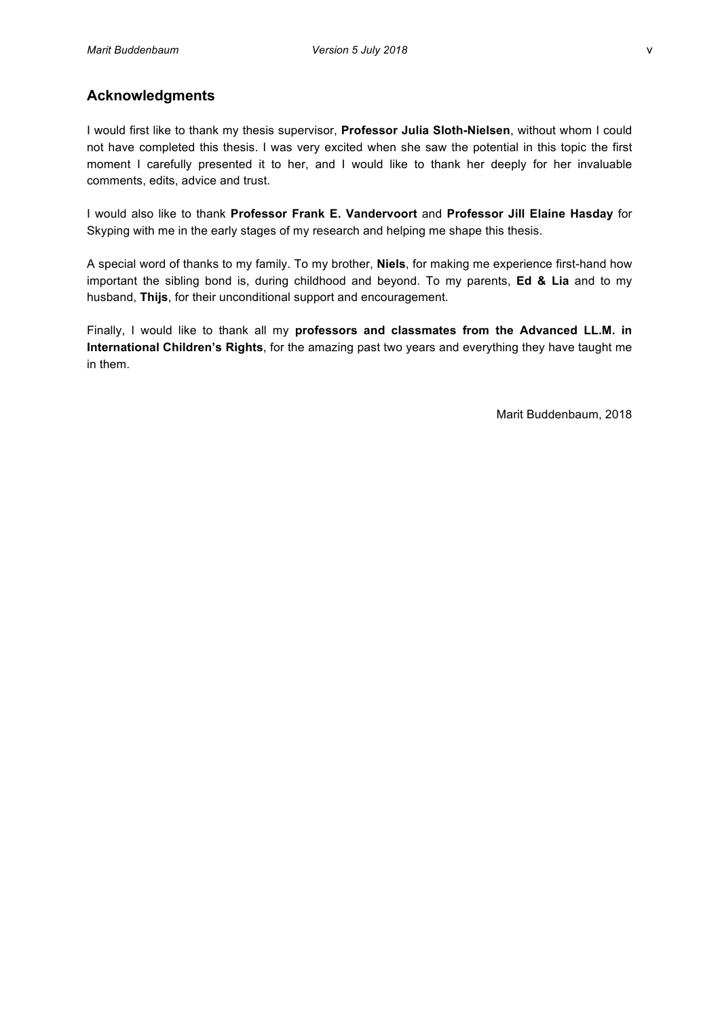# **Acknowledgments**

I would first like to thank my thesis supervisor, Professor Julia Sloth-Nielsen, without whom I could not have completed this thesis. I was very excited when she saw the potential in this topic the first moment I carefully presented it to her, and I would like to thank her deeply for her invaluable comments, edits, advice and trust.

I would also like to thank Professor Frank E. Vandervoort and Professor Jill Elaine Hasday for Skyping with me in the early stages of my research and helping me shape this thesis.

A special word of thanks to my family. To my brother, **Niels**, for making me experience first-hand how important' the sibling bond is, during childhood and beyond. To my parents, **Ed & Lia** and to my husband, Thijs, for their unconditional support and encouragement.

Finally, I would like to thank all my professors and classmates from the Advanced LL.M. in International Children's Rights, for the amazing past two years and everything they have taught me in them.

Marit Buddenbaum, 2018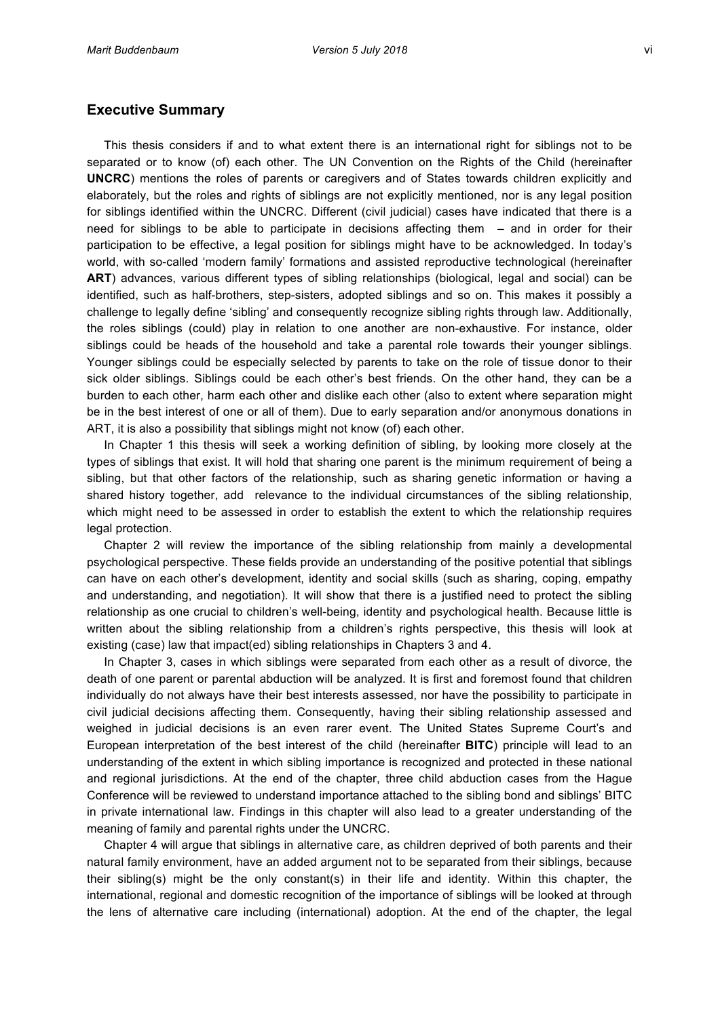## **Executive Summary**

This thesis considers if and to what extent there is an international right for siblings not to be separated or to know (of) each other. The UN Convention on the Rights of the Child (hereinafter **UNCRC**) mentions the roles of parents or caregivers and of States towards children explicitly and elaborately, but the roles and rights of siblings are not explicitly mentioned, nor is any legal position for siblings identified within the UNCRC. Different (civil judicial) cases have indicated that there is a need for siblings to be able to participate in decisions affecting them  $-$  and in order for their participation to be effective, a legal position for siblings might have to be acknowledged. In today's world, with so-called 'modern family' formations and assisted reproductive technological (hereinafter ART) advances, various different types of sibling relationships (biological, legal and social) can be identified, such as half-brothers, step-sisters, adopted siblings and so on. This makes it possibly a challenge to legally define 'sibling' and consequently recognize sibling rights through law. Additionally, the roles siblings (could) play in relation to one another are non-exhaustive. For instance, older siblings could be heads of the household and take a parental role towards their younger siblings. Younger siblings could be especially selected by parents to take on the role of tissue donor to their sick older siblings. Siblings could be each other's best friends. On the other hand, they can be a burden to each other, harm each other and dislike each other (also to extent where separation might be in the best interest of one or all of them). Due to early separation and/or anonymous donations in ART, it is also a possibility that siblings might not know (of) each other.

In' Chapter 1' this thesis will seek a working definition of sibling, by looking more closely at the types of siblings that exist. It will hold that sharing one parent is the minimum requirement of being a sibling, but that other factors of the relationship, such as sharing genetic information or having a shared history together, add relevance to the individual circumstances of the sibling relationship, which might need to be assessed in order to establish the extent to which the relationship requires legal protection.

Chapter 2 will review the importance of the sibling relationship from mainly a developmental psychological perspective. These fields provide an understanding of the positive potential that siblings can' have on each other's development, identity and social skills (such as sharing, coping, empathy and understanding, and negotiation). It will show that there is a justified need to protect the sibling relationship as one crucial to children's well-being, identity and psychological health. Because little is written about the sibling relationship from a children's rights perspective, this thesis will look at existing (case) law that impact(ed) sibling relationships in Chapters 3 and 4.

In Chapter 3, cases in which siblings were separated from each other as a result of divorce, the death of one parent or parental abduction will be analyzed. It is first and foremost found that children individually do not always have their best interests assessed, nor have the possibility to participate in civil judicial decisions affecting them. Consequently, having their sibling relationship assessed and weighed in judicial decisions is an even rarer event. The United States Supreme Court's and European interpretation of the best interest of the child (hereinafter **BITC**) principle will lead to an understanding of the extent in which sibling importance is recognized and protected in these national and regional jurisdictions. At the end of the chapter, three child abduction cases from the Hague Conference will be reviewed to understand importance attached to the sibling bond and siblings' BITC in private international law. Findings in this chapter will also lead to a greater understanding of the meaning of family and parental rights under the UNCRC.

Chapter 4 will argue that siblings in alternative care, as children deprived of both parents and their natural family environment, have an added argument not to be separated from their siblings, because their sibling(s) might be the only constant(s) in their life and identity. Within this chapter, the international, regional and domestic recognition of the importance of siblings will be looked at through the lens of alternative care including (international) adoption. At the end of the chapter, the legal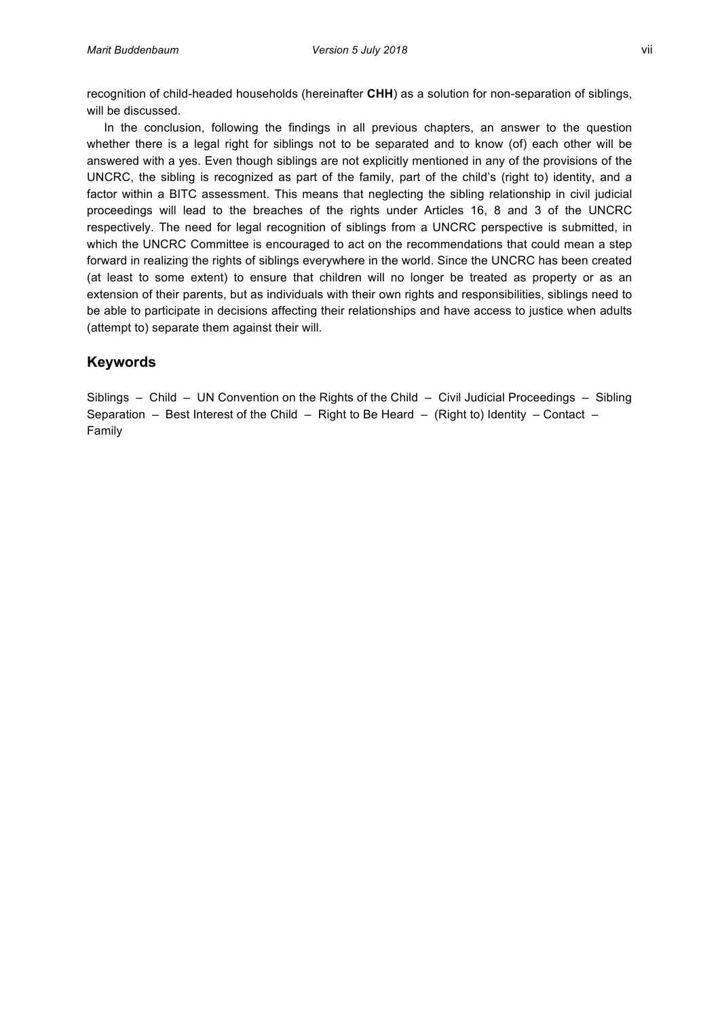recognition of child-headed households (hereinafter **CHH**) as a solution for non-separation of siblings, will be discussed.

In the conclusion, following the findings in all previous chapters, an answer to the question whether there is a legal right for siblings not to be separated and to know (of) each other will be answered with a yes. Even though siblings are not explicitly mentioned in any of the provisions of the UNCRC, the sibling is recognized as part of the family, part of the child's (right to) identity, and a factor within a BITC assessment. This means that neglecting the sibling relationship in civil judicial proceedings will lead to the breaches of the rights under Articles 16, 8 and 3 of the UNCRC respectively. The need for legal recognition of siblings from a UNCRC perspective is submitted, in which the UNCRC Committee is encouraged to act on the recommendations that could mean a step forward in realizing the rights of siblings everywhere in the world. Since the UNCRC has been created (at least to some extent) to ensure that children will no longer be treated as property or as an extension of their parents, but as individuals with their own rights and responsibilities, siblings need to be able to participate in decisions affecting their relationships and have access to justice when adults (attempt to) separate them against their will.

# **Keywords**

Siblings' – Child' – UN Convention on the Rights of the Child – Civil Judicial Proceedings – Sibling Separation''-'' Best Interest of the Child''-' Right to Be Heard''-' (Right to) Identity''- Contact''-Family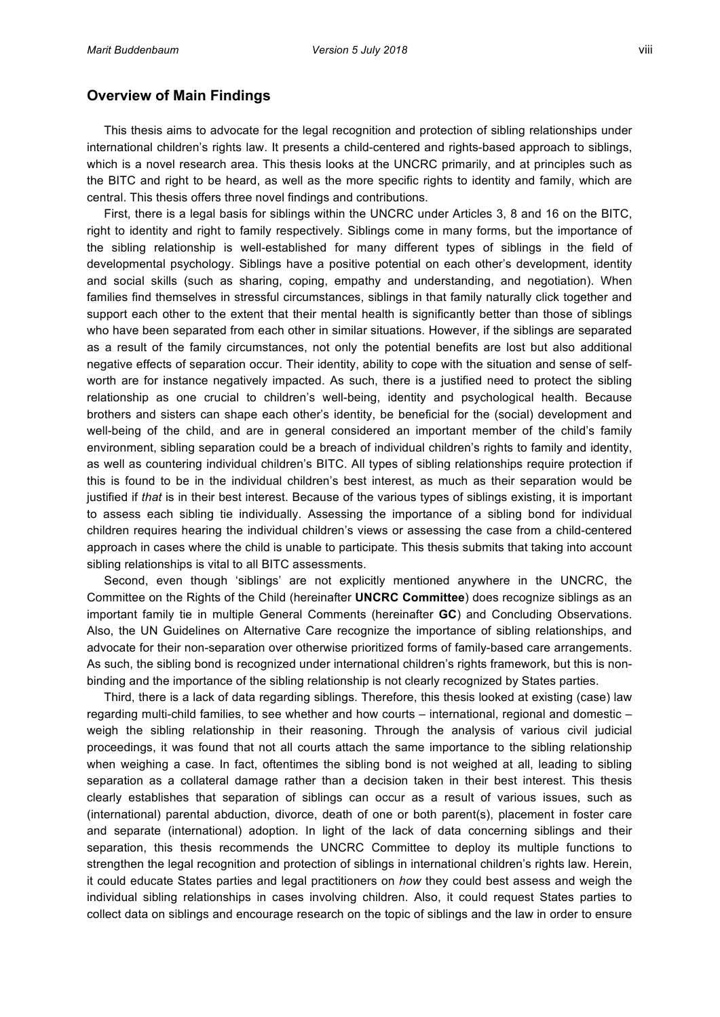# **Overview of Main Findings**

This thesis aims to advocate for the legal recognition and protection of sibling relationships under international children's rights law. It presents a child-centered and rights-based approach to siblings, which is a novel research area. This thesis looks at the UNCRC primarily, and at principles such as the BITC and right to be heard, as well as the more specific rights to identity and family, which are central. This thesis offers three novel findings and contributions.

First, there is a legal basis for siblings within the UNCRC under Articles 3, 8 and 16 on the BITC, right to identity and right to family respectively. Siblings come in many forms, but the importance of the sibling relationship is well-established for many different types of siblings in the field of developmental psychology. Siblings have a positive potential on each other's development, identity and social skills (such as sharing, coping, empathy and understanding, and negotiation). When families find themselves in stressful circumstances, siblings in that family naturally click together and support each other to the extent that their mental health is significantly better than those of siblings who have been separated from each other in similar situations. However, if the siblings are separated as a result of the family circumstances, not only the potential benefits are lost but also additional negative effects of separation occur. Their identity, ability to cope with the situation and sense of selfworth are for instance negatively impacted. As such, there is a justified need to protect the sibling relationship as one crucial to children's well-being, identity and psychological health. Because brothers' and sisters' can shape each other's identity, be beneficial for the (social) development and well-being of the child, and are in general considered an important member of the child's family environment, sibling separation could be a breach of individual children's rights to family and identity, as well as countering individual children's BITC. All types of sibling relationships require protection if this is found to be in the individual children's best interest, as much as their separation would be justified if *that* is in their best interest. Because of the various types of siblings existing, it is important to assess each sibling tie individually. Assessing the importance of a sibling bond for individual children requires hearing the individual children's views or assessing the case from a child-centered approach in cases where the child is unable to participate. This thesis submits that taking into account sibling relationships is vital to all BITC assessments.

Second, even though 'siblings' are not explicitly mentioned anywhere in the UNCRC, the Committee on the Rights of the Child (hereinafter **UNCRC Committee**) does recognize siblings as an important family tie in multiple General Comments (hereinafter GC) and Concluding Observations. Also, the UN Guidelines on Alternative Care recognize the importance of sibling relationships, and advocate for their non-separation over otherwise prioritized forms of family-based care arrangements. As such, the sibling bond is recognized under international children's rights framework, but this is nonbinding and the importance of the sibling relationship is not clearly recognized by States parties.

Third, there is a lack of data regarding siblings. Therefore, this thesis looked at existing (case) law regarding multi-child families, to see whether and how courts – international, regional and domestic – weigh the sibling relationship in their reasoning. Through the analysis of various civil judicial proceedings, it was found that not all courts attach the same importance to the sibling relationship when weighing a case. In fact, oftentimes the sibling bond is not weighed at all, leading to sibling separation as a collateral damage rather than a decision taken in their best interest. This thesis clearly establishes that separation of siblings can occur as a result of various issues, such as (international) parental abduction, divorce, death of one or both parent(s), placement in foster care and separate (international) adoption. In light of the lack of data concerning siblings and their separation, this thesis recommends the UNCRC Committee to deploy its multiple functions to strengthen the legal recognition and protection of siblings in international children's rights law. Herein, it could educate States parties and legal practitioners on *how* they could best assess and weigh the individual sibling relationships in cases involving children. Also, it could request States parties to collect data on siblings and encourage research on the topic of siblings and the law in order to ensure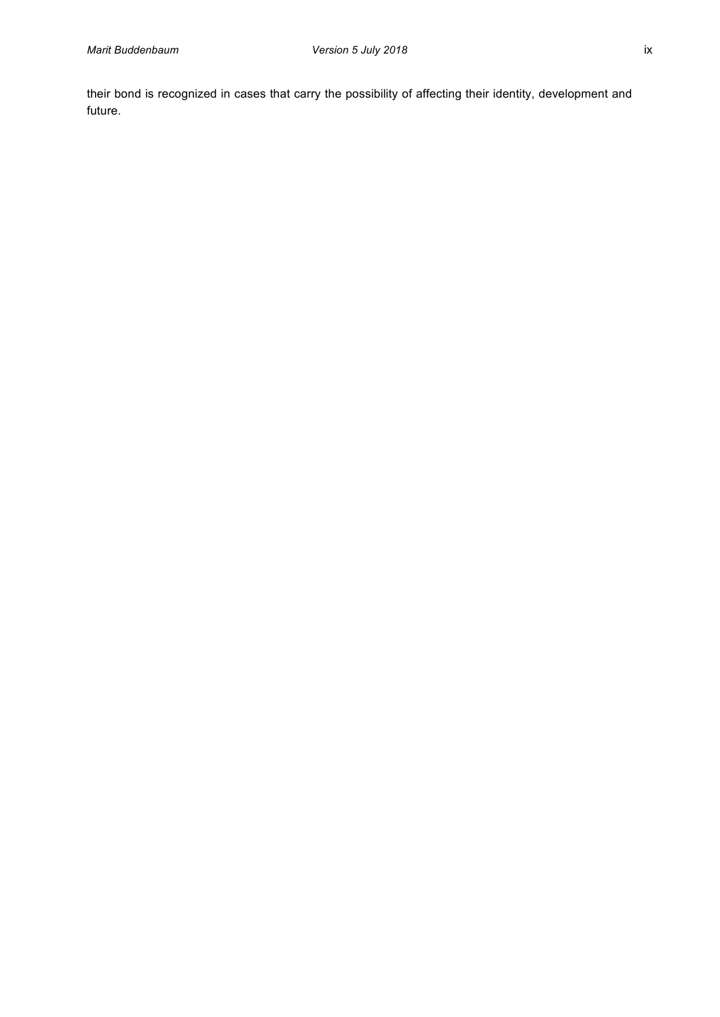their bond is recognized in cases that carry the possibility of affecting their identity, development and future.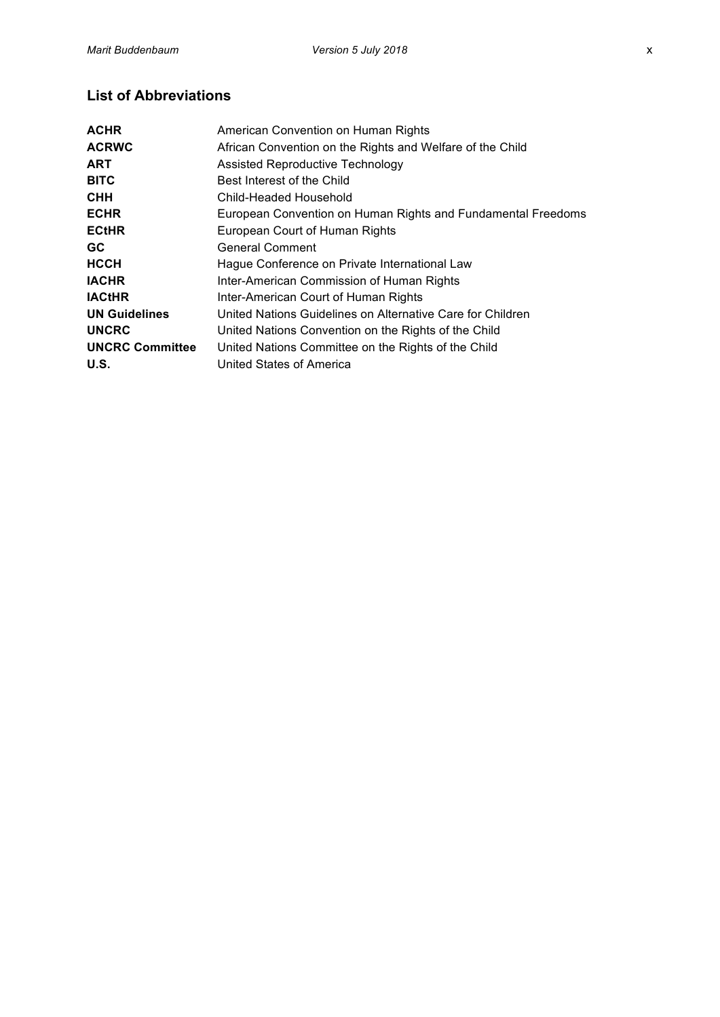# **List of Abbreviations**

| <b>ACHR</b>            | American Convention on Human Rights                          |  |  |  |
|------------------------|--------------------------------------------------------------|--|--|--|
| <b>ACRWC</b>           | African Convention on the Rights and Welfare of the Child    |  |  |  |
| <b>ART</b>             | <b>Assisted Reproductive Technology</b>                      |  |  |  |
| <b>BITC</b>            | Best Interest of the Child                                   |  |  |  |
| <b>CHH</b>             | Child-Headed Household                                       |  |  |  |
| <b>ECHR</b>            | European Convention on Human Rights and Fundamental Freedoms |  |  |  |
| <b>ECtHR</b>           | European Court of Human Rights                               |  |  |  |
| GC.                    | <b>General Comment</b>                                       |  |  |  |
| <b>HCCH</b>            | Hague Conference on Private International Law                |  |  |  |
| <b>IACHR</b>           | Inter-American Commission of Human Rights                    |  |  |  |
| <b>IACtHR</b>          | Inter-American Court of Human Rights                         |  |  |  |
| <b>UN Guidelines</b>   | United Nations Guidelines on Alternative Care for Children   |  |  |  |
| <b>UNCRC</b>           | United Nations Convention on the Rights of the Child         |  |  |  |
| <b>UNCRC Committee</b> | United Nations Committee on the Rights of the Child          |  |  |  |
| U.S.                   | United States of America                                     |  |  |  |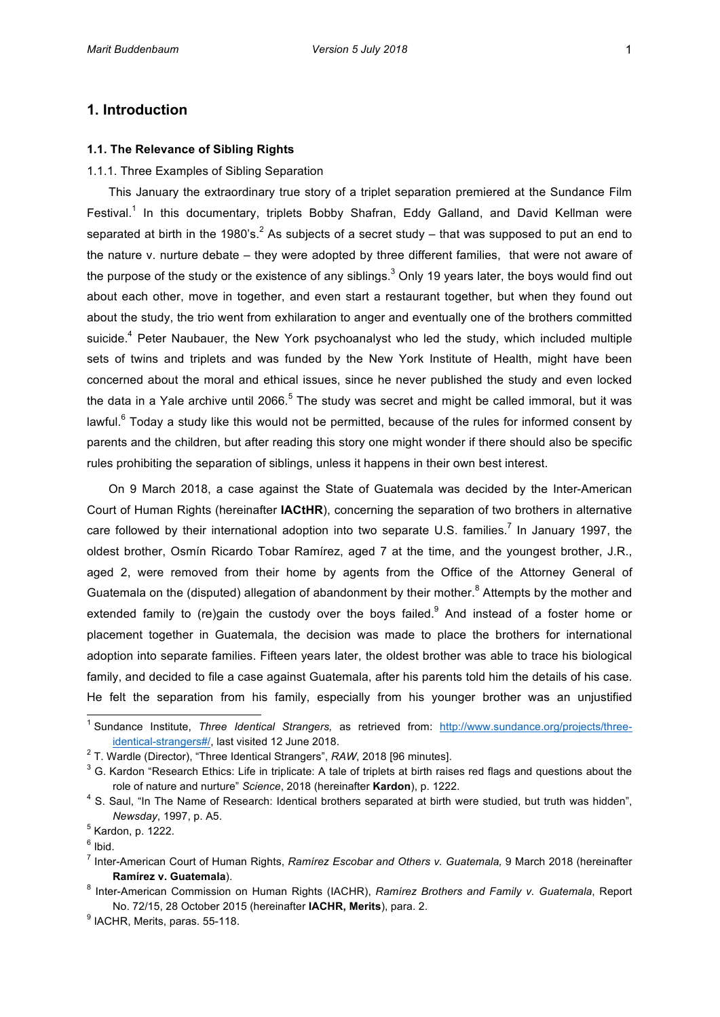# **1. Introduction**

## **1.1. The Relevance of Sibling Rights**

#### 1.1.1. Three Examples of Sibling Separation

This January the extraordinary true story of a triplet separation premiered at the Sundance Film Festival.<sup>1</sup> In this documentary, triplets Bobby Shafran, Eddy Galland, and David Kellman were separated at birth in the 1980's.<sup>2</sup> As subjects of a secret study – that was supposed to put an end to the nature v. nurture debate - they were adopted by three different families, that were not aware of the purpose of the study or the existence of any siblings.<sup>3</sup> Only 19 years later, the boys would find out about each other, move in together, and even start a restaurant together, but when they found out about the study, the trio went from exhilaration to anger and eventually one of the brothers committed suicide.<sup>4</sup> Peter Naubauer, the New York psychoanalyst who led the study, which included multiple sets of twins and triplets and was funded by the New York Institute of Health, might have been concerned about the moral and ethical issues, since he never published the study and even locked the data in a Yale archive until 2066.<sup>5</sup> The study was secret and might be called immoral, but it was lawful.<sup>6</sup> Today a study like this would not be permitted, because of the rules for informed consent by parents and the children, but after reading this story one might wonder if there should also be specific rules prohibiting the separation of siblings, unless it happens in their own best interest.

On 9 March 2018, a case against the State of Guatemala was decided by the Inter-American Court of Human Rights (hereinafter **IACtHR**), concerning the separation of two brothers in alternative care followed by their international adoption into two separate U.S. families.<sup>7</sup> In January 1997, the oldest brother, Osmín Ricardo Tobar Ramírez, aged 7 at the time, and the youngest brother, J.R., aged 2, were removed from their home by agents from the Office of the Attorney General of Guatemala on the (disputed) allegation of abandonment by their mother.<sup>8</sup> Attempts by the mother and extended family to (re)gain the custody over the boys failed.<sup>9</sup> And instead of a foster home or placement together in Guatemala, the decision was made to place the brothers for international adoption into separate families. Fifteen years later, the oldest brother was able to trace his biological family, and decided to file a case against Guatemala, after his parents told him the details of his case. He felt the separation from his family, especially from his younger brother was an unjustified

<sup>&</sup>lt;sup>1</sup> Sundance Institute, *Three Identical Strangers, as retrieved from:* http://www.sundance.org/projects/threeidentical-strangers#/, last visited 12 June 2018.

<sup>&</sup>lt;sup>2</sup> T. Wardle (Director), "Three Identical Strangers", *RAW*, 2018 [96 minutes].

 $3$  G. Kardon "Research Ethics: Life in triplicate: A tale of triplets at birth raises red flags and questions about the role of nature and nurture" *Science*, 2018 (hereinafter **Kardon**), p. 1222.

 $4$  S. Saul, "In The Name of Research: Identical brothers separated at birth were studied, but truth was hidden", *Newsday*, 1997, p. A5.

 $<sup>5</sup>$  Kardon, p. 1222.</sup>

 $6$  Ibid.

<sup>&</sup>lt;sup>7</sup> Inter-American Court of Human Rights, *Ramírez Escobar and Others v. Guatemala*, 9 March 2018 (hereinafter **Ramírez v. Guatemala**).

<sup>&</sup>lt;sup>8</sup> Inter-American Commission on Human Rights (IACHR), *Ramírez Brothers and Family v. Guatemala*, Report No. 72/15, 28 October 2015 (hereinafter **IACHR, Merits**), para. 2.

 $<sup>9</sup>$  IACHR, Merits, paras. 55-118.</sup>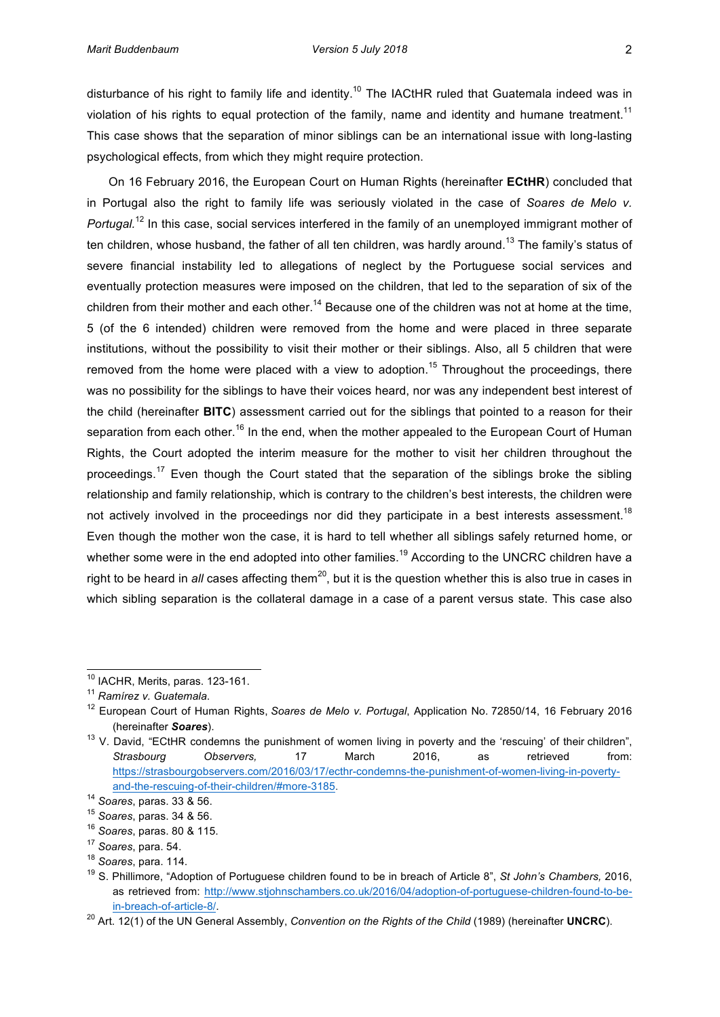disturbance of his right to family life and identity.<sup>10</sup> The IACtHR ruled that Guatemala indeed was in violation of his rights to equal protection of the family, name and identity and humane treatment.<sup>11</sup> This case shows that the separation of minor siblings can be an international issue with long-lasting psychological effects, from which they might require protection.

On 16 February 2016, the European Court on Human Rights (hereinafter **ECtHR**) concluded that in' Portugal also the right to family life was seriously violated in the case of *Soares de Melo v. Portugal.*<sup>12</sup> In this case, social services interfered in the family of an unemployed immigrant mother of ten children, whose husband, the father of all ten children, was hardly around.<sup>13</sup> The family's status of severe financial instability led to allegations of neglect by the Portuguese social services and eventually protection measures were imposed on the children, that led to the separation of six of the children from their mother and each other.<sup>14</sup> Because one of the children was not at home at the time, 5' (of' the' 6' intended)' children were' removed' from' the' home' and' were' placed' in' three' separate' institutions, without the possibility to visit their mother or their siblings. Also, all 5 children that were removed from the home were placed with a view to adoption.<sup>15</sup> Throughout the proceedings, there was no possibility for the siblings to have their voices heard, nor was any independent best interest of the child (hereinafter BITC) assessment carried out for the siblings that pointed to a reason for their separation from each other.<sup>16</sup> In the end, when the mother appealed to the European Court of Human Rights, the Court adopted the interim measure for the mother to visit her children throughout the proceedings.<sup>17</sup> Even though the Court stated that the separation of the siblings broke the sibling relationship and family relationship, which is contrary to the children's best interests, the children were not actively involved in the proceedings nor did they participate in a best interests assessment.<sup>18</sup> Even though the mother won the case, it is hard to tell whether all siblings safely returned home, or whether some were in the end adopted into other families.<sup>19</sup> According to the UNCRC children have a right to be heard in *all* cases affecting them<sup>20</sup>, but it is the question whether this is also true in cases in which sibling separation is the collateral damage in a case of a parent versus state. This case also

 $^{10}$  IACHR, Merits, paras. 123-161.

<sup>&</sup>lt;sup>11</sup> Ramírez v. Guatemala.

<sup>&</sup>lt;sup>12</sup> European Court of Human Rights, Soares de Melo v. Portugal, Application No. 72850/14, 16 February 2016 (hereinafter *Soares*).

 $13$  V. David, "ECtHR condemns the punishment of women living in poverty and the 'rescuing' of their children", Strasbourg Observers, 17 March 2016, as retrieved from: https://strasbourgobservers.com/2016/03/17/ecthr-condemns-the-punishment-of-women-living-in-povertyand-the-rescuing-of-their-children/#more-3185.

<sup>&</sup>lt;sup>14</sup> Soares, paras. 33 & 56.

<sup>&</sup>lt;sup>15</sup> Soares, paras. 34 & 56.

<sup>&</sup>lt;sup>16</sup> Soares, paras. 80 & 115.

<sup>&</sup>lt;sup>17</sup> Soares, para. 54.

<sup>&</sup>lt;sup>18</sup> Soares, para. 114.

<sup>&</sup>lt;sup>19</sup> S. Phillimore, "Adoption of Portuguese children found to be in breach of Article 8", *St John's Chambers*, 2016, as retrieved from: http://www.stjohnschambers.co.uk/2016/04/adoption-of-portuguese-children-found-to-bein-breach-of-article-8/.

<sup>&</sup>lt;sup>20</sup> Art. 12(1) of the UN General Assembly, *Convention on the Rights of the Child* (1989) (hereinafter **UNCRC**).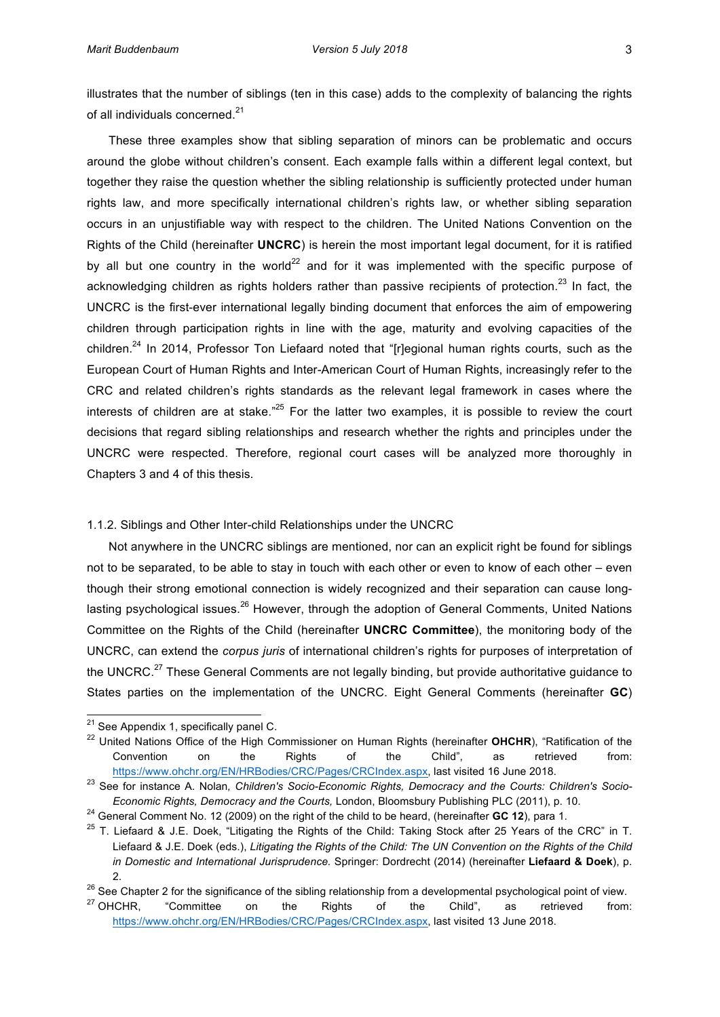illustrates that the number of siblings (ten in this case) adds to the complexity of balancing the rights of all individuals concerned.<sup>21</sup>

These three examples show that sibling separation of minors can be problematic and occurs around the globe without children's consent. Each example falls within a different legal context, but together they raise the question whether the sibling relationship is sufficiently protected under human' rights law, and more specifically international children's rights law, or whether sibling separation occurs in an unjustifiable way with respect to the children. The United Nations Convention on the Rights of the Child (hereinafter **UNCRC**) is herein the most important legal document, for it is ratified by all but one country in the world<sup>22</sup> and for it was implemented with the specific purpose of acknowledging children as rights holders rather than passive recipients of protection.<sup>23</sup> In fact, the UNCRC is the first-ever international legally binding document that enforces the aim of empowering children through participation rights in line with the age, maturity and evolving capacities of the children.<sup>24</sup> In 2014, Professor Ton Liefaard noted that "[r]egional human rights courts, such as the European Court of Human Rights and Inter-American Court of Human Rights, increasingly refer to the CRC and related children's rights standards as the relevant legal framework in cases where the interests of children are at stake."<sup>25</sup> For the latter two examples, it is possible to review the court decisions that regard sibling relationships and research whether the rights and principles under the UNCRC were respected. Therefore, regional court cases will be analyzed more thoroughly in Chapters 3 and 4 of this thesis.

# 1.1.2. Siblings and Other Inter-child Relationships under the UNCRC

Not anywhere in the UNCRC siblings are mentioned, nor can an explicit right be found for siblings not to be separated, to be able to stay in touch with each other or even to know of each other – even though their strong emotional connection is widely recognized and their separation can cause longlasting psychological issues.<sup>26</sup> However, through the adoption of General Comments, United Nations' Committee on the Rights of the Child (hereinafter **UNCRC Committee**), the monitoring body of the UNCRC, can extend the *corpus juris* of international children's rights for purposes of interpretation of the UNCRC.<sup>27</sup> These General Comments are not legally binding, but provide authoritative guidance to States parties on the implementation of the UNCRC. Eight General Comments (hereinafter GC)

 $^{21}$ 'See Appendix 1, specifically panel C.

<sup>&</sup>lt;sup>22</sup> United Nations Office of the High Commissioner on Human Rights (hereinafter OHCHR), "Ratification of the Convention on the Rights of the Child", as retrieved from: https://www.ohchr.org/EN/HRBodies/CRC/Pages/CRCIndex.aspx, last visited 16 June 2018.

<sup>&</sup>lt;sup>23</sup> See for instance A. Nolan, Children's Socio-Economic Rights, Democracy and the Courts: Children's Socio-*Economic Rights, Democracy and the Courts, London, Bloomsbury Publishing PLC (2011), p. 10.* 

<sup>&</sup>lt;sup>24</sup> General Comment No. 12 (2009) on the right of the child to be heard, (hereinafter GC 12), para 1.

 $^{25}$  T. Liefaard & J.E. Doek, "Litigating the Rights of the Child: Taking Stock after 25 Years of the CRC" in T. Liefaard & J.E. Doek (eds.), *Litigating the Rights of the Child: The UN Convention on the Rights of the Child in Domestic and International Jurisprudence.* Springer: Dordrecht (2014) (hereinafter Liefaard & Doek), p. 2.'

<sup>&</sup>lt;sup>26</sup> See Chapter 2 for the significance of the sibling relationship from a developmental psychological point of view.

<sup>&</sup>lt;sup>27</sup> OHCHR,  $\degree$  "Committee on the Rights of the Child", as retrieved from: https://www.ohchr.org/EN/HRBodies/CRC/Pages/CRCIndex.aspx, last visited 13 June 2018.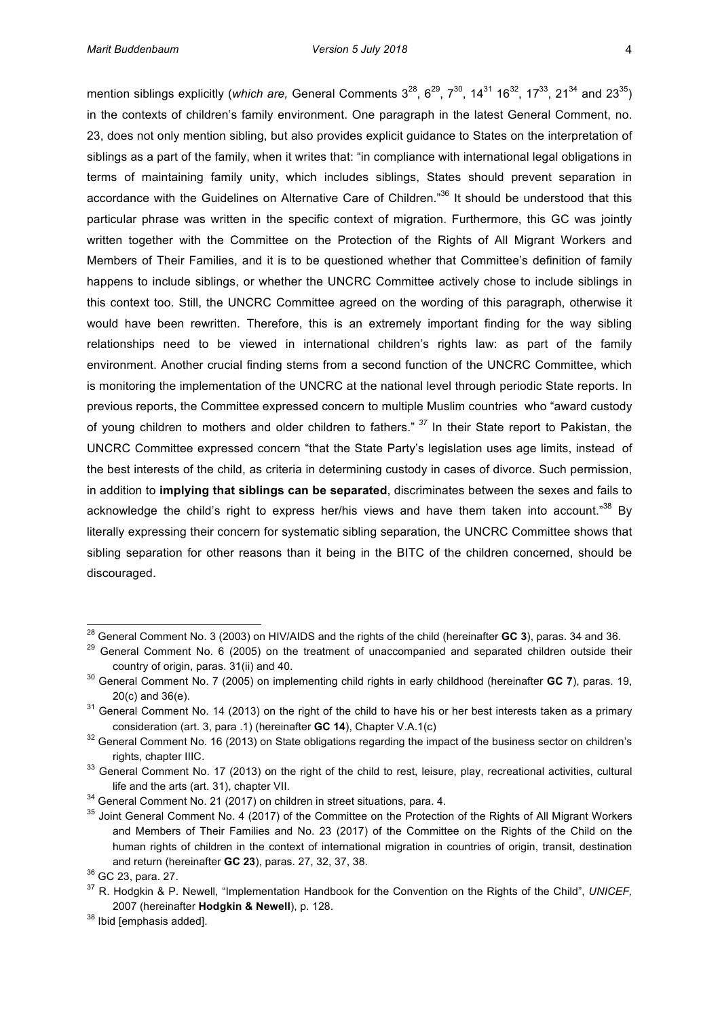mention siblings explicitly (*which are,* General Comments 3<sup>28</sup>, 6<sup>29</sup>, 7<sup>30</sup>, 14<sup>31</sup> 16<sup>32</sup>, 17<sup>33</sup>, 21<sup>34</sup> and 23<sup>35</sup>) in'the contexts of children's family environment. One paragraph in the latest General Comment, no. 23, does not only mention sibling, but also provides explicit guidance to States on the interpretation of siblings as a part of the family, when it writes that: "in compliance with international legal obligations in terms of maintaining family unity, which includes siblings, States should prevent separation in accordance with the Guidelines on Alternative Care of Children."<sup>36</sup> It should be understood that this particular phrase was written in the specific context of migration. Furthermore, this GC was jointly written together with the Committee on the Protection of the Rights of All Migrant Workers and Members of Their Families, and it is to be questioned whether that Committee's definition of family happens to include siblings, or whether the UNCRC Committee actively chose to include siblings in this context too. Still, the UNCRC Committee agreed on the wording of this paragraph, otherwise it would have been rewritten. Therefore, this is an extremely important finding for the way sibling relationships need to be viewed in international children's rights law: as part of the family environment. Another crucial finding stems from a second function of the UNCRC Committee, which is monitoring the implementation of the UNCRC at the national level through periodic State reports. In previous reports, the Committee expressed concern to multiple Muslim countries who "award custody of young children to mothers and older children to fathers." <sup>37</sup> In their State report to Pakistan, the UNCRC Committee expressed concern "that the State Party's legislation uses age limits, instead of the best interests of the child, as criteria in determining custody in cases of divorce. Such permission, in addition to *implying that siblings can be separated*, discriminates between the sexes and fails to acknowledge the child's right to express her/his views and have them taken into account."<sup>38</sup> By literally expressing their concern for systematic sibling separation, the UNCRC Committee shows that sibling' separation' for other reasons than it being in the BITC of the children concerned, should be discouraged.

<sup>&</sup>lt;sup>28</sup> General Comment No. 3 (2003) on HIV/AIDS and the rights of the child (hereinafter **GC 3**), paras. 34 and 36.

 $29$  General Comment No. 6 (2005) on the treatment of unaccompanied and separated children outside their country of origin, paras. 31(ii) and 40.

<sup>&</sup>lt;sup>30</sup> General Comment No. 7 (2005) on implementing child rights in early childhood (hereinafter GC 7), paras. 19,  $20(c)$  and  $36(e)$ .

 $31$  General Comment No. 14 (2013) on the right of the child to have his or her best interests taken as a primary consideration (art. 3, para .1) (hereinafter **GC 14**), Chapter V.A.1(c)

<sup>&</sup>lt;sup>32</sup> General Comment No. 16 (2013) on State obligations regarding the impact of the business sector on children's rights, chapter IIIC.

<sup>&</sup>lt;sup>33</sup> General Comment No. 17 (2013) on the right of the child to rest, leisure, play, recreational activities, cultural life and the arts (art. 31), chapter VII.

 $34$  General Comment No. 21 (2017) on children in street situations, para. 4.

<sup>&</sup>lt;sup>35</sup> Joint General Comment No. 4 (2017) of the Committee on the Protection of the Rights of All Migrant Workers and Members of Their Families and No. 23 (2017) of the Committee on the Rights of the Child on the human rights of children in the context of international migration in countries of origin, transit, destination and return (hereinafter **GC 23**), paras. 27, 32, 37, 38.

<sup>&</sup>lt;sup>36</sup> GC 23, para. 27.

<sup>&</sup>lt;sup>37</sup> R. Hodgkin & P. Newell, "Implementation Handbook for the Convention on the Rights of the Child", *UNICEF*, 2007 (hereinafter Hodgkin & Newell), p. 128.

 $38$  Ibid [emphasis added].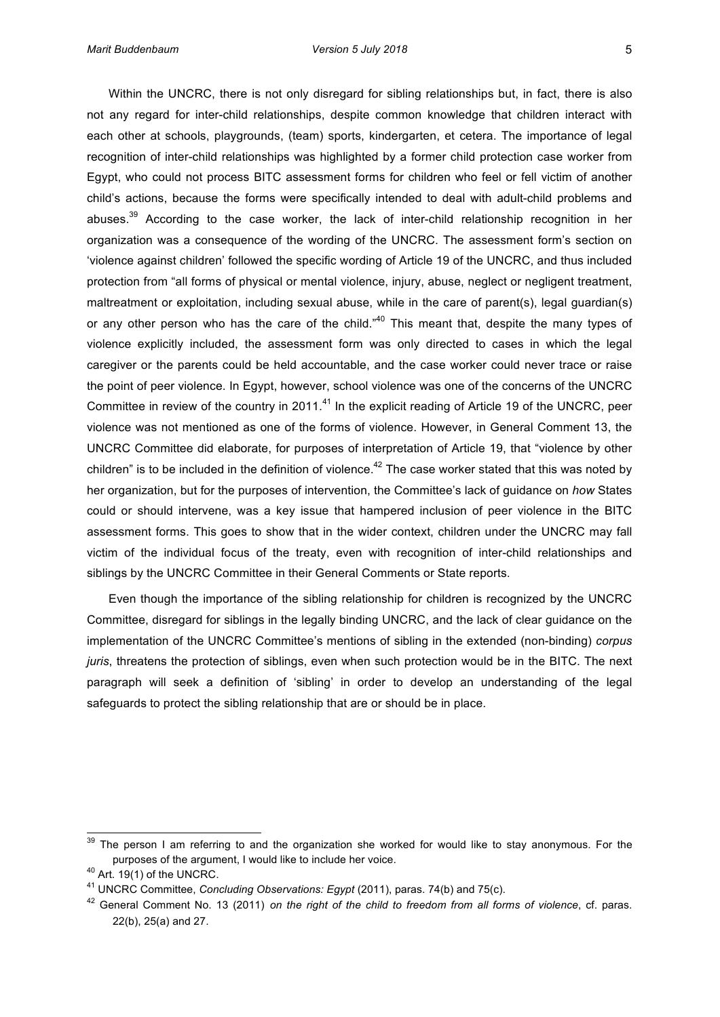Within' the UNCRC, there is not only disregard for sibling relationships but, in fact, there is also not any regard for inter-child relationships, despite common knowledge that children interact with each other at schools, playgrounds, (team) sports, kindergarten, et cetera. The importance of legal recognition of inter-child relationships was highlighted by a former child protection case worker from Egypt, who could not process BITC assessment forms for children who feel or fell victim of another child's actions, because the forms were specifically intended to deal with adult-child problems and abuses. $39$  According to the case worker, the lack of inter-child relationship recognition in her organization was a consequence of the wording of the UNCRC. The assessment form's section on 'violence against children' followed the specific wording of Article 19 of the UNCRC, and thus included protection from "all forms of physical or mental violence, injury, abuse, neglect or negligent treatment, maltreatment or exploitation, including sexual abuse, while in the care of parent(s), legal guardian(s) or any other person who has the care of the child."<sup>40</sup> This meant that, despite the many types of violence explicitly included, the assessment form was only directed to cases in which the legal caregiver or the parents could be held accountable, and the case worker could never trace or raise the point of peer violence. In Egypt, however, school violence was one of the concerns of the UNCRC Committee in review of the country in 2011.<sup>41</sup> In the explicit reading of Article 19 of the UNCRC, peer violence was not mentioned as one of the forms of violence. However, in General Comment 13, the UNCRC Committee did elaborate, for purposes of interpretation of Article 19, that "violence by other children" is to be included in the definition of violence.<sup>42</sup> The case worker stated that this was noted by her'organization, but for the purposes of intervention, the Committee's lack of guidance on *how* States' could or should intervene, was a key issue that hampered inclusion of peer violence in the BITC assessment forms. This goes to show that in the wider context, children under the UNCRC may fall victim of the individual focus of the treaty, even with recognition of inter-child relationships and siblings by the UNCRC Committee in their General Comments or State reports.

Even though the importance of the sibling relationship for children is recognized by the UNCRC Committee, disregard for siblings in the legally binding UNCRC, and the lack of clear guidance on the implementation of the UNCRC Committee's mentions of sibling in the extended (non-binding) *corpus juris*, threatens the protection of siblings, even when such protection would be in the BITC. The next paragraph will seek a definition of 'sibling' in order to develop an understanding of the legal safeguards to protect the sibling relationship that are or should be in place.

 $39$  The person I am referring to and the organization she worked for would like to stay anonymous. For the purposes of the argument, I would like to include her voice.

 $40$  Art. 19(1) of the UNCRC.

<sup>&</sup>lt;sup>41</sup> UNCRC Committee, *Concluding Observations: Egypt* (2011), paras. 74(b) and 75(c).

<sup>&</sup>lt;sup>42</sup> General Comment No. 13 (2011) on the right of the child to freedom from all forms of violence, cf. paras.  $22(b)$ ,  $25(a)$  and  $27$ .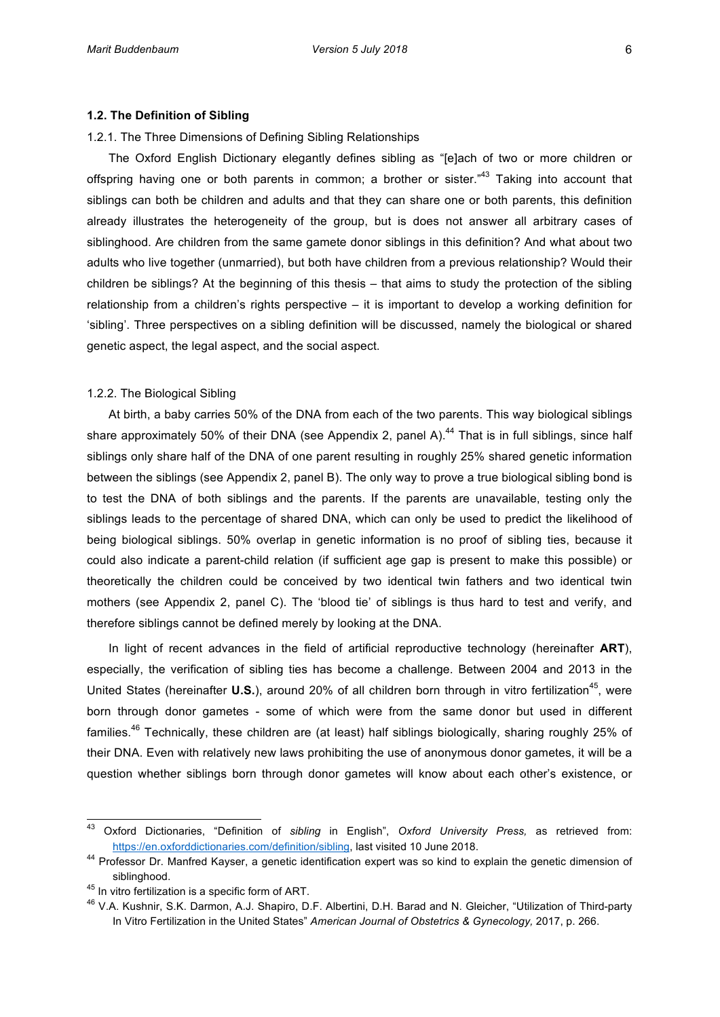#### 1.2.1. The Three Dimensions of Defining Sibling Relationships

The Oxford English Dictionary elegantly defines sibling as "[e]ach of two or more children or offspring having one or both parents in common; a brother or sister. $n43$  Taking into account that siblings can both be children and adults and that they can share one or both parents, this definition already illustrates the heterogeneity of the group, but is does not answer all arbitrary cases of siblinghood. Are children from the same gamete donor siblings in this definition? And what about two adults who live together (unmarried), but both have children from a previous relationship? Would their children' be siblings? At the beginning of this thesis – that aims to study the protection of the sibling relationship from a children's rights perspective  $-$  it is important to develop a working definition for 'sibling'. Three perspectives on a sibling definition will be discussed, namely the biological or shared genetic aspect, the legal aspect, and the social aspect.

# 1.2.2. The Biological Sibling

At birth, a baby carries 50% of the DNA from each of the two parents. This way biological siblings share approximately 50% of their DNA (see Appendix 2, panel A).<sup>44</sup> That is in full siblings, since half siblings only share half of the DNA of one parent resulting in roughly 25% shared genetic information between the siblings (see Appendix 2, panel B). The only way to prove a true biological sibling bond is to test the DNA of both siblings and the parents. If the parents are unavailable, testing only the siblings leads to the percentage of shared DNA, which can only be used to predict the likelihood of being biological siblings. 50% overlap in genetic information is no proof of sibling ties, because it could also indicate a parent-child relation (if sufficient age gap is present to make this possible) or theoretically the children could be conceived by two identical twin fathers and two identical twin mothers (see Appendix 2, panel C). The 'blood tie' of siblings is thus hard to test and verify, and therefore siblings cannot be defined merely by looking at the DNA.

In light of recent advances in the field of artificial reproductive technology (hereinafter ART), especially, the verification of sibling ties has become a challenge. Between 2004 and 2013 in the United States (hereinafter **U.S.**), around 20% of all children born through in vitro fertilization<sup>45</sup>, were born through donor gametes - some of which were from the same donor but used in different families.<sup>46</sup> Technically, these children are (at least) half siblings biologically, sharing roughly 25% of their DNA. Even with relatively new laws prohibiting the use of anonymous donor gametes, it will be a question whether siblings born through donor gametes will know about each other's existence, or

<sup>43</sup> Oxford' Dictionaries,' "Definition' of' *sibling&* in' English",' *Oxford& University& Press,* as' retrieved' from:' https://en.oxforddictionaries.com/definition/sibling, last visited 10 June 2018.

<sup>&</sup>lt;sup>44</sup> Professor Dr. Manfred Kayser, a genetic identification expert was so kind to explain the genetic dimension of siblinghood.

<sup>&</sup>lt;sup>45</sup> In vitro fertilization is a specific form of ART.

<sup>&</sup>lt;sup>46</sup> V.A. Kushnir, S.K. Darmon, A.J. Shapiro, D.F. Albertini, D.H. Barad and N. Gleicher, "Utilization of Third-party In'Vitro'Fertilization in the United States" *American Journal of Obstetrics & Gynecology*, 2017, p. 266.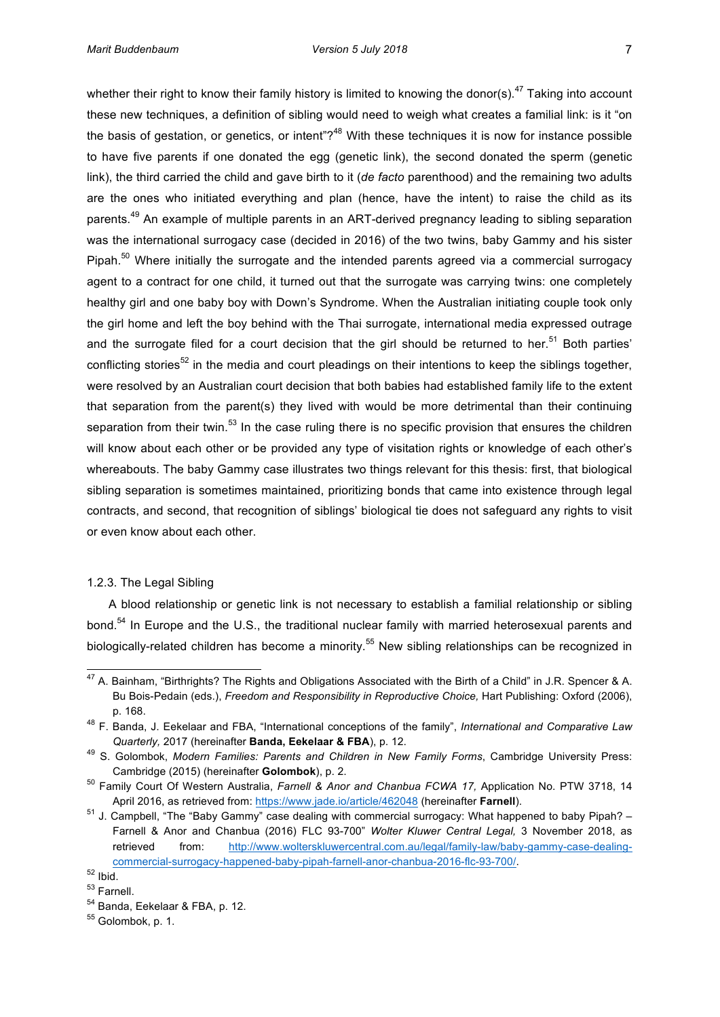whether their right to know their family history is limited to knowing the donor(s).<sup>47</sup> Taking into account these new techniques, a definition of sibling would need to weigh what creates a familial link: is it "on the basis of gestation, or genetics, or intent"?<sup>48</sup> With these techniques it is now for instance possible to have five parents if one donated the egg (genetic link), the second donated the sperm (genetic link), the third carried the child and gave birth to it (*de facto* parenthood) and the remaining two adults are the ones who initiated everything and plan (hence, have the intent) to raise the child as its parents.<sup>49</sup> An example of multiple parents in an ART-derived pregnancy leading to sibling separation was the international surrogacy case (decided in 2016) of the two twins, baby Gammy and his sister Pipah.<sup>50</sup> Where initially the surrogate and the intended parents agreed via a commercial surrogacy agent to a contract for one child, it turned out that the surrogate was carrying twins: one completely healthy girl and one baby boy with Down's Syndrome. When the Australian initiating couple took only the girl home and left the boy behind with the Thai surrogate, international media expressed outrage and the surrogate filed for a court decision that the girl should be returned to her.<sup>51</sup> Both parties' conflicting stories<sup>52</sup> in the media and court pleadings on their intentions to keep the siblings together, were resolved by an Australian court decision that both babies had established family life to the extent that separation from the parent(s) they lived with would be more detrimental than their continuing separation from their twin.<sup>53</sup> In the case ruling there is no specific provision that ensures the children's will know about each other or be provided any type of visitation rights or knowledge of each other's whereabouts. The baby Gammy case illustrates two things relevant for this thesis: first, that biological sibling separation is sometimes maintained, prioritizing bonds that came into existence through legal contracts, and second, that recognition of siblings' biological tie does not safeguard any rights to visit or even know about each other.

# 1.2.3. The Legal Sibling

A blood relationship or genetic link is not necessary to establish a familial relationship or sibling bond.<sup>54</sup> In Europe and the U.S., the traditional nuclear family with married heterosexual parents and biologically-related children has become a minority.<sup>55</sup> New sibling relationships can be recognized in

 $^{47}$  A. Bainham, "Birthrights? The Rights and Obligations Associated with the Birth of a Child" in J.R. Spencer & A. Bu Bois-Pedain (eds.), *Freedom and Responsibility in Reproductive Choice*, Hart Publishing: Oxford (2006), p.'168.

<sup>&</sup>lt;sup>48</sup> F. Banda, J. Eekelaar and FBA, "International conceptions of the family", *International and Comparative Law* Quarterly, 2017 (hereinafter Banda, Eekelaar & FBA), p. 12.

<sup>&</sup>lt;sup>49</sup> S. Golombok, Modern Families: Parents and Children in New Family Forms, Cambridge University Press: Cambridge (2015) (hereinafter **Golombok**), p. 2.

<sup>&</sup>lt;sup>50</sup> Family Court Of Western Australia, *Farnell & Anor and Chanbua FCWA 17*, Application No. PTW 3718, 14 April 2016, as retrieved from: https://www.jade.io/article/462048 (hereinafter **Farnell**).

 $51$  J. Campbell, "The "Baby Gammy" case dealing with commercial surrogacy: What happened to baby Pipah? – Farnell & Anor and Chanbua (2016) FLC 93-700" Wolter Kluwer Central Legal, 3 November 2018, as retrieved from: http://www.wolterskluwercentral.com.au/legal/family-law/baby-gammy-case-dealingcommercial-surrogacy-happened-baby-pipah-farnell-anor-chanbua-2016-flc-93-700/.

 $52$  Ibid.

<sup>53</sup> Farnell.

<sup>&</sup>lt;sup>54</sup> Banda, Eekelaar & FBA, p. 12.

 $55$  Golombok, p. 1.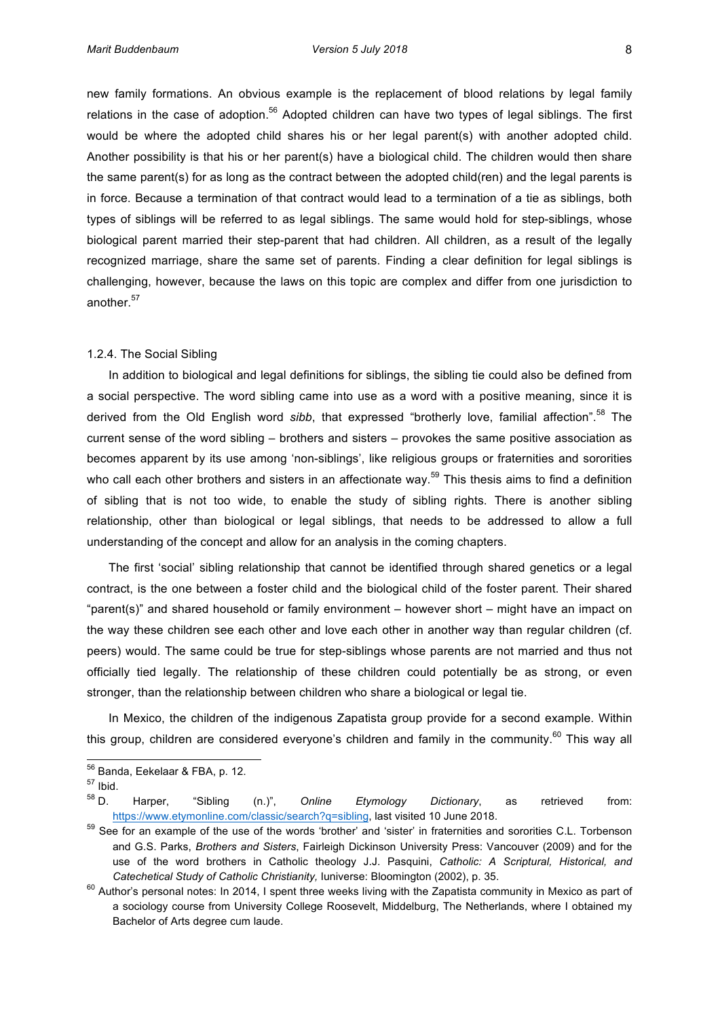new family formations. An obvious example is the replacement of blood relations by legal family relations in the case of adoption.<sup>56</sup> Adopted children can have two types of legal siblings. The first would be where the adopted child shares his or her legal parent(s) with another adopted child. Another possibility is that his or her parent(s) have a biological child. The children would then share the same parent(s) for as long as the contract between the adopted child(ren) and the legal parents is in' force. Because a termination of that contract would lead to a termination of a tie as siblings, both types of siblings will be referred to as legal siblings. The same would hold for step-siblings, whose biological parent married their step-parent that had children. All children, as a result of the legally recognized marriage, share the same set of parents. Finding a clear definition for legal siblings is challenging, however, because the laws on this topic are complex and differ from one jurisdiction to another.<sup>57</sup>

#### 1.2.4. The Social Sibling

In addition to biological and legal definitions for siblings, the sibling tie could also be defined from a social perspective. The word sibling came into use as a word with a positive meaning, since it is derived from the Old English word sibb, that expressed "brotherly love, familial affection".<sup>58</sup> The current sense of the word sibling – brothers and sisters – provokes the same positive association as becomes apparent by its use among 'non-siblings', like religious groups or fraternities and sororities who call each other brothers and sisters in an affectionate way.<sup>59</sup> This thesis aims to find a definition of sibling that is not too wide, to enable the study of sibling rights. There is another sibling relationship, other than biological or legal siblings, that needs to be addressed to allow a full understanding of the concept and allow for an analysis in the coming chapters.

The first 'social' sibling relationship that cannot be identified through shared genetics or a legal contract, is the one between a foster child and the biological child of the foster parent. Their shared "parent(s)" and shared household or family environment – however short – might have an impact on the way these children see each other and love each other in another way than regular children (cf. peers) would. The same could be true for step-siblings whose parents are not married and thus not officially tied legally. The relationship of these children could potentially be as strong, or even stronger, than the relationship between children who share a biological or legal tie.

In Mexico, the children of the indigenous Zapatista group provide for a second example. Within this group, children are considered everyone's children and family in the community.<sup>60</sup> This way all

 $^{56}$  Banda, Eekelaar & FBA, p. 12.

<sup>57</sup> Ibid.

<sup>&</sup>lt;sup>58</sup> D. Harper, "Sibling (n.)", Online Etymology Dictionary, as retrieved from: https://www.etymonline.com/classic/search?q=sibling, last visited 10 June 2018.

<sup>59</sup> See for an example of the use of the words 'brother' and 'sister' in fraternities and sororities C.L. Torbenson and G.S. Parks, *Brothers and Sisters*, Fairleigh Dickinson University Press: Vancouver (2009) and for the use of the word brothers in Catholic theology J.J. Pasquini, *Catholic: A Scriptural, Historical, and Catechetical Study of Catholic Christianity, Iuniverse: Bloomington (2002), p. 35.* 

 $60$  Author's personal notes: In 2014, I spent three weeks living with the Zapatista community in Mexico as part of a sociology course from University College Roosevelt, Middelburg, The Netherlands, where I obtained my Bachelor of Arts degree cum laude.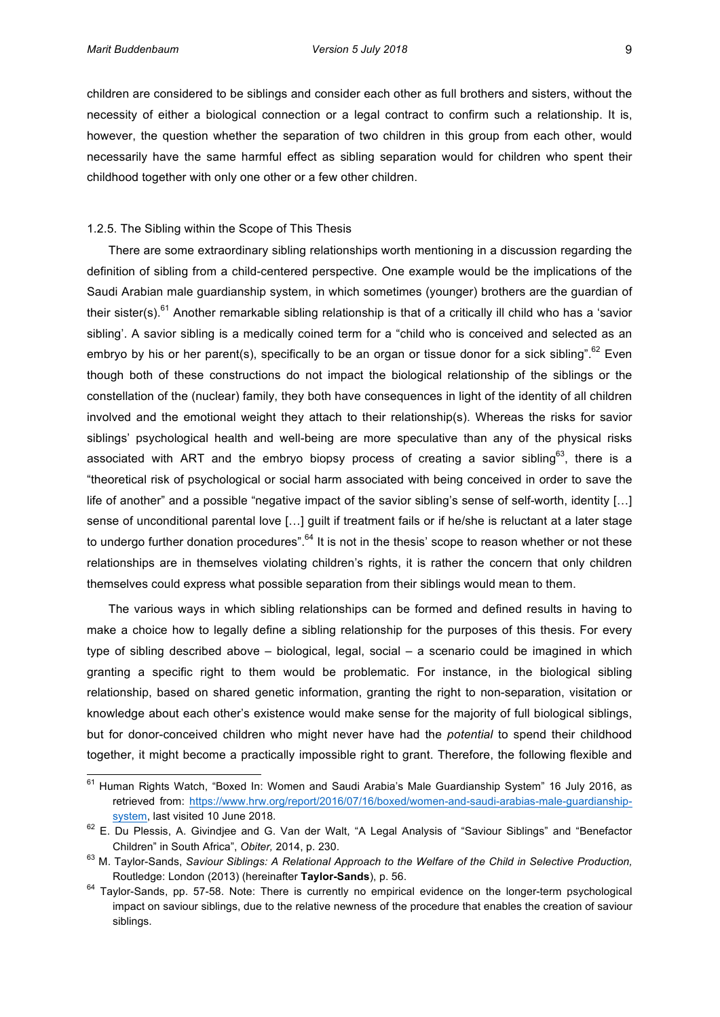children'are considered to be siblings and consider each other as full brothers and sisters, without the necessity of either a biological connection or a legal contract to confirm such a relationship. It is, however, the question whether the separation of two children in this group from each other, would necessarily have the same harmful effect as sibling separation would for children who spent their childhood together with only one other or a few other children.

#### 1.2.5. The Sibling within the Scope of This Thesis

There are some extraordinary sibling relationships worth mentioning in a discussion regarding the definition of sibling from a child-centered perspective. One example would be the implications of the Saudi Arabian male guardianship system, in which sometimes (younger) brothers are the guardian of their sister(s).<sup>61</sup> Another remarkable sibling relationship is that of a critically ill child who has a 'savior sibling'. A savior sibling is a medically coined term for a "child who is conceived and selected as an embryo by his or her parent(s), specifically to be an organ or tissue donor for a sick sibling".<sup>62</sup> Even though both of these constructions do not impact the biological relationship of the siblings or the constellation of the (nuclear) family, they both have consequences in light of the identity of all children involved and the emotional weight they attach to their relationship(s). Whereas the risks for savior siblings' psychological health and well-being are more speculative than any of the physical risks associated with ART and the embryo biopsy process of creating a savior sibling<sup>63</sup>, there is a "theoretical risk of psychological or social harm associated with being conceived in order to save the life of another" and a possible "negative impact of the savior sibling's sense of self-worth, identity [...] sense of unconditional parental love [...] guilt if treatment fails or if he/she is reluctant at a later stage to undergo further donation procedures".<sup>64</sup> It is not in the thesis' scope to reason whether or not these relationships are in themselves violating children's rights, it is rather the concern that only children themselves could express what possible separation from their siblings would mean to them.

The various ways in which sibling relationships can be formed and defined results in having to make a choice how to legally define a sibling relationship for the purposes of this thesis. For every type of sibling described above – biological, legal, social – a scenario could be imagined in which granting a specific right to them would be problematic. For instance, in the biological sibling relationship, based on shared genetic information, granting the right to non-separation, visitation or knowledge about each other's existence would make sense for the majority of full biological siblings, but for donor-conceived children who might never have had the *potential* to spend their childhood together, it might become a practically impossible right to grant. Therefore, the following flexible and

<sup>&</sup>lt;sup>61</sup> Human Rights Watch, "Boxed In: Women and Saudi Arabia's Male Guardianship System" 16 July 2016, as retrieved from: https://www.hrw.org/report/2016/07/16/boxed/women-and-saudi-arabias-male-guardianshipsystem, last visited 10 June 2018.

<sup>&</sup>lt;sup>62</sup> E. Du Plessis, A. Givindjee and G. Van der Walt, "A Legal Analysis of "Saviour Siblings" and "Benefactor Children" in South Africa", Obiter, 2014, p. 230.

<sup>63</sup> M. Taylor-Sands, Saviour Siblings: A Relational Approach to the Welfare of the Child in Selective Production, Routledge: London (2013) (hereinafter Taylor-Sands), p. 56.

<sup>&</sup>lt;sup>64</sup> Tavlor-Sands, pp. 57-58. Note: There is currently no empirical evidence on the longer-term psychological impact on saviour siblings, due to the relative newness of the procedure that enables the creation of saviour siblings.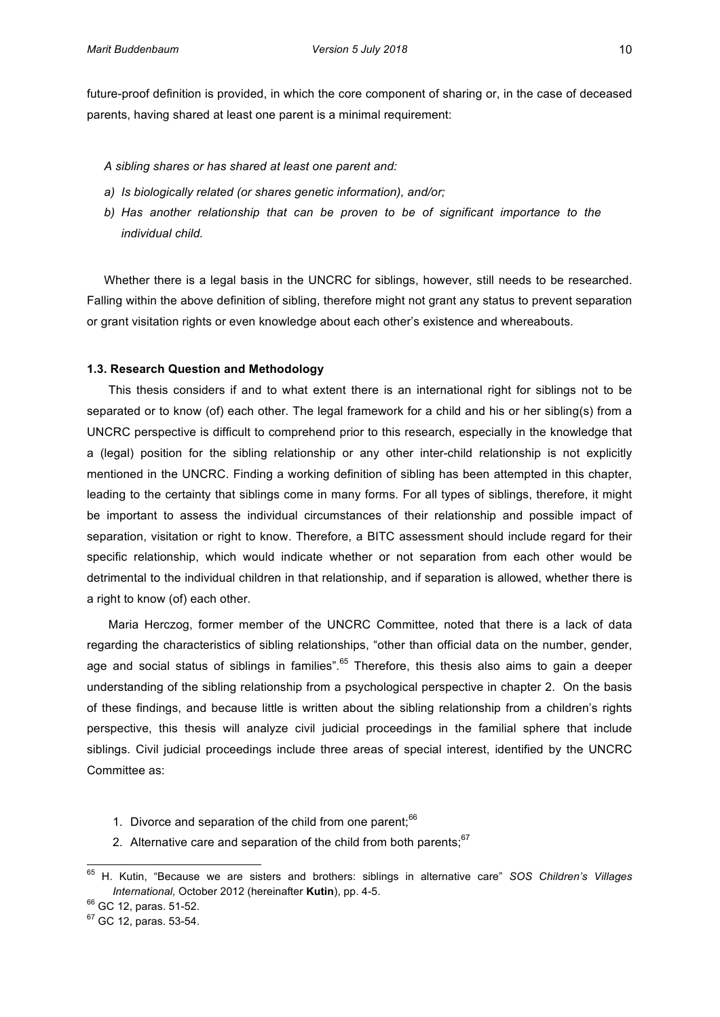future-proof definition is provided, in which the core component of sharing or, in the case of deceased parents, having shared at least one parent is a minimal requirement:

# *A&sibling&shares&or&has&shared&at&least one&parent&and:&*

- a) Is biologically related (or shares genetic information), and/or;
- b) Has another relationship that can be proven to be of significant importance to the  $individual child.$

Whether there is a legal basis in the UNCRC for siblings, however, still needs to be researched. Falling within the above definition of sibling, therefore might not grant any status to prevent separation or grant visitation rights or even knowledge about each other's existence and whereabouts.

#### **1.3. Research\$Question\$and\$Methodology**

This thesis considers if and to what extent there is an international right for siblings not to be separated or to know (of) each other. The legal framework for a child and his or her sibling(s) from a UNCRC perspective is difficult to comprehend prior to this research, especially in the knowledge that a (legal) position for the sibling relationship or any other inter-child relationship is not explicitly mentioned in the UNCRC. Finding a working definition of sibling has been attempted in this chapter, leading to the certainty that siblings come in many forms. For all types of siblings, therefore, it might be important to assess the individual circumstances of their relationship and possible impact of separation, visitation or right to know. Therefore, a BITC assessment should include regard for their specific relationship, which would indicate whether or not separation from each other would be detrimental to the individual children in that relationship, and if separation is allowed, whether there is a right to know (of) each other.

Maria Herczog, former member of the UNCRC Committee, noted that there is a lack of data regarding the characteristics of sibling relationships, "other than official data on the number, gender, age and social status of siblings in families".<sup>65</sup> Therefore, this thesis also aims to gain a deeper understanding of the sibling relationship from a psychological perspective in chapter 2. On the basis of these findings, and because little is written about the sibling relationship from a children's rights perspective, this thesis will analyze civil judicial proceedings in the familial sphere that include siblings. Civil judicial proceedings include three areas of special interest, identified by the UNCRC Committee as:

- 1. Divorce and separation of the child from one parent; $66$
- 2. Alternative care and separation of the child from both parents;  $67$

<sup>&</sup>lt;sup>65</sup> H. Kutin, "Because we are sisters and brothers: siblings in alternative care" *SOS Children's Villages International, October 2012 (hereinafter Kutin), pp. 4-5.* 

 $66$  GC 12, paras. 51-52.

 $67$  GC 12, paras. 53-54.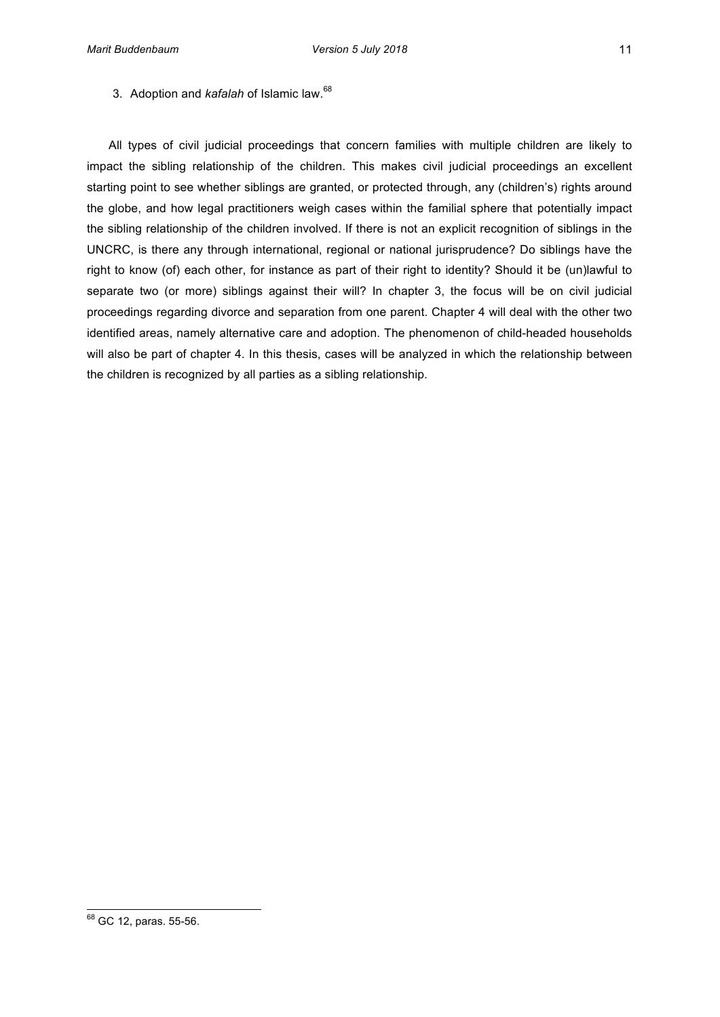3. Adoption and *kafalah* of Islamic law.<sup>68</sup>

All types of civil judicial proceedings that concern families with multiple children are likely to impact the sibling relationship of the children. This makes civil judicial proceedings an excellent starting point to see whether siblings are granted, or protected through, any (children's) rights around the globe, and how legal practitioners weigh cases within the familial sphere that potentially impact the sibling relationship of the children involved. If there is not an explicit recognition of siblings in the UNCRC, is there any through international, regional or national jurisprudence? Do siblings have the right to know (of) each other, for instance as part of their right to identity? Should it be (un)lawful to separate two (or more) siblings against their will? In chapter 3, the focus will be on civil judicial proceedings' regarding divorce and separation from one parent. Chapter 4 will deal with the other two identified areas, namely alternative care and adoption. The phenomenon of child-headed households will also be part of chapter 4. In this thesis, cases will be analyzed in which the relationship between the children is recognized by all parties as a sibling relationship.

 $^{68}$  GC 12, paras. 55-56.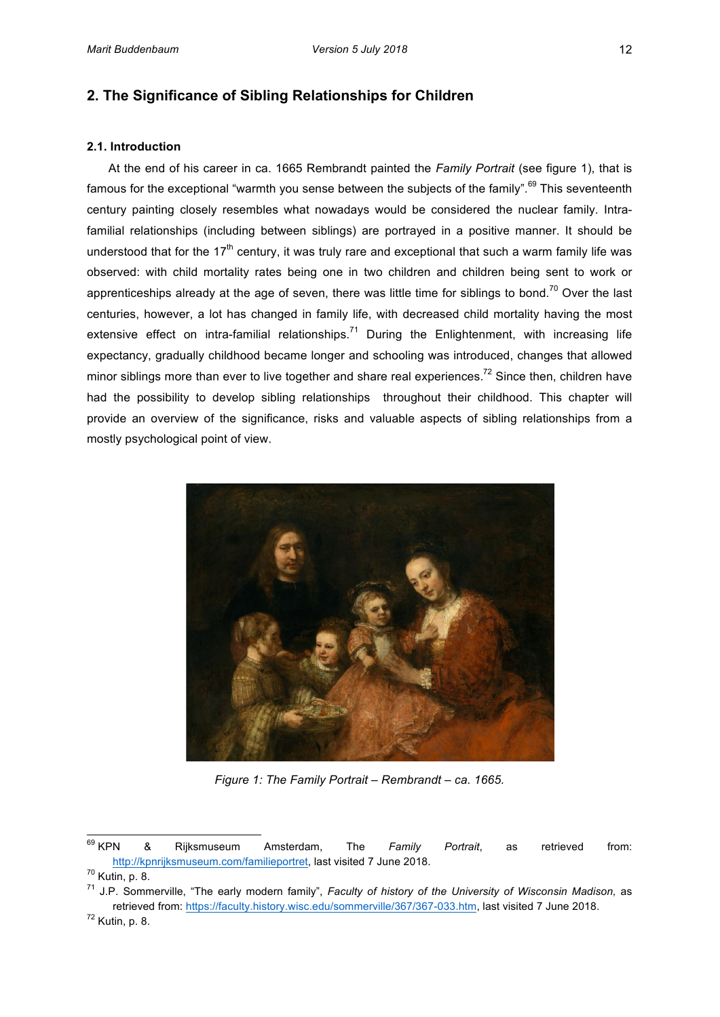# **2. The Significance of Sibling Relationships for Children**

# **2.1. Introduction**

At the end of his career in ca. 1665 Rembrandt painted the *Family Portrait* (see figure 1), that is famous for the exceptional "warmth you sense between the subjects of the family".<sup>69</sup> This seventeenth century painting closely resembles what nowadays would be considered the nuclear family. Intrafamilial relationships (including between siblings) are portrayed in a positive manner. It should be understood that for the  $17<sup>th</sup>$  century, it was truly rare and exceptional that such a warm family life was observed: with child mortality rates being one in two children and children being sent to work or apprenticeships already at the age of seven, there was little time for siblings to bond.<sup>70</sup> Over the last centuries, however, a lot has changed in family life, with decreased child mortality having the most extensive effect on intra-familial relationships.<sup>71</sup> During the Enlightenment, with increasing life expectancy, gradually childhood became longer and schooling was introduced, changes that allowed minor siblings more than ever to live together and share real experiences.<sup>72</sup> Since then, children have had the possibility to develop sibling relationships throughout their childhood. This chapter will provide an overview of the significance, risks and valuable aspects of sibling relationships from a mostly psychological point of view.



*Figure 1: The Family Portrait – Rembrandt – ca. 1665.* 

<sup>71</sup> J.P. Sommerville, "The early modern family", *Faculty of history of the University of Wisconsin Madison,* as retrieved from: https://faculty.history.wisc.edu/sommerville/367/367-033.htm, last visited 7 June 2018.

 $^{69}$  KPN <sup>69</sup> KPN & Rijksmuseum Amsterdam, The *Family Portrait*, as retrieved from: http://kpnrijksmuseum.com/familieportret, last visited 7 June 2018.

 $70$  Kutin, p. 8.

 $72$  Kutin, p. 8.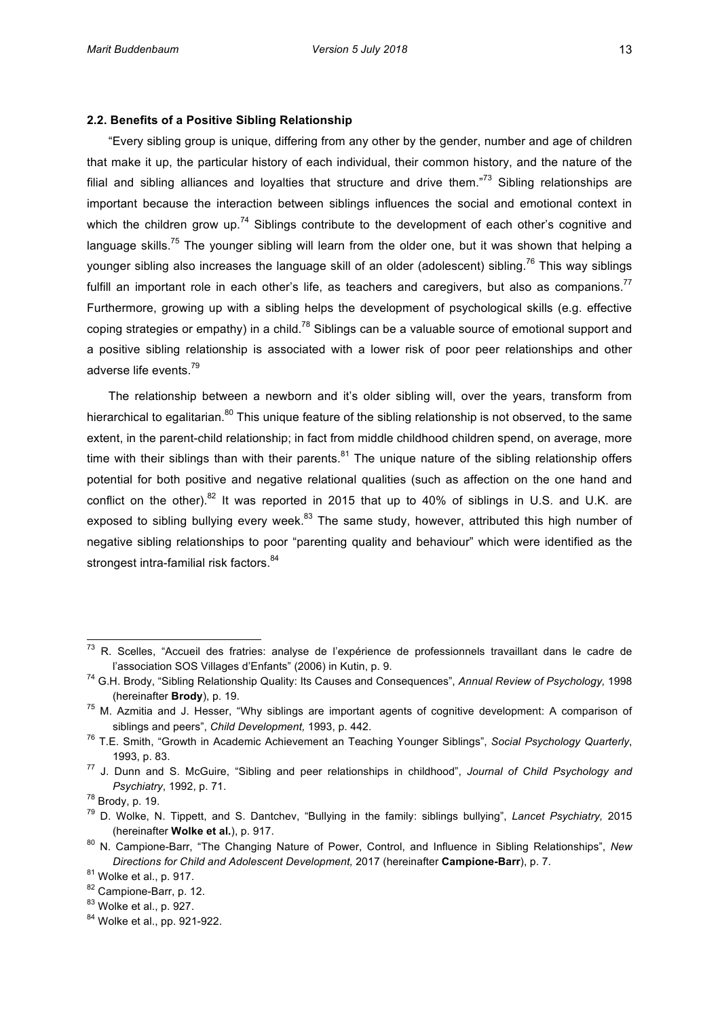# **2.2. Benefits of a Positive Sibling Relationship**

"Every sibling group is unique, differing from any other by the gender, number and age of children' that make it up, the particular history of each individual, their common history, and the nature of the filial and sibling alliances and loyalties that structure and drive them."<sup>73</sup> Sibling relationships are important because the interaction between siblings influences the social and emotional context in which the children grow up.<sup>74</sup> Siblings contribute to the development of each other's cognitive and language skills.<sup>75</sup> The younger sibling will learn from the older one, but it was shown that helping a younger sibling also increases the language skill of an older (adolescent) sibling.<sup>76</sup> This way siblings fulfill an important role in each other's life, as teachers and caregivers, but also as companions.<sup>77</sup> Furthermore, growing up with a sibling helps the development of psychological skills (e.g. effective) coping strategies or empathy) in a child.<sup>78</sup> Siblings can be a valuable source of emotional support and a positive sibling relationship is associated with a lower risk of poor peer relationships and other adverse life events.<sup>79</sup>

The relationship between a newborn and it's older sibling will, over the years, transform from hierarchical to egalitarian.<sup>80</sup> This unique feature of the sibling relationship is not observed, to the same extent, in the parent-child relationship; in fact from middle childhood children spend, on average, more time with their siblings than with their parents.<sup>81</sup> The unique nature of the sibling relationship offers potential for both positive and negative relational qualities (such as affection on the one hand and conflict on the other).<sup>82</sup> It was reported in 2015 that up to 40% of siblings in U.S. and U.K. are exposed to sibling bullying every week. $83$  The same study, however, attributed this high number of negative sibling relationships to poor "parenting quality and behaviour" which were identified as the strongest intra-familial risk factors.<sup>84</sup>

 $^{73}$  R. Scelles, "Accueil des fratries: analyse de l'expérience de professionnels travaillant dans le cadre de l'association SOS Villages d'Enfants" (2006) in Kutin, p. 9.

<sup>&</sup>lt;sup>74</sup> G.H. Brody, "Sibling Relationship Quality: Its Causes and Consequences", Annual Review of Psychology, 1998 (hereinafter **Brody**), p. 19.

 $75$  M. Azmitia and J. Hesser, "Why siblings are important agents of cognitive development: A comparison of siblings and peers", *Child Development*, 1993, p. 442.

<sup>&</sup>lt;sup>76</sup> T.E. Smith, "Growth in Academic Achievement an Teaching Younger Siblings", Social Psychology Quarterly, 1993, p. 83.

<sup>&</sup>lt;sup>77</sup> J. Dunn and S. McGuire, "Sibling and peer relationships in childhood", *Journal of Child Psychology and Psychiatry*, 1992, p. 71.

 $78$  Brody, p. 19.

<sup>&</sup>lt;sup>79</sup> D. Wolke, N. Tippett, and S. Dantchev, "Bullying in the family: siblings bullying", Lancet Psychiatry, 2015 (hereinafter Wolke et al.), p. 917.

<sup>&</sup>lt;sup>80</sup> N. Campione-Barr, "The Changing Nature of Power, Control, and Influence in Sibling Relationships", New *Directions for Child and Adolescent Development, 2017 (hereinafter Campione-Barr), p. 7.* 

 $81$  Wolke et al., p. 917.

<sup>82</sup> Campione-Barr, p. 12.

 $83$  Wolke et al., p. 927.

<sup>84</sup> Wolke et al., pp. 921-922.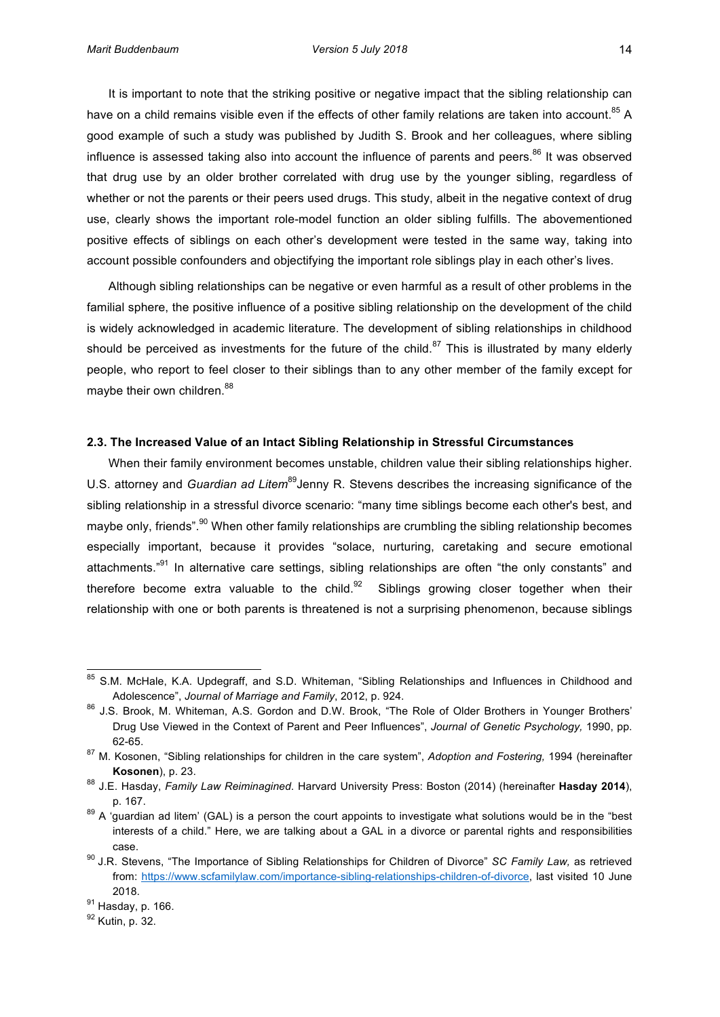It is important to note that the striking positive or negative impact that the sibling relationship can have on a child remains visible even if the effects of other family relations are taken into account.<sup>85</sup> A good example of such a study was published by Judith S. Brook and her colleagues, where sibling influence is assessed taking also into account the influence of parents and peers.<sup>86</sup> It was observed that drug use by an older brother correlated with drug use by the younger sibling, regardless of whether' or not the parents or their peers' used drugs. This study, albeit in the negative context of drug use, clearly shows the important role-model function an older sibling fulfills. The abovementioned positive effects of siblings on each other's development were tested in the same way, taking into

Although sibling relationships can be negative or even harmful as a result of other problems in the familial sphere, the positive influence of a positive sibling relationship on the development of the child is widely acknowledged in academic literature. The development of sibling relationships in childhood should be perceived as investments for the future of the child.<sup>87</sup> This is illustrated by many elderly people, who report to feel closer to their siblings than to any other member of the family except for maybe their own children.<sup>88</sup>

account possible confounders and objectifying the important role siblings play in each other's lives.

#### **2.3. The Increased Value of an Intact Sibling Relationship in Stressful Circumstances**

When their family environment becomes unstable, children value their sibling relationships higher. U.S. attorney and *Guardian ad Litem*<sup>89</sup>Jenny R. Stevens describes the increasing significance of the sibling relationship in a stressful divorce scenario: "many time siblings become each other's best, and maybe only, friends".<sup>90</sup> When other family relationships are crumbling the sibling relationship becomes' especially important, because it provides "solace, nurturing, caretaking and secure emotional attachments."<sup>91</sup> In alternative care settings, sibling relationships are often "the only constants" and therefore become extra valuable to the child.<sup>92</sup> Siblings growing closer together when their relationship with one or both parents is threatened is not a surprising phenomenon, because siblings

<sup>&</sup>lt;sup>85</sup> S.M. McHale, K.A. Updegraff, and S.D. Whiteman, "Sibling Relationships and Influences in Childhood and Adolescence", Journal of Marriage and Family, 2012, p. 924.

<sup>&</sup>lt;sup>86</sup> J.S. Brook, M. Whiteman, A.S. Gordon and D.W. Brook, "The Role of Older Brothers in Younger Brothers' Drug Use Viewed in the Context of Parent and Peer Influences", *Journal of Genetic Psychology*, 1990, pp. 62-65.

<sup>&</sup>lt;sup>87</sup> M. Kosonen, "Sibling relationships for children in the care system", *Adoption and Fostering,* 1994 (hereinafter **Kosonen**), p. 23.

<sup>88</sup> J.E. Hasday, *Family Law Reiminagined*. Harvard University Press: Boston (2014) (hereinafter **Hasday 2014**), p.'167.

 $89$  A 'guardian ad litem' (GAL) is a person the court appoints to investigate what solutions would be in the "best interests of a child." Here, we are talking about a GAL in a divorce or parental rights and responsibilities case.

<sup>&</sup>lt;sup>90</sup> J.R. Stevens, "The Importance of Sibling Relationships for Children of Divorce" *SC Family Law,* as retrieved from: https://www.scfamilylaw.com/importance-sibling-relationships-children-of-divorce, last visited 10 June 2018.

 $91$  Hasday, p. 166.

 $92$  Kutin, p. 32.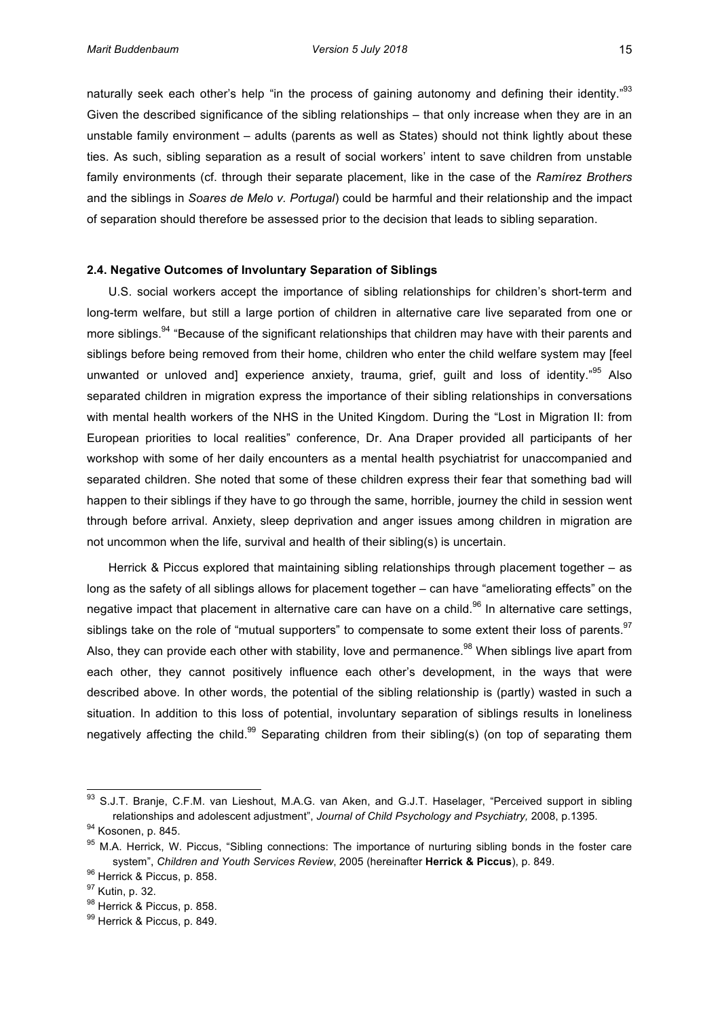naturally seek each other's help "in the process of gaining autonomy and defining their identity."<sup>93</sup> Given the described significance of the sibling relationships – that only increase when they are in an unstable family environment - adults (parents as well as States) should not think lightly about these ties. As such, sibling separation as a result of social workers' intent to save children from unstable family environments (cf. through their separate placement, like in the case of the Ramírez Brothers and the siblings in *Soares de Melo v. Portugal*) could be harmful and their relationship and the impact

of separation's hould therefore be assessed prior to the decision that leads to sibling separation.

#### **2.4. Negative Outcomes of Involuntary Separation of Siblings**

U.S. social workers accept the importance of sibling relationships for children's short-term and long-term welfare, but still a large portion of children in alternative care live separated from one or more siblings.<sup>94</sup> "Because of the significant relationships that children may have with their parents and siblings before being removed from their home, children who enter the child welfare system may [feel unwanted or unloved and] experience anxiety, trauma, grief, guilt and loss of identity."<sup>95</sup> Also separated children in migration express the importance of their sibling relationships in conversations with mental health workers of the NHS in the United Kingdom. During the "Lost in Migration II: from European priorities to local realities" conference, Dr. Ana Draper provided all participants of her workshop with some of her daily encounters as a mental health psychiatrist for unaccompanied and separated children. She noted that some of these children express their fear that something bad will happen to their siblings if they have to go through the same, horrible, journey the child in session went through before arrival. Anxiety, sleep deprivation and anger issues among children in migration are not uncommon when the life, survival and health of their sibling(s) is uncertain.

Herrick & Piccus explored that maintaining sibling relationships through placement together – as long as the safety of all siblings allows for placement together – can have "ameliorating effects" on the negative impact that placement in alternative care can have on a child.<sup>96</sup> In alternative care settings, siblings take on the role of "mutual supporters" to compensate to some extent their loss of parents.<sup>97</sup> Also, they can provide each other with stability, love and permanence.<sup>98</sup> When siblings live apart from each other, they cannot positively influence each other's development, in the ways that were described above. In other words, the potential of the sibling relationship is (partly) wasted in such a situation. In addition to this loss of potential, involuntary separation of siblings results in loneliness negatively affecting the child.<sup>99</sup> Separating children from their sibling(s) (on top of separating them

<sup>&</sup>lt;sup>93</sup> S.J.T. Branje, C.F.M. van Lieshout, M.A.G. van Aken, and G.J.T. Haselager, "Perceived support in sibling relationships and adolescent adjustment", *Journal of Child Psychology and Psychiatry*, 2008, p.1395.

<sup>94</sup> Kosonen, p. 845.

<sup>&</sup>lt;sup>95</sup> M.A. Herrick, W. Piccus, "Sibling connections: The importance of nurturing sibling bonds in the foster care system", Children and Youth Services Review, 2005 (hereinafter Herrick & Piccus), p. 849.

<sup>96</sup> Herrick & Piccus, p. 858.

<sup>&</sup>lt;sup>97</sup> Kutin, p. 32.

<sup>98</sup> Herrick & Piccus, p. 858.

<sup>99</sup> Herrick & Piccus, p. 849.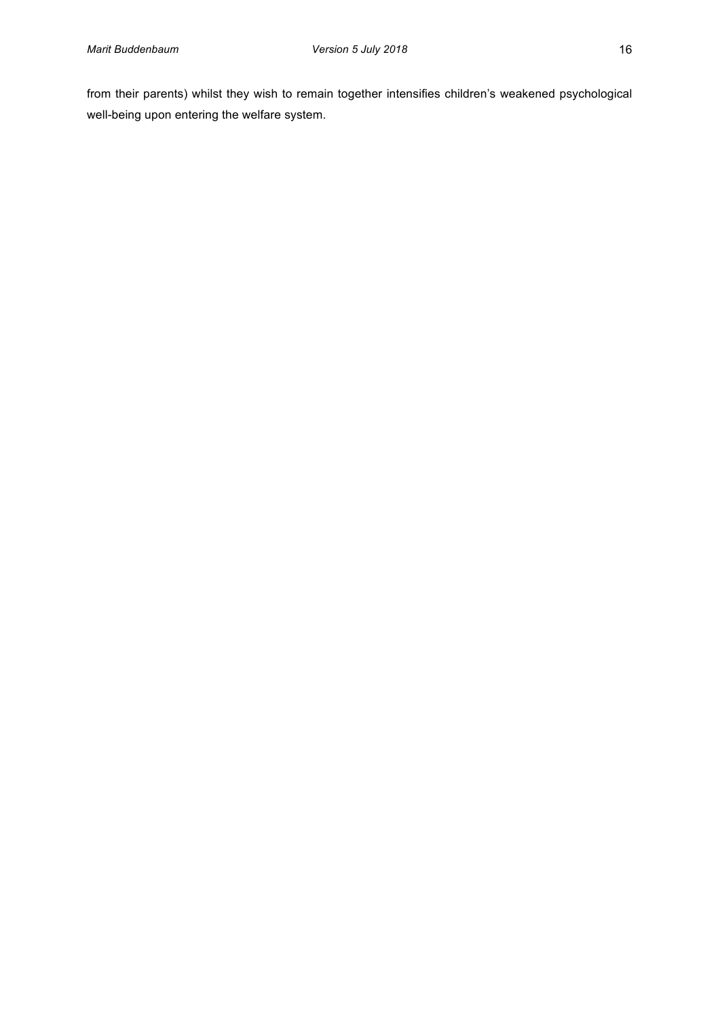from their parents) whilst they wish to remain together intensifies children's weakened psychological well-being upon entering the welfare system.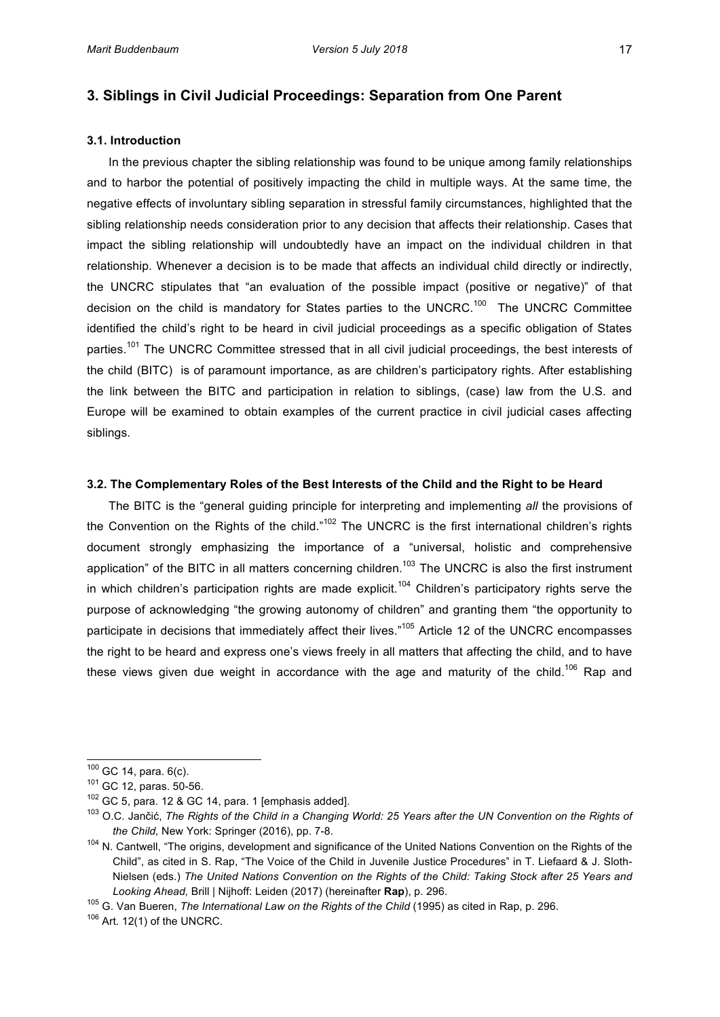# **3. Siblings in Civil Judicial Proceedings: Separation from One Parent**

## **3.1. Introduction**

In the previous chapter the sibling relationship was found to be unique among family relationships and to harbor the potential of positively impacting the child in multiple ways. At the same time, the negative effects of involuntary sibling separation in stressful family circumstances, highlighted that the sibling relationship needs consideration prior to any decision that affects their relationship. Cases that impact the sibling relationship will undoubtedly have an impact on the individual children in that relationship. Whenever a decision is to be made that affects an individual child directly or indirectly, the UNCRC stipulates that "an evaluation of the possible impact (positive or negative)" of that decision on the child is mandatory for States parties to the UNCRC.<sup>100</sup> The UNCRC Committee identified the child's right to be heard in civil judicial proceedings as a specific obligation of States parties.<sup>101</sup> The UNCRC Committee stressed that in all civil judicial proceedings, the best interests of the child (BITC) is of paramount importance, as are children's participatory rights. After establishing the link between the BITC and participation in relation to siblings, (case) law from the U.S. and Europe will be examined to obtain examples of the current practice in civil judicial cases affecting siblings.

## **3.2. The Complementary Roles of the Best Interests of the Child and the Right to be Heard**

The BITC is the "general guiding principle for interpreting and implementing *all* the provisions of the Convention on the Rights of the child."<sup>102</sup> The UNCRC is the first international children's rights document strongly emphasizing the importance of a "universal, holistic and comprehensive application" of the BITC in all matters concerning children.<sup>103</sup> The UNCRC is also the first instrument in which children's participation rights are made explicit.<sup>104</sup> Children's participatory rights serve the purpose of acknowledging "the growing autonomy of children" and granting them "the opportunity to participate in decisions that immediately affect their lives."<sup>105</sup> Article 12 of the UNCRC encompasses the right to be heard and express one's views freely in all matters that affecting the child, and to have these views given due weight in accordance with the age and maturity of the child.<sup>106</sup> Rap and

 $^{100}$  GC 14, para. 6(c).

 $101$  GC 12, paras. 50-56.

 $102$  GC 5, para. 12 & GC 14, para. 1 [emphasis added].

<sup>&</sup>lt;sup>103</sup> O.C. Jančić, The Rights of the Child in a Changing World: 25 Years after the UN Convention on the Rights of *the Child, New York: Springer (2016), pp. 7-8.* 

<sup>&</sup>lt;sup>104</sup> N. Cantwell, "The origins, development and significance of the United Nations Convention on the Rights of the Child", as cited in S. Rap, "The Voice of the Child in Juvenile Justice Procedures" in T. Liefaard & J. Sloth-Nielsen (eds.) The United Nations Convention on the Rights of the Child: Taking Stock after 25 Years and Looking Ahead, Brill | Nijhoff: Leiden (2017) (hereinafter **Rap**), p. 296.

<sup>&</sup>lt;sup>105</sup> G. Van Bueren, *The International Law on the Rights of the Child* (1995) as cited in Rap, p. 296.

 $106$  Art. 12(1) of the UNCRC.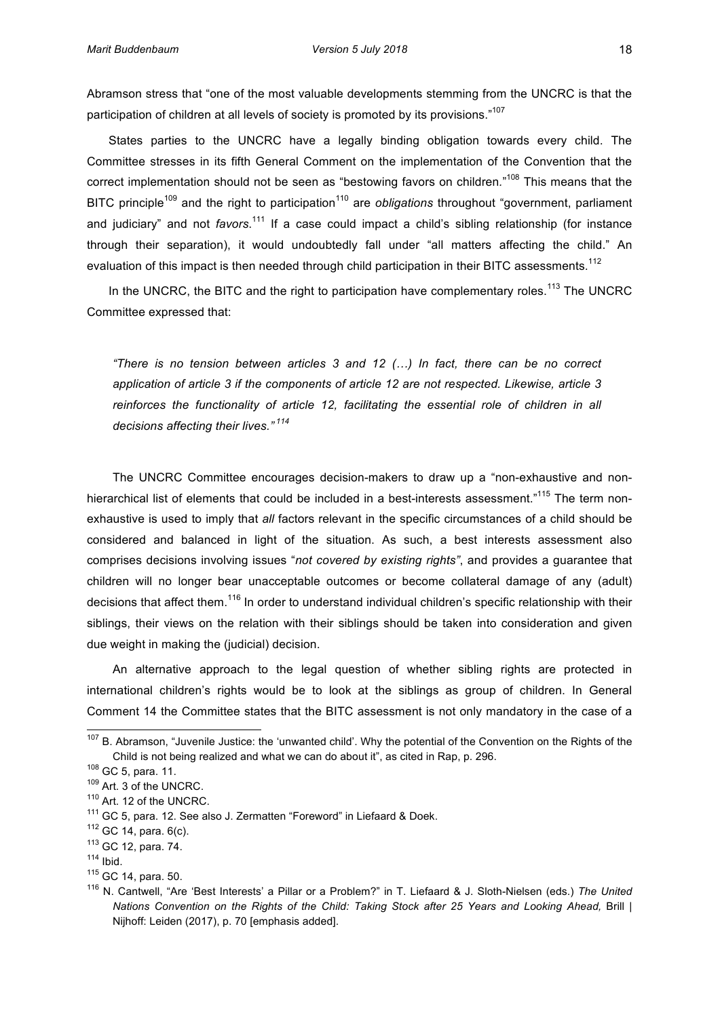Abramson stress that "one of the most valuable developments stemming from the UNCRC is that the participation of children at all levels of society is promoted by its provisions."<sup>107</sup>

States parties to the UNCRC have a legally binding obligation towards every child. The Committee stresses in its fifth General Comment on the implementation of the Convention that the correct implementation should not be seen as "bestowing favors on children."<sup>108</sup> This means that the BITC principle<sup>109</sup> and the right to participation<sup>110</sup> are *obligations* throughout "government, parliament and judiciary" and not *favors*.<sup>111</sup> If a case could impact a child's sibling relationship (for instance through their separation), it would undoubtedly fall under "all matters affecting the child." An evaluation of this impact is then needed through child participation in their BITC assessments.<sup>112</sup>

In the UNCRC, the BITC and the right to participation have complementary roles.<sup>113</sup> The UNCRC Committee expressed that:

*"There is no tension between articles 3 and 12 (...)* In fact, there can be no correct application of article 3 if the components of article 12 are not respected. Likewise, article 3 reinforces the functionality of article 12, facilitating the essential role of children in all *decisions affecting their lives."* <sup>114</sup>

The UNCRC Committee encourages decision-makers to draw up a "non-exhaustive and nonhierarchical list of elements that could be included in a best-interests assessment."<sup>115</sup> The term nonexhaustive is used to imply that *all* factors relevant in the specific circumstances of a child should be considered and balanced in light of the situation. As such, a best interests assessment also comprises decisions involving issues "not covered by existing rights", and provides a guarantee that children' will no longer bear unacceptable outcomes or become collateral damage of any (adult) decisions that affect them.<sup>116</sup> In order to understand individual children's specific relationship with their siblings, their views on the relation with their siblings should be taken into consideration and given due weight in making the (judicial) decision.

An alternative approach to the legal question of whether sibling rights are protected in international children's rights would be to look at the siblings as group of children. In General Comment 14 the Committee states that the BITC assessment is not only mandatory in the case of a

 $107$  B. Abramson, "Juvenile Justice: the 'unwanted child'. Why the potential of the Convention on the Rights of the Child is not being realized and what we can do about it", as cited in Rap, p. 296.

 $108$  GC 5, para. 11.

 $109$  Art. 3 of the UNCRC.

<sup>&</sup>lt;sup>110</sup> Art. 12 of the UNCRC.

<sup>&</sup>lt;sup>111</sup> GC 5, para. 12. See also J. Zermatten "Foreword" in Liefaard & Doek.

 $112$  GC 14, para.  $6(c)$ .

 $113$  GC 12, para. 74.

 $114$  Ibid.

 $115$  GC 14, para. 50.

<sup>&</sup>lt;sup>116</sup> N. Cantwell, "Are 'Best Interests' a Pillar or a Problem?" in T. Liefaard & J. Sloth-Nielsen (eds.) The United *Nations Convention on the Rights of the Child: Taking Stock after 25 Years and Looking Ahead, Brill* Nijhoff: Leiden (2017), p. 70 [emphasis added].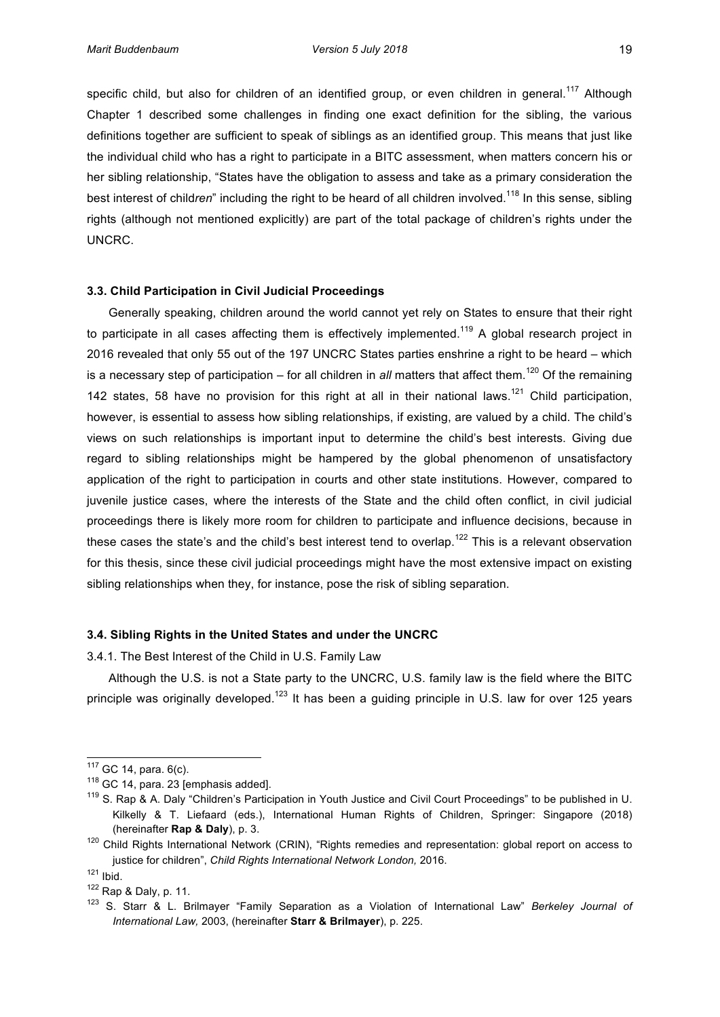specific child, but also for children of an identified group, or even children in general.<sup>117</sup> Although Chapter 1 described some challenges in finding one exact definition for the sibling, the various definitions together are sufficient to speak of siblings as an identified group. This means that just like the individual child who has a right to participate in a BITC assessment, when matters concern his or her sibling relationship, "States have the obligation to assess and take as a primary consideration the best interest of children" including the right to be heard of all children involved.<sup>118</sup> In this sense, sibling rights' (although not mentioned explicitly) are part of the total package of children's rights under the UNCRC.

# **3.3. Child Participation in Civil Judicial Proceedings**

Generally speaking, children around the world cannot yet rely on States to ensure that their right to participate in all cases affecting them is effectively implemented.<sup>119</sup> A global research project in 2016 revealed that only 55 out of the 197 UNCRC States parties enshrine a right to be heard – which is a necessary step of participation – for all children in *all* matters that affect them.<sup>120</sup> Of the remaining 142 states, 58 have no provision for this right at all in their national laws.<sup>121</sup> Child participation, however, is essential to assess how sibling relationships, if existing, are valued by a child. The child's views on such relationships is important input to determine the child's best interests. Giving due regard to sibling relationships might be hampered by the global phenomenon of unsatisfactory application of the right to participation in courts and other state institutions. However, compared to juvenile justice cases, where the interests of the State and the child often conflict, in civil judicial proceedings there is likely more room for children to participate and influence decisions, because in these cases the state's and the child's best interest tend to overlap.<sup>122</sup> This is a relevant observation for this thesis, since these civil judicial proceedings might have the most extensive impact on existing sibling relationships when they, for instance, pose the risk of sibling separation.

# **3.4. Sibling Rights in the United States and under the UNCRC**

3.4.1. The Best Interest of the Child in U.S. Family Law

Although the U.S. is not a State party to the UNCRC, U.S. family law is the field where the BITC principle was originally developed.<sup>123</sup> It has been a quiding principle in U.S. law for over 125 years

 $^{117}$  GC 14, para. 6(c).

 $118$  GC 14, para. 23 [emphasis added].

<sup>&</sup>lt;sup>119</sup> S. Rap & A. Daly "Children's Participation in Youth Justice and Civil Court Proceedings" to be published in U. Kilkelly & T. Liefaard (eds.), International Human Rights of Children, Springer: Singapore (2018) (hereinafter **Rap & Daly**), p. 3.

 $120$  Child Rights International Network (CRIN), "Rights remedies and representation: global report on access to justice for children", *Child Rights International Network London,* 2016.

 $121$  Ibid.

 $122$  Rap & Daly, p. 11.

<sup>123</sup> S. Starr & L. Brilmayer "Family Separation as a Violation of International Law" *Berkeley Journal of International Law, 2003, (hereinafter Starr & Brilmayer), p. 225.*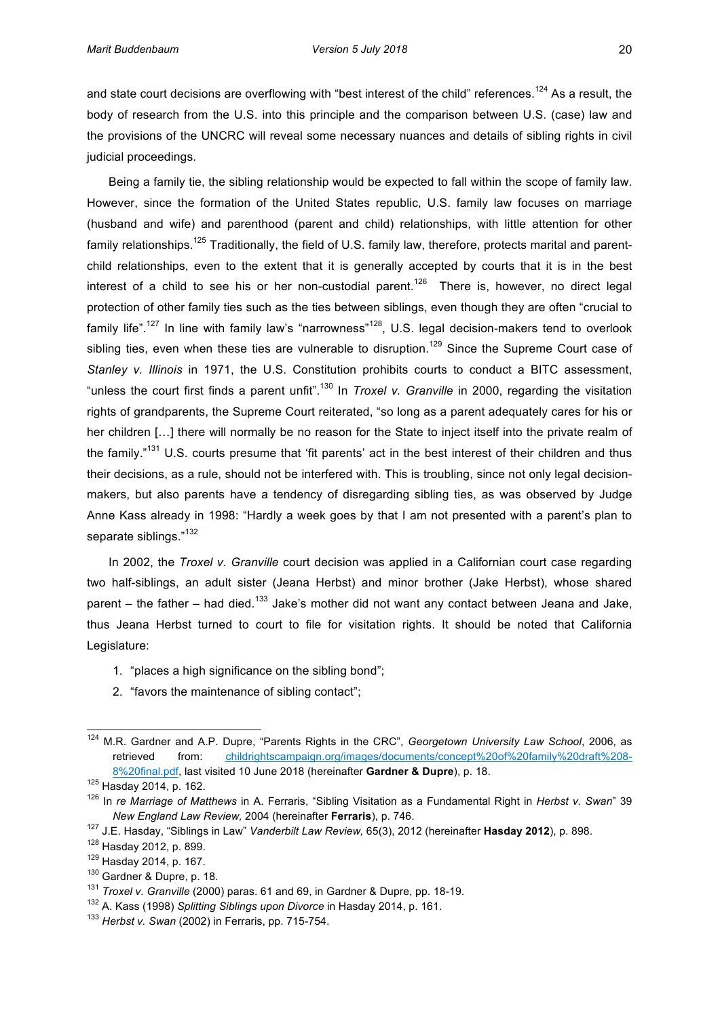and state court decisions are overflowing with "best interest of the child" references.<sup>124</sup> As a result, the body of research from the U.S. into this principle and the comparison between U.S. (case) law and the provisions of the UNCRC will reveal some necessary nuances and details of sibling rights in civil judicial proceedings.

Being a family tie, the sibling relationship would be expected to fall within the scope of family law. However, since the formation of the United States republic, U.S. family law focuses on marriage (husband and wife) and parenthood (parent and child) relationships, with little attention for other family relationships.<sup>125</sup> Traditionally, the field of U.S. family law, therefore, protects marital and parentchild relationships, even to the extent that it is generally accepted by courts that it is in the best interest of a child to see his or her non-custodial parent.<sup>126</sup> There is, however, no direct legal protection of other family ties such as the ties between siblings, even though they are often "crucial to family life".<sup>127</sup> In line with family law's "narrowness"<sup>128</sup>, U.S. legal decision-makers tend to overlook sibling ties, even when these ties are vulnerable to disruption.<sup>129</sup> Since the Supreme Court case of *Stanley v. Illinois* in 1971, the U.S. Constitution prohibits courts to conduct a BITC assessment, "unless the court first finds a parent unfit".<sup>130</sup> In *Troxel v. Granville* in 2000, regarding the visitation rights of grandparents, the Supreme Court reiterated, "so long as a parent adequately cares for his or her children [...] there will normally be no reason for the State to inject itself into the private realm of the family."<sup>131</sup> U.S. courts presume that 'fit parents' act in the best interest of their children and thus their decisions, as a rule, should not be interfered with. This is troubling, since not only legal decisionmakers, but also parents have a tendency of disregarding sibling ties, as was observed by Judge Anne Kass already in 1998: "Hardly a week goes by that I am not presented with a parent's plan to separate siblings."<sup>132</sup>

In 2002, the *Troxel v. Granville* court decision was applied in a Californian court case regarding two half-siblings, an adult sister (Jeana Herbst) and minor brother (Jake Herbst), whose shared parent – the father – had died.<sup>133</sup> Jake's mother did not want any contact between Jeana and Jake. thus Jeana Herbst turned to court to file for visitation rights. It should be noted that California Legislature:

- 1. "places a high significance on the sibling bond";
- 2. "favors the maintenance of sibling contact";

<sup>&</sup>lt;sup>124</sup> M.R. Gardner and A.P. Dupre, "Parents Rights in the CRC", *Georgetown University Law School*, 2006, as retrieved from: childrightscampaign.org/images/documents/concept%20of%20family%20draft%208-8%20final.pdf, last visited 10 June 2018 (hereinafter Gardner & Dupre), p. 18.

<sup>125</sup> Hasday 2014, p. 162.

<sup>&</sup>lt;sup>126</sup> In *re Marriage of Matthews* in A. Ferraris, "Sibling Visitation as a Fundamental Right in *Herbst v. Swan*" 39 *New England Law Review, 2004 (hereinafter Ferraris), p. 746.* 

<sup>&</sup>lt;sup>127</sup> J.E. Hasday, "Siblings in Law" *Vanderbilt Law Review,* 65(3), 2012 (hereinafter **Hasday 2012**), p. 898.

<sup>128</sup> Hasday 2012, p. 899.

<sup>129</sup> Hasday 2014, p. 167.

 $130$  Gardner & Dupre, p. 18.

<sup>&</sup>lt;sup>131</sup> *Troxel v. Granville* (2000) paras. 61 and 69, in Gardner & Dupre, pp. 18-19.

<sup>&</sup>lt;sup>132</sup> A. Kass (1998) Splitting Siblings upon Divorce in Hasday 2014, p. 161.

<sup>&</sup>lt;sup>133</sup> Herbst v. Swan (2002) in Ferraris, pp. 715-754.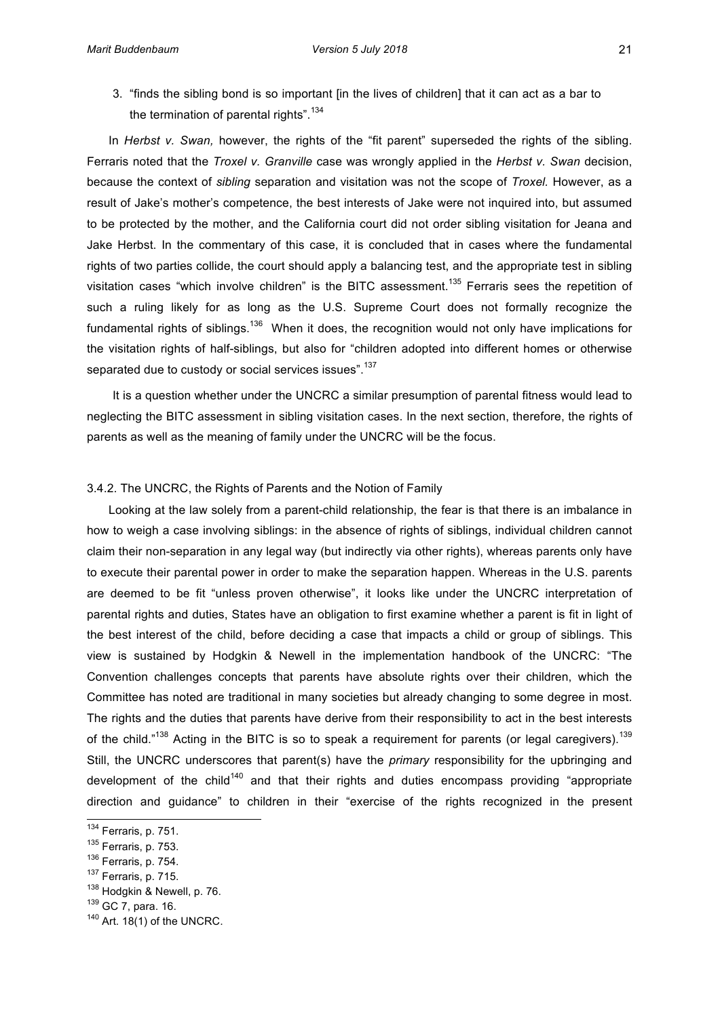3. "finds the sibling bond is so important [in the lives of children] that it can act as a bar to the termination of parental rights".<sup>134</sup>

In *Herbst v. Swan*, however, the rights of the "fit parent" superseded the rights of the sibling. Ferraris noted that the *Troxel v. Granville* case was wrongly applied in the *Herbst v. Swan* decision, because the context of *sibling* separation and visitation was not the scope of *Troxel*. However, as a result of Jake's mother's competence, the best interests of Jake were not inquired into, but assumed to be protected by the mother, and the California court did not order sibling visitation for Jeana and Jake Herbst. In the commentary of this case, it is concluded that in cases where the fundamental rights of two parties collide, the court should apply a balancing test, and the appropriate test in sibling visitation cases "which involve children" is the BITC assessment.<sup>135</sup> Ferraris sees the repetition of such a ruling likely for as long as the U.S. Supreme Court does not formally recognize the fundamental rights of siblings.<sup>136</sup> When it does, the recognition would not only have implications for the visitation rights of half-siblings, but also for "children adopted into different homes or otherwise separated due to custody or social services issues".<sup>137</sup>

It is a question whether under the UNCRC a similar presumption of parental fitness would lead to neglecting the BITC assessment in sibling visitation cases. In the next section, therefore, the rights of parents as well as the meaning of family under the UNCRC will be the focus.

# 3.4.2. The UNCRC, the Rights of Parents and the Notion of Family

Looking at the law solely from a parent-child relationship, the fear is that there is an imbalance in how to weigh a case involving siblings: in the absence of rights of siblings, individual children cannot claim'their non-separation' in any legal way (but indirectly via other rights), whereas parents only have to execute their parental power in order to make the separation happen. Whereas in the U.S. parents are deemed to be fit "unless proven otherwise", it looks like under the UNCRC interpretation of parental rights and duties, States have an obligation to first examine whether a parent is fit in light of the best interest of the child, before deciding a case that impacts a child or group of siblings. This view is sustained by Hodgkin & Newell in the implementation handbook of the UNCRC: "The Convention' challenges' concepts that parents' have absolute rights over their children, which the Committee'has noted are traditional in many societies but already changing to some degree in most. The rights and the duties that parents have derive from their responsibility to act in the best interests of the child."<sup>138</sup> Acting in the BITC is so to speak a requirement for parents (or legal caregivers).<sup>139</sup> Still, the UNCRC underscores that parent(s) have the *primary* responsibility for the upbringing and development of the child<sup>140</sup> and that their rights and duties encompass providing "appropriate direction and quidance" to children in their "exercise of the rights recognized in the present

 $^{134}$  Ferraris, p. 751.

 $135$  Ferraris, p. 753.

 $136$  Ferraris, p. 754.

 $137$  Ferraris, p. 715.

<sup>138</sup> Hodgkin & Newell, p. 76.

 $139$  GC 7, para. 16.

 $140$  Art. 18(1) of the UNCRC.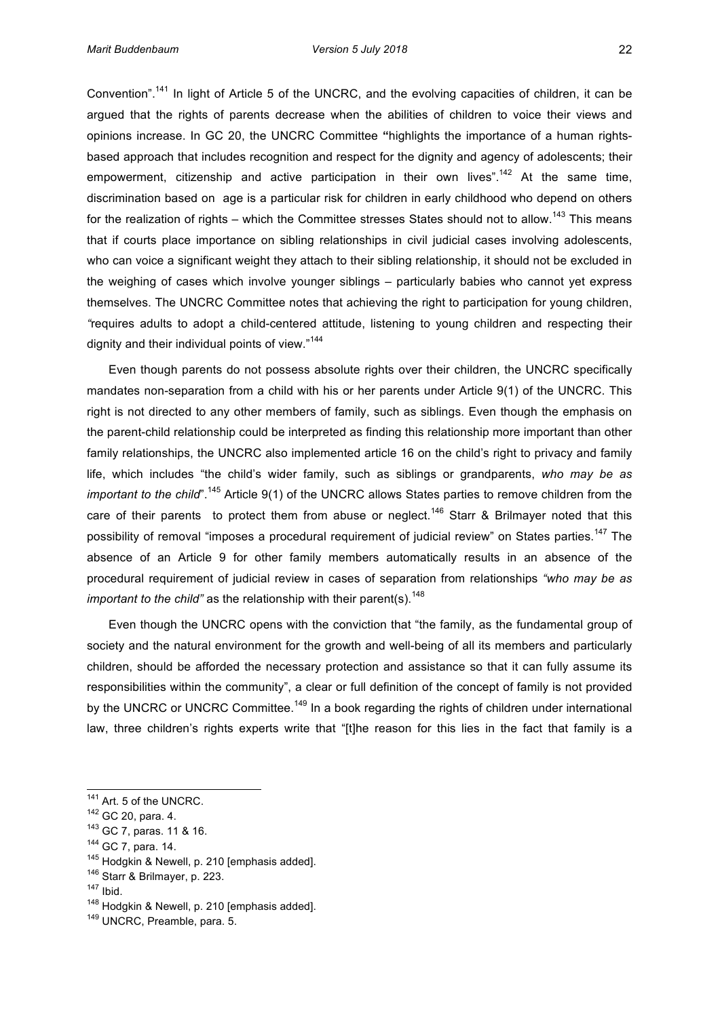Convention".<sup>141</sup> In light of Article 5 of the UNCRC, and the evolving capacities of children, it can be argued that the rights of parents decrease when the abilities of children to voice their views and opinions increase. In GC 20, the UNCRC Committee "highlights the importance of a human rightsbased approach that includes recognition and respect for the dignity and agency of adolescents; their empowerment, citizenship and active participation in their own lives".<sup>142</sup> At the same time, discrimination based on age is a particular risk for children in early childhood who depend on others for the realization of rights – which the Committee stresses States should not to allow.<sup>143</sup> This means that if courts place importance on sibling relationships in civil judicial cases involving adolescents, who can voice a significant weight they attach to their sibling relationship, it should not be excluded in the weighing of cases which involve younger siblings – particularly babies who cannot yet express themselves. The UNCRC Committee notes that achieving the right to participation for young children, "requires adults to adopt a child-centered attitude, listening to young children and respecting their dignity and their individual points of view."<sup>144</sup>

Even though parents do not possess absolute rights over their children, the UNCRC specifically mandates' non-separation from a child with his or her parents under Article 9(1) of the UNCRC. This right is not directed to any other members of family, such as siblings. Even though the emphasis on the parent-child relationship could be interpreted as finding this relationship more important than other family relationships, the UNCRC also implemented article 16 on the child's right to privacy and family life, which includes "the child's wider family, such as siblings or grandparents, who may be as *important to the child*".<sup>145</sup> Article 9(1) of the UNCRC allows States parties to remove children from the care of their parents to protect them from abuse or neglect.<sup>146</sup> Starr & Brilmayer noted that this possibility of removal "imposes a procedural requirement of judicial review" on States parties.<sup>147</sup> The absence of an Article 9 for other family members automatically results in an absence of the procedural requirement of judicial review in cases of separation from relationships "who may be as *important to the child"* as the relationship with their parent(s).<sup>148</sup>

Even though the UNCRC opens with the conviction that "the family, as the fundamental group of society and the natural environment for the growth and well-being of all its members and particularly children, should be afforded the necessary protection and assistance so that it can fully assume its responsibilities within the community", a clear or full definition of the concept of family is not provided by the UNCRC or UNCRC Committee.<sup>149</sup> In a book regarding the rights of children under international law, three children's rights experts write that "[t]he reason for this lies in the fact that family is a

 $141$  Art. 5 of the UNCRC.

 $142$  GC 20, para. 4.

<sup>&</sup>lt;sup>143</sup> GC 7, paras. 11 & 16.

 $144$  GC 7, para. 14.

 $145$  Hodgkin & Newell, p. 210 [emphasis added].

 $146$  Starr & Brilmayer, p. 223.

<sup>147</sup> Ibid.

 $148$  Hodgkin & Newell, p. 210 [emphasis added].

<sup>149</sup> UNCRC, Preamble, para. 5.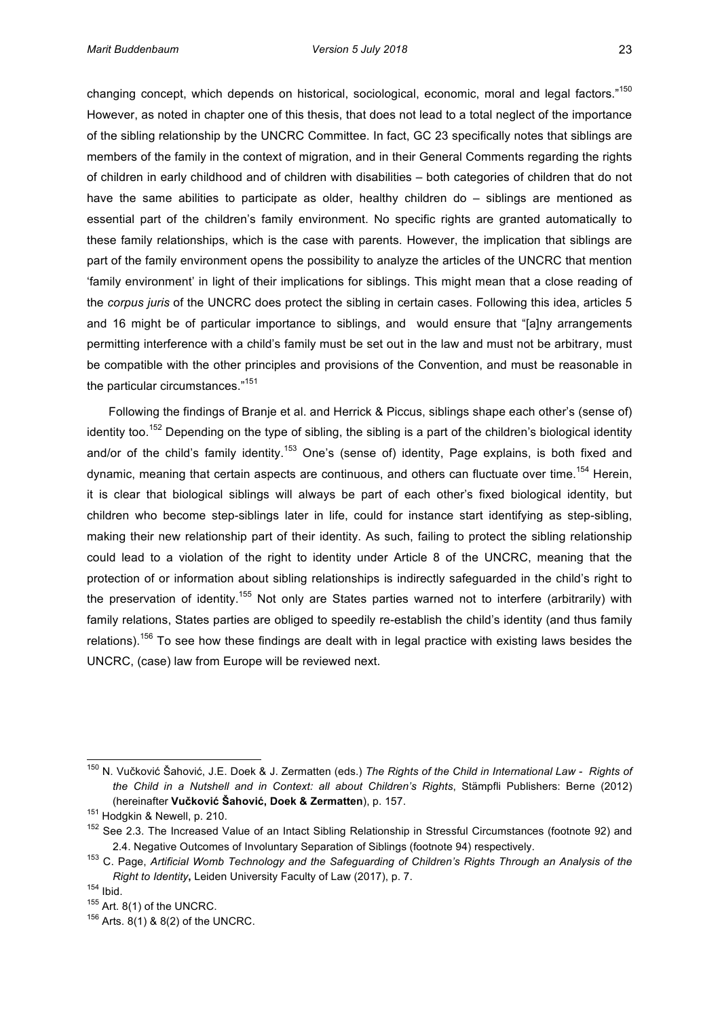changing concept, which depends on historical, sociological, economic, moral and legal factors."<sup>150</sup> However, as noted in chapter one of this thesis, that does not lead to a total neglect of the importance of the sibling relationship by the UNCRC Committee. In fact, GC 23 specifically notes that siblings are members of the family in the context of migration, and in their General Comments regarding the rights of children in early childhood and of children with disabilities – both categories of children that do not have the same abilities to participate as older, healthy children  $d\rho - \frac{1}{2}$  siblings are mentioned as essential part of the children's family environment. No specific rights are granted automatically to these family relationships, which is the case with parents. However, the implication that siblings are part of the family environment opens the possibility to analyze the articles of the UNCRC that mention 'family environment' in light of their implications for siblings. This might mean that a close reading of the *corpus juris* of the UNCRC does protect the sibling in certain cases. Following this idea, articles 5 and 16 might be of particular importance to siblings, and would ensure that "[a]ny arrangements' permitting interference with a child's family must be set out in the law and must not be arbitrary, must be compatible with the other principles and provisions of the Convention, and must be reasonable in the particular circumstances."<sup>151</sup>

Following the findings of Branje et al. and Herrick & Piccus, siblings shape each other's (sense of) identity too.<sup>152</sup> Depending on the type of sibling, the sibling is a part of the children's biological identity and/or of the child's family identity.<sup>153</sup> One's (sense of) identity, Page explains, is both fixed and dynamic, meaning that certain aspects are continuous, and others can fluctuate over time.<sup>154</sup> Herein, it is clear that biological siblings will always be part of each other's fixed biological identity, but children' who become step-siblings later in life, could for instance start identifying as step-sibling, making their new relationship part of their identity. As such, failing to protect the sibling relationship could lead to a violation of the right to identity under Article 8 of the UNCRC, meaning that the protection of or information about sibling relationships is indirectly safeguarded in the child's right to the preservation of identity.<sup>155</sup> Not only are States parties warned not to interfere (arbitrarily) with family relations, States parties are obliged to speedily re-establish the child's identity (and thus family) relations).<sup>156</sup> To see how these findings are dealt with in legal practice with existing laws besides the UNCRC, (case) law from Europe will be reviewed next.

<sup>&</sup>lt;sup>150</sup> N. Vučković Šahović, J.E. Doek & J. Zermatten (eds.) The Rights of the Child in International Law - Rights of *the Child in a Nutshell and in Context: all about Children's Rights*, Stämpfli Publishers: Berne (2012) (hereinafter Vučković Šahović, Doek & Zermatten), p. 157.

<sup>&</sup>lt;sup>151</sup> Hodgkin & Newell, p. 210.

 $152$  See 2.3. The Increased Value of an Intact Sibling Relationship in Stressful Circumstances (footnote 92) and 2.4. Negative Outcomes of Involuntary Separation of Siblings (footnote 94) respectively.

<sup>&</sup>lt;sup>153</sup> C. Page, Artificial Womb Technology and the Safeguarding of Children's Rights Through an Analysis of the *Right to Identity*, Leiden University Faculty of Law (2017), p. 7.

 $154$  Ibid.

 $155$  Art. 8(1) of the UNCRC.

 $156$  Arts.  $8(1)$  &  $8(2)$  of the UNCRC.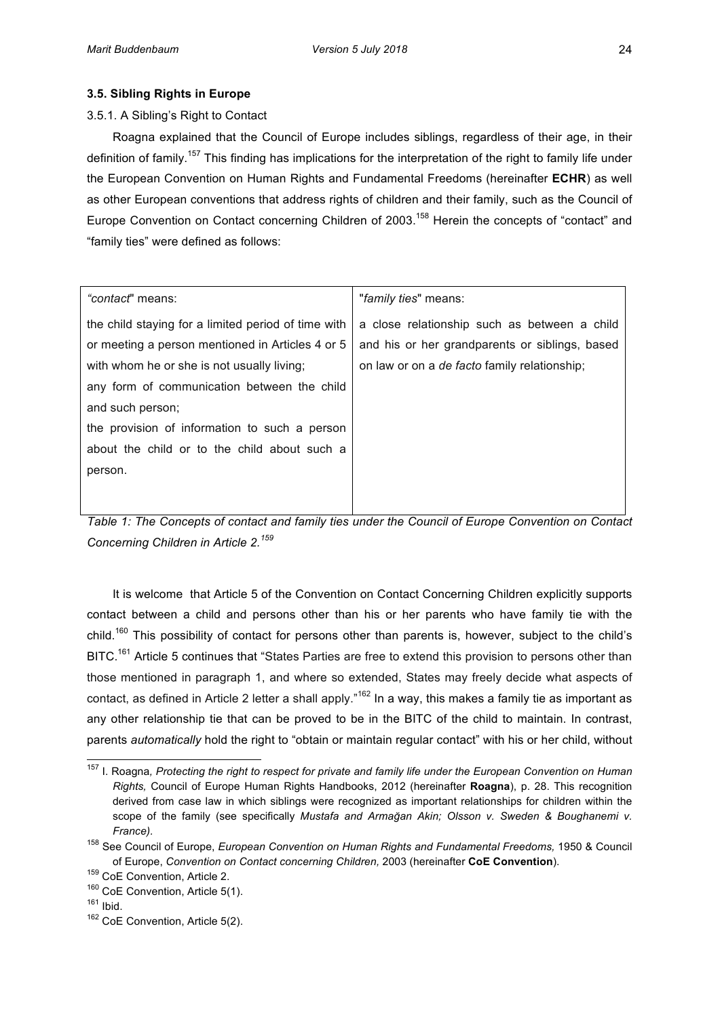# **3.5. Sibling Rights in Europe**

# 3.5.1. A Sibling's Right to Contact

Roagna explained that the Council of Europe includes siblings, regardless of their age, in their definition of family.<sup>157</sup> This finding has implications for the interpretation of the right to family life under the European Convention on Human Rights and Fundamental Freedoms (hereinafter **ECHR**) as well as other European conventions that address rights of children and their family, such as the Council of Europe Convention on Contact concerning Children of 2003.<sup>158</sup> Herein the concepts of "contact" and "family ties" were defined as follows:

| "contact" means:                                    | "family ties" means:                                |
|-----------------------------------------------------|-----------------------------------------------------|
| the child staying for a limited period of time with | a close relationship such as between a child        |
| or meeting a person mentioned in Articles 4 or 5    | and his or her grandparents or siblings, based      |
| with whom he or she is not usually living;          | on law or on a <i>de facto</i> family relationship; |
| any form of communication between the child         |                                                     |
| and such person;                                    |                                                     |
| the provision of information to such a person       |                                                     |
| about the child or to the child about such a        |                                                     |
| person.                                             |                                                     |
|                                                     |                                                     |
|                                                     |                                                     |

*Table 1: The Concepts of contact and family ties under the Council of Europe Convention on Contact Concerning&Children in&Article&2. 159*

It is welcome that Article 5 of the Convention on Contact Concerning Children explicitly supports contact between a child and persons other than his or her parents who have family tie with the child.<sup>160</sup> This possibility of contact for persons other than parents is, however, subject to the child's BITC.<sup>161</sup> Article 5 continues that "States Parties are free to extend this provision to persons other than those mentioned in paragraph 1, and where so extended, States may freely decide what aspects of contact, as defined in Article 2 letter a shall apply."<sup>162</sup> In a way, this makes a family tie as important as any other relationship tie that can be proved to be in the BITC of the child to maintain. In contrast, parents *automatically* hold the right to "obtain or maintain regular contact" with his or her child, without

<sup>&</sup>lt;sup>157</sup> I. Roagna, Protecting the right to respect for private and family life under the European Convention on Human *Rights, Council of Europe Human Rights Handbooks, 2012 (hereinafter Roagna), p. 28. This recognition* derived from case law in which siblings were recognized as important relationships for children within the scope of the family (see specifically *Mustafa and Armağan Akin; Olsson v. Sweden & Boughanemi v.*  $France$ *)*.

<sup>&</sup>lt;sup>158</sup> See Council of Europe, *European Convention on Human Rights and Fundamental Freedoms,* 1950 & Council of Europe, *Convention on Contact concerning Children*, 2003 (hereinafter CoE Convention).

 $159$  CoE Convention, Article 2.

 $160$  CoE Convention, Article 5(1).

 $161$  Ibid.

 $162$  CoE Convention, Article 5(2).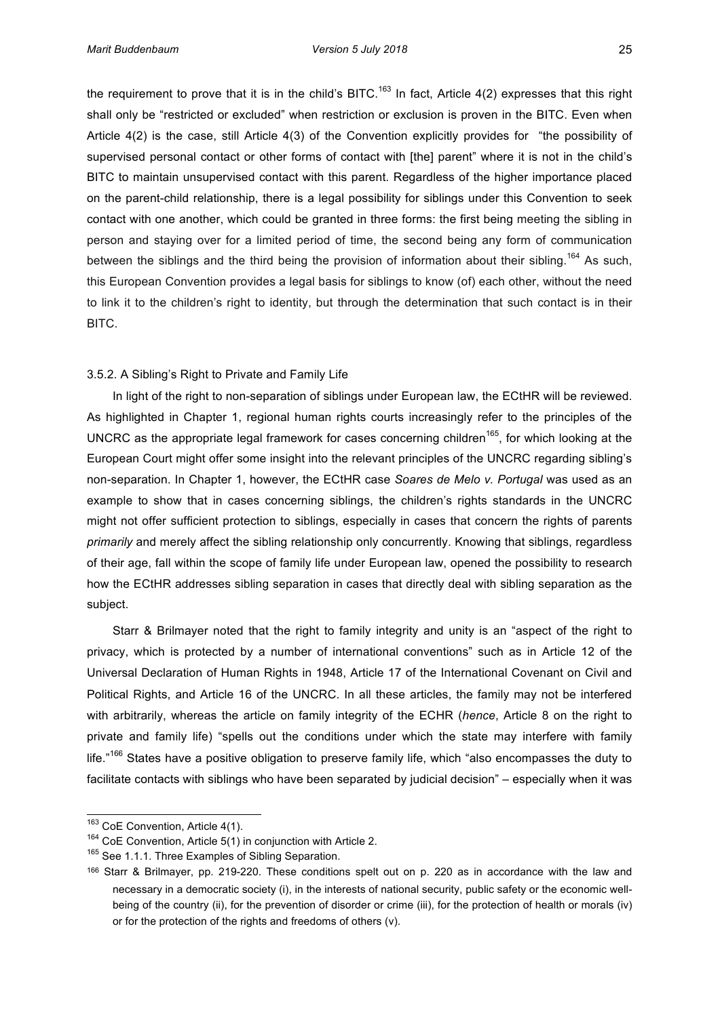the requirement to prove that it is in the child's BITC.<sup>163</sup> In fact, Article 4(2) expresses that this right shall only be "restricted or excluded" when restriction or exclusion is proven in the BITC. Even when Article  $4(2)$  is the case, still Article  $4(3)$  of the Convention explicitly provides for "the possibility of supervised personal contact or other forms of contact with [the] parent" where it is not in the child's BITC to maintain unsupervised contact with this parent. Regardless of the higher importance placed on'the parent-child relationship, there is a legal possibility for siblings under this Convention to seek contact with one another, which could be granted in three forms: the first being meeting the sibling in person and staying over for a limited period of time, the second being any form of communication between the siblings and the third being the provision of information about their sibling.<sup>164</sup> As such, this European Convention provides a legal basis for siblings to know (of) each other, without the need to link it to the children's right to identity, but through the determination that such contact is in their BITC.

#### 3.5.2. A Sibling's Right to Private and Family Life

In light of the right to non-separation of siblings under European law, the ECtHR will be reviewed. As highlighted in Chapter 1, regional human rights courts increasingly refer to the principles of the UNCRC as the appropriate legal framework for cases concerning children<sup>165</sup>, for which looking at the European Court might offer some insight into the relevant principles of the UNCRC regarding sibling's non-separation. In Chapter 1, however, the ECtHR case *Soares de Melo v. Portugal* was used as an example to show that in cases concerning siblings, the children's rights standards in the UNCRC might not offer sufficient protection to siblings, especially in cases that concern the rights of parents *primarily* and merely affect the sibling relationship only concurrently. Knowing that siblings, regardless of their age, fall within the scope of family life under European law, opened the possibility to research how the ECtHR addresses sibling separation in cases that directly deal with sibling separation as the subject.

Starr & Brilmayer noted that the right to family integrity and unity is an "aspect of the right to privacy, which is protected by a number of international conventions" such as in Article 12 of the Universal Declaration of Human Rights in 1948, Article 17 of the International Covenant on Civil and Political Rights, and Article 16 of the UNCRC. In all these articles, the family may not be interfered with arbitrarily, whereas the article on family integrity of the ECHR (hence, Article 8 on the right to private and family life) "spells out the conditions under which the state may interfere with family life."<sup>166</sup> States have a positive obligation to preserve family life, which "also encompasses the duty to facilitate contacts with siblings who have been separated by judicial decision" – especially when it was

 $^{163}$  CoE Convention, Article 4(1).

 $164$  CoE Convention, Article 5(1) in conjunction with Article 2.

<sup>&</sup>lt;sup>165</sup> See 1.1.1. Three Examples of Sibling Separation.

<sup>166</sup> Starr & Brilmayer, pp. 219-220. These conditions spelt out on p. 220 as in accordance with the law and necessary in a democratic society (i), in the interests of national security, public safety or the economic wellbeing of the country (ii), for the prevention of disorder or crime (iii), for the protection of health or morals (iv) or for the protection of the rights and freedoms of others (v).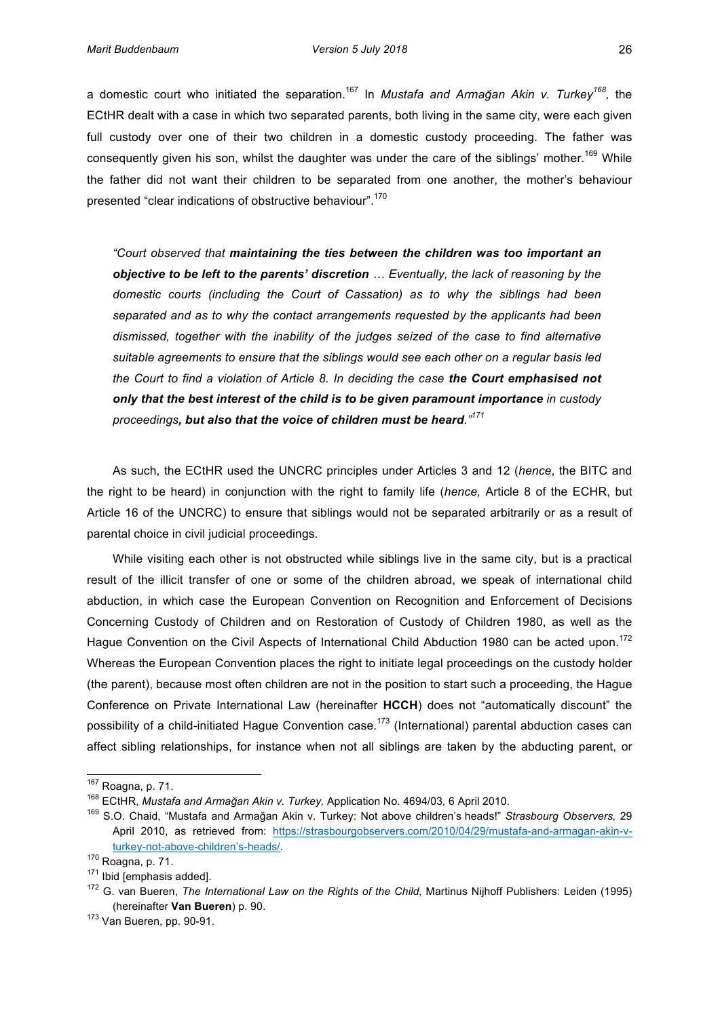a domestic court who initiated the separation.<sup>167</sup> In *Mustafa and Armağan Akin v. Turkey*<sup>168</sup>, the ECtHR dealt with a case in which two separated parents, both living in the same city, were each given full custody over one of their two children in a domestic custody proceeding. The father was consequently given his son, whilst the daughter was under the care of the siblings' mother.<sup>169</sup> While the father did not want their children to be separated from one another, the mother's behaviour presented "clear indications of obstructive behaviour".<sup>170</sup>

*"Court&observed&that&maintaining' the' ties'between' the'children'was' too'important'an'* **objective to be left to the parents' discretion** ... Eventually, the lack of reasoning by the domestic courts (including the Court of Cassation) as to why the siblings had been separated and as to why the contact arrangements requested by the applicants had been *dismissed,& together& with& the& inability& of& the& judges& seized& of& the& case& to& find& alternative&* suitable agreements to ensure that the siblings would see each other on a regular basis led *the&Court&to&find&a&violation&of&Article&8.&In&deciding&the&case&the'Court'emphasised'not'* **only that the best interest of the child is to be given paramount importance** in custody *proceedings,'but'also that'the'voice'of'children'must'be'heard."<sup>171</sup>*

As such, the ECtHR used the UNCRC principles under Articles 3 and 12 (*hence*, the BITC and the right to be heard) in conjunction with the right to family life (*hence*, Article 8 of the ECHR, but Article 16 of the UNCRC) to ensure that siblings would not be separated arbitrarily or as a result of parental choice in civil judicial proceedings.

While visiting each other is not obstructed while siblings live in the same city, but is a practical result of the illicit transfer of one or some of the children abroad, we speak of international child abduction, in which case the European Convention on Recognition and Enforcement of Decisions Concerning Custody of Children and on Restoration of Custody of Children 1980, as well as the Hague Convention on the Civil Aspects of International Child Abduction 1980 can be acted upon.<sup>172</sup> Whereas the European Convention places the right to initiate legal proceedings on the custody holder (the parent), because most often children are not in the position to start such a proceeding, the Hague' Conference on Private International Law (hereinafter HCCH) does not "automatically discount" the possibility of a child-initiated Hague Convention case.<sup>173</sup> (International) parental abduction cases can affect sibling relationships, for instance when not all siblings are taken by the abducting parent, or

<sup>&</sup>lt;sup>167</sup> Roagna, p. 71.

<sup>&</sup>lt;sup>168</sup> ECtHR, Mustafa and Armağan Akin v. Turkey, Application No. 4694/03, 6 April 2010.

<sup>&</sup>lt;sup>169</sup> S.O. Chaid, "Mustafa and Armağan Akin v. Turkey: Not above children's heads!" *Strasbourg Observers,* 29 April 2010, as retrieved from: https://strasbourgobservers.com/2010/04/29/mustafa-and-armagan-akin-vturkey-not-above-children's-heads/.

 $170$  Roagna, p. 71.

 $171$  Ibid [emphasis added].

<sup>&</sup>lt;sup>172</sup> G. van Bueren, *The International Law on the Rights of the Child, Martinus Nijhoff Publishers: Leiden (1995)* (hereinafter **Van Bueren**) p. 90.

 $173$  Van Bueren, pp. 90-91.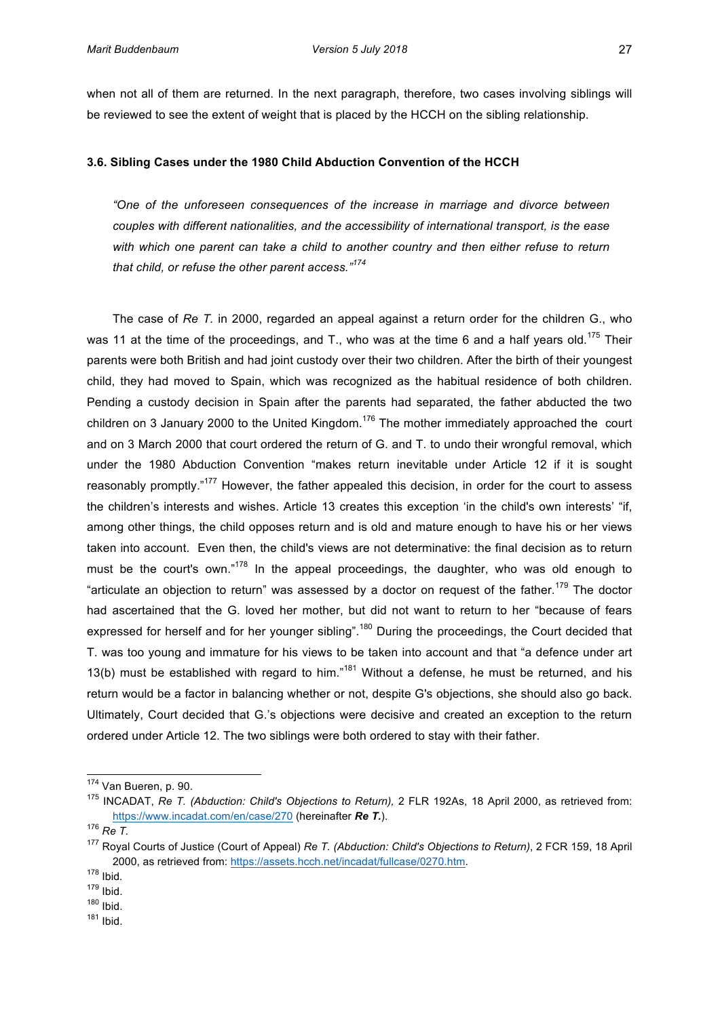when not all of them are returned. In the next paragraph, therefore, two cases involving siblings will be reviewed to see the extent of weight that is placed by the HCCH on the sibling relationship.

#### **3.6. Sibling Cases under the 1980 Child Abduction Convention of the HCCH**

*"One& of& the& unforeseen& consequences& of& the& increase& in& marriage& and& divorce& between&*  $couples$  with different nationalities, and the accessibility of international transport, is the ease with which one parent can take a child to another country and then either refuse to return *that&child,&or&refuse&the&other&parent&access."<sup>174</sup>*

The case of *Re T.* in 2000, regarded an appeal against a return order for the children G., who was 11 at the time of the proceedings, and T., who was at the time 6 and a half years old.<sup>175</sup> Their parents' were both British and had joint custody over their two children. After the birth of their youngest child, they had moved to Spain, which was recognized as the habitual residence of both children. Pending a custody decision in Spain after the parents had separated, the father abducted the two children'on 3 January 2000 to the United Kingdom.<sup>176</sup> The mother immediately approached the court and on 3 March 2000 that court ordered the return of G. and T. to undo their wrongful removal, which under the 1980 Abduction Convention "makes return inevitable under Article 12 if it is sought reasonably promptly."<sup>177</sup> However, the father appealed this decision, in order for the court to assess the children's interests and wishes. Article 13 creates this exception 'in the child's own interests' "if, among other things, the child opposes return and is old and mature enough to have his or her views taken into account. Even then, the child's views are not determinative: the final decision as to return must be the court's own." $178$  In the appeal proceedings, the daughter, who was old enough to "articulate an objection to return" was assessed by a doctor on request of the father.<sup>179</sup> The doctor had ascertained that the G. loved her mother, but did not want to return to her "because of fears' expressed for herself and for her younger sibling".<sup>180</sup> During the proceedings, the Court decided that T. was too young and immature for his views to be taken into account and that "a defence under art 13(b) must be established with regard to him."<sup>181</sup> Without a defense, he must be returned, and his return'would be a factor in balancing whether or not, despite G's objections, she should also go back. Ultimately, Court decided that G.'s objections were decisive and created an exception to the return ordered under Article 12. The two siblings were both ordered to stay with their father.

<sup>&</sup>lt;sup>174</sup> Van Bueren, p. 90.

<sup>&</sup>lt;sup>175</sup> INCADAT, *Re T. (Abduction: Child's Objections to Return),* 2 FLR 192As, 18 April 2000, as retrieved from: https://www.incadat.com/en/case/270 (hereinafter *Re T.*).

<sup>&</sup>lt;sup>176</sup> Re T.

<sup>&</sup>lt;sup>177</sup> Royal Courts of Justice (Court of Appeal) *Re T. (Abduction: Child's Objections to Return)*, 2 FCR 159, 18 April 2000, as retrieved from: https://assets.hcch.net/incadat/fullcase/0270.htm.

<sup>178</sup> Ibid*.*

<sup>179</sup> Ibid.

<sup>180</sup> Ibid.

<sup>181</sup> Ibid.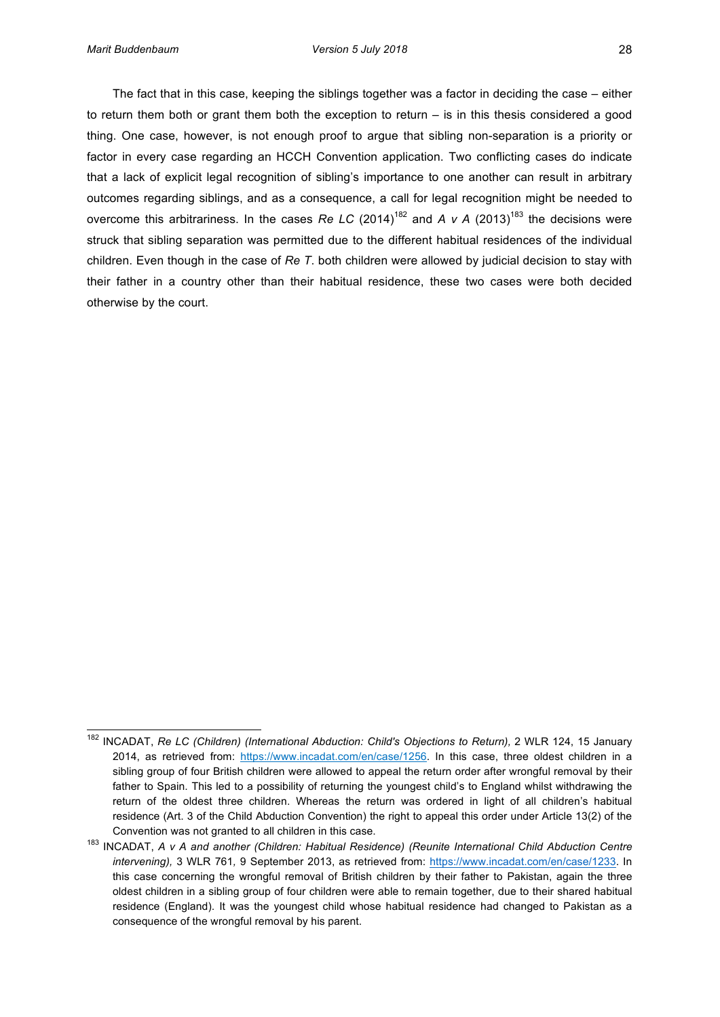The fact that in this case, keeping the siblings together was a factor in deciding the case – either to return them both or grant them both the exception to return – is in this thesis considered a good thing. One case, however, is not enough proof to argue that sibling non-separation is a priority or factor in every case regarding an HCCH Convention application. Two conflicting cases do indicate that a lack of explicit legal recognition of sibling's importance to one another can result in arbitrary outcomes regarding siblings, and as a consequence, a call for legal recognition might be needed to overcome this arbitrariness. In the cases *Re LC* (2014)<sup>182</sup> and *A v A* (2013)<sup>183</sup> the decisions were struck that sibling separation was permitted due to the different habitual residences of the individual children.'Even'though in the case of *Re T*. both children were allowed by judicial decision to stay with their father in a country other than their habitual residence, these two cases were both decided otherwise by the court.

<sup>&</sup>lt;sup>182</sup> INCADAT, Re LC (Children) (International Abduction: Child's Objections to Return), 2 WLR 124, 15 January 2014, as retrieved from: https://www.incadat.com/en/case/1256. In this case, three oldest children in a sibling group of four British children were allowed to appeal the return order after wrongful removal by their father to Spain. This led to a possibility of returning the youngest child's to England whilst withdrawing the return of the oldest three children. Whereas the return was ordered in light of all children's habitual residence (Art. 3 of the Child Abduction Convention) the right to appeal this order under Article 13(2) of the Convention was not granted to all children in this case.

<sup>&</sup>lt;sup>183</sup> INCADAT, A v A and another (Children: Habitual Residence) (Reunite International Child Abduction Centre intervening), 3 WLR 761, 9 September 2013, as retrieved from: https://www.incadat.com/en/case/1233. In this case concerning the wrongful removal of British children by their father to Pakistan, again the three oldest children in a sibling group of four children were able to remain together, due to their shared habitual residence (England). It was the youngest child whose habitual residence had changed to Pakistan as a consequence of the wrongful removal by his parent.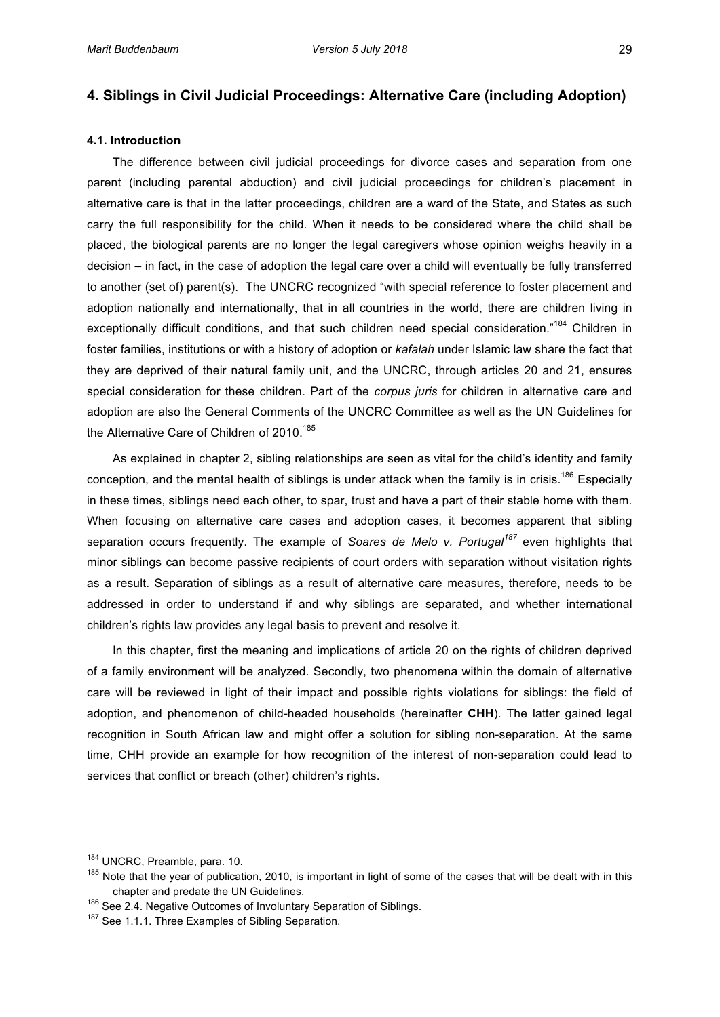# **4. Siblings in Civil Judicial Proceedings: Alternative Care (including Adoption)**

## **4.1. Introduction\$**

The difference between civil judicial proceedings for divorce cases and separation from one parent (including parental abduction) and civil judicial proceedings for children's placement in alternative care is that in the latter proceedings, children are a ward of the State, and States as such carry the full responsibility for the child. When it needs to be considered where the child shall be placed, the biological parents are no longer the legal caregivers whose opinion weighs heavily in a decision – in fact, in the case of adoption the legal care over a child will eventually be fully transferred to another (set of) parent(s). The UNCRC recognized "with special reference to foster placement and adoption nationally and internationally, that in all countries in the world, there are children living in exceptionally difficult conditions, and that such children need special consideration."<sup>184</sup> Children in foster families, institutions or with a history of adoption or *kafalah* under Islamic law share the fact that they are deprived of their natural family unit, and the UNCRC, through articles 20 and 21, ensures special consideration for these children. Part of the *corpus juris* for children in alternative care and adoption are also the General Comments of the UNCRC Committee as well as the UN Guidelines for the Alternative Care of Children of 2010.<sup>185</sup>

As explained in chapter 2, sibling relationships are seen as vital for the child's identity and family conception, and the mental health of siblings is under attack when the family is in crisis.<sup>186</sup> Especially in these times, siblings need each other, to spar, trust and have a part of their stable home with them. When focusing on alternative care cases and adoption cases, it becomes apparent that sibling separation occurs frequently. The example of *Soares de Melo v. Portugal*<sup>187</sup> even highlights that minor siblings can become passive recipients of court orders with separation without visitation rights as a result. Separation of siblings as a result of alternative care measures, therefore, needs to be addressed in order to understand if and why siblings are separated, and whether international children's rights law provides any legal basis to prevent and resolve it.

In this chapter, first the meaning and implications of article 20 on the rights of children deprived of a family environment will be analyzed. Secondly, two phenomena within the domain of alternative care will be reviewed in light of their impact and possible rights violations for siblings: the field of adoption, and phenomenon of child-headed households (hereinafter CHH). The latter gained legal recognition in South African law and might offer a solution for sibling non-separation. At the same time, CHH provide an example for how recognition of the interest of non-separation could lead to services that conflict or breach (other) children's rights.

<sup>&</sup>lt;sup>184</sup> UNCRC, Preamble, para. 10.

<sup>&</sup>lt;sup>185</sup> Note that the year of publication, 2010, is important in light of some of the cases that will be dealt with in this chapter and predate the UN Guidelines.

 $186$  See 2.4. Negative Outcomes of Involuntary Separation of Siblings.

<sup>&</sup>lt;sup>187</sup> See 1.1.1. Three Examples of Sibling Separation.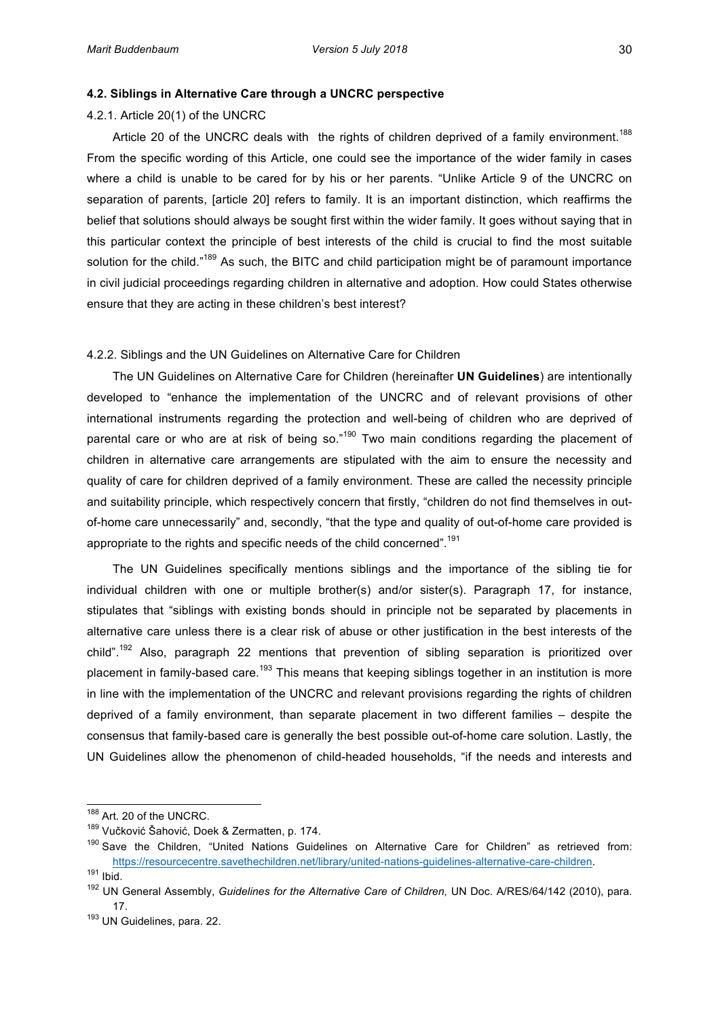#### **4.2. Siblings in Alternative Care through a UNCRC perspective**

4.2.1. Article  $20(1)$  of the UNCRC

Article 20 of the UNCRC deals with the rights of children deprived of a family environment.<sup>188</sup> From the specific wording of this Article, one could see the importance of the wider family in cases where a child is unable to be cared for by his or her parents. "Unlike Article 9 of the UNCRC on separation of parents, [article 20] refers to family. It is an important distinction, which reaffirms the belief that solutions should always be sought first within the wider family. It goes without saying that in this particular context the principle of best interests of the child is crucial to find the most suitable solution for the child."<sup>189</sup> As such, the BITC and child participation might be of paramount importance in civil judicial proceedings regarding children in alternative and adoption. How could States otherwise ensure that they are acting in these children's best interest?

## 4.2.2. Siblings and the UN Guidelines on Alternative Care for Children

The UN Guidelines on Alternative Care for Children (hereinafter **UN Guidelines**) are intentionally developed to "enhance the implementation of the UNCRC and of relevant provisions of other international instruments regarding the protection and well-being of children who are deprived of parental care or who are at risk of being so."<sup>190</sup> Two main conditions regarding the placement of children in alternative care arrangements are stipulated with the aim to ensure the necessity and quality of care for children deprived of a family environment. These are called the necessity principle and suitability principle, which respectively concern that firstly, "children do not find themselves in outof-home care unnecessarily" and, secondly, "that the type and quality of out-of-home care provided is appropriate to the rights and specific needs of the child concerned".<sup>191</sup>

The UN Guidelines specifically mentions siblings and the importance of the sibling tie for individual children with one or multiple brother(s) and/or sister(s). Paragraph 17, for instance, stipulates that "siblings with existing bonds should in principle not be separated by placements in alternative care unless there is a clear risk of abuse or other justification in the best interests of the child".<sup>192</sup> Also, paragraph 22 mentions that prevention of sibling separation is prioritized over placement in family-based care.<sup>193</sup> This means that keeping siblings together in an institution is more in line with the implementation of the UNCRC and relevant provisions regarding the rights of children' deprived of a family environment, than separate placement in two different families – despite the consensus that family-based care is generally the best possible out-of-home care solution. Lastly, the UN' Guidelines' allow the phenomenon of child-headed households, "if the needs and interests and

 $^{188}$  Art. 20 of the UNCRC.

<sup>189</sup> Vučković Šahović, Doek & Zermatten, p. 174.

 $190$  Save the Children, "United Nations Guidelines on Alternative Care for Children" as retrieved from: https://resourcecentre.savethechildren.net/library/united-nations-guidelines-alternative-care-children.

<sup>191</sup> Ibid.

<sup>&</sup>lt;sup>192</sup> UN General Assembly, *Guidelines for the Alternative Care of Children,* UN Doc. A/RES/64/142 (2010), para. 17.'

<sup>193</sup> UN Guidelines, para. 22.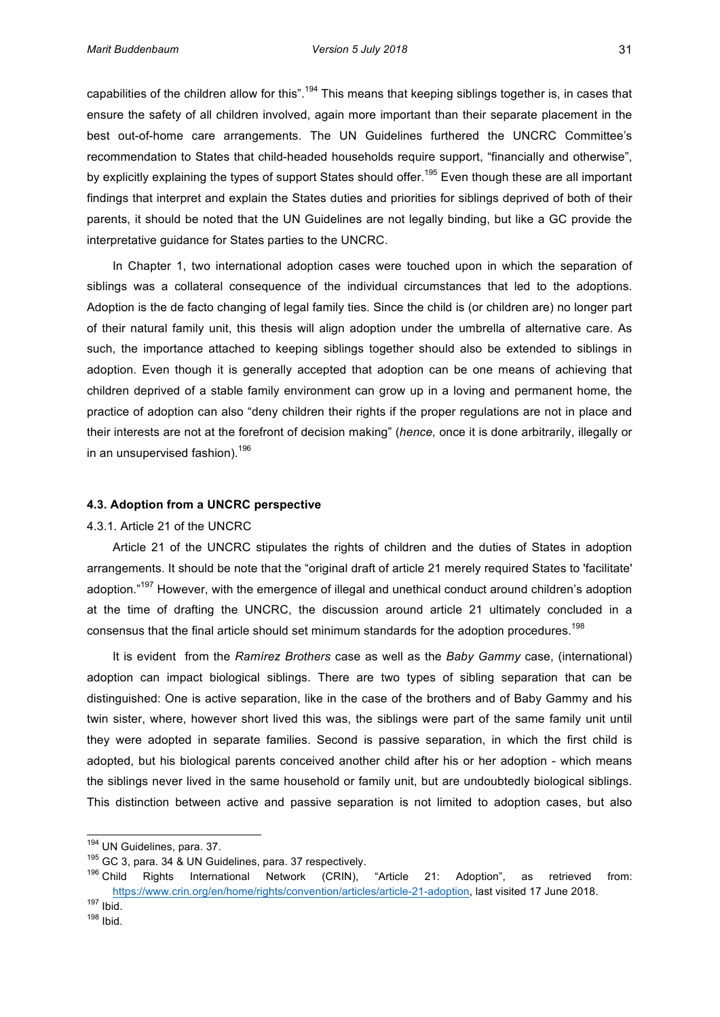capabilities of the children allow for this".<sup>194</sup> This means that keeping siblings together is, in cases that ensure the safety of all children involved, again more important than their separate placement in the best out-of-home care arrangements. The UN Guidelines furthered the UNCRC Committee's recommendation to States that child-headed households require support, "financially and otherwise", by explicitly explaining the types of support States should offer.<sup>195</sup> Even though these are all important findings that interpret and explain the States duties and priorities for siblings deprived of both of their parents, it should be noted that the UN Guidelines are not legally binding, but like a GC provide the interpretative guidance for States parties to the UNCRC.

In' Chapter' 1, two international adoption cases were touched upon in which the separation of siblings was a collateral consequence of the individual circumstances that led to the adoptions. Adoption is the de facto changing of legal family ties. Since the child is (or children are) no longer part of their natural family unit, this thesis will align adoption under the umbrella of alternative care. As such, the importance attached to keeping siblings together should also be extended to siblings in adoption. Even though it is generally accepted that adoption can be one means of achieving that children'deprived' of a stable family' environment can grow up in a loving and permanent home, the practice of adoption can also "deny children their rights if the proper regulations are not in place and their interests are not at the forefront of decision making" (*hence*, once it is done arbitrarily, illegally or in an unsupervised fashion).<sup>196</sup>

#### **4.3. Adoption from a UNCRC perspective**

# 4.3.1. Article 21 of the UNCRC

Article 21 of the UNCRC stipulates the rights of children and the duties of States in adoption arrangements. It should be note that the "original draft of article 21 merely required States to 'facilitate' adoption."<sup>197</sup> However, with the emergence of illegal and unethical conduct around children's adoption at the time of drafting the UNCRC, the discussion around article 21 ultimately concluded in a consensus that the final article should set minimum standards for the adoption procedures.<sup>198</sup>

It is evident from the *Ramírez Brothers* case as well as the *Baby Gammy* case, (international) adoption can impact biological siblings. There are two types of sibling separation that can be distinguished: One is active separation, like in the case of the brothers and of Baby Gammy and his twin sister, where, however short lived this was, the siblings were part of the same family unit until they were adopted in separate families. Second is passive separation, in which the first child is adopted, but his biological parents conceived another child after his or her adoption - which means the siblings never lived in the same household or family unit, but are undoubtedly biological siblings. This distinction between active and passive separation is not limited to adoption cases, but also

<sup>&</sup>lt;sup>194</sup> UN Guidelines, para. 37.

 $195$  GC 3, para. 34 & UN Guidelines, para. 37 respectively.

 $196$  Child  $\overline{R}$  Rights International Network (CRIN), "Article 21: Adoption", as retrieved from: https://www.crin.org/en/home/rights/convention/articles/article-21-adoption, last visited 17 June 2018.

<sup>197</sup> Ibid.

<sup>198</sup> Ibid.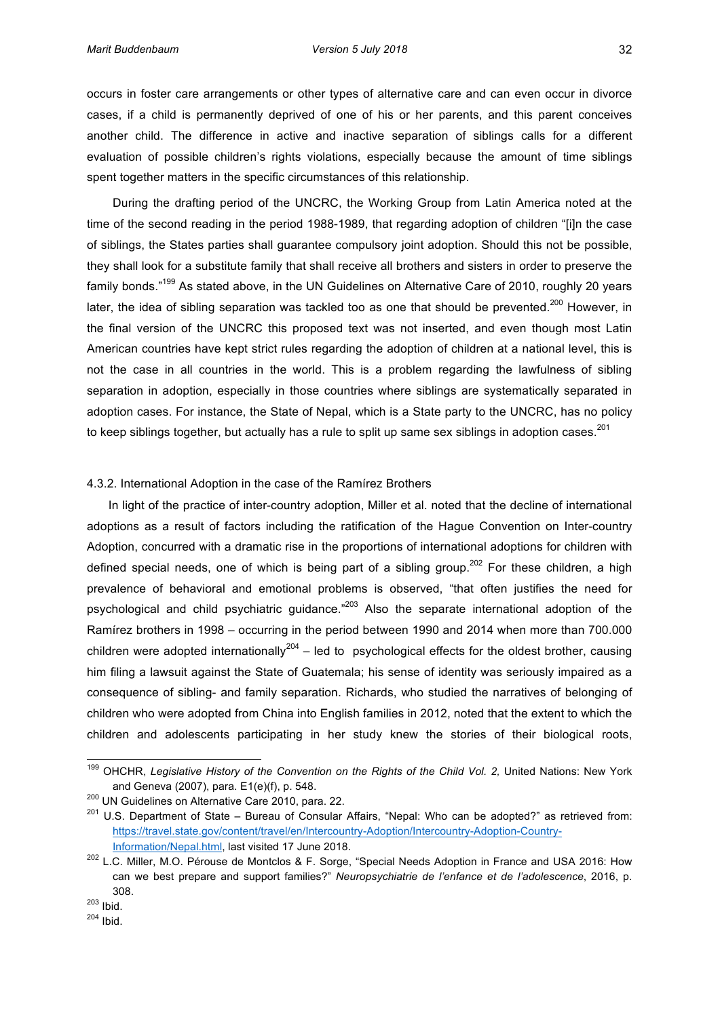occurs in foster care arrangements or other types of alternative care and can even occur in divorce cases, if a child is permanently deprived of one of his or her parents, and this parent conceives another child. The difference in active and inactive separation of siblings calls for a different evaluation of possible children's rights violations, especially because the amount of time siblings spent together matters in the specific circumstances of this relationship.

During the drafting period of the UNCRC, the Working Group from Latin America noted at the time of the second reading in the period 1988-1989, that regarding adoption of children "[i]n the case of siblings, the States parties shall guarantee compulsory joint adoption. Should this not be possible, they shall look for a substitute family that shall receive all brothers and sisters in order to preserve the family bonds."<sup>199</sup> As stated above, in the UN Guidelines on Alternative Care of 2010, roughly 20 years' later, the idea of sibling separation was tackled too as one that should be prevented.<sup>200</sup> However, in the final version of the UNCRC this proposed text was not inserted, and even though most Latin American countries have kept strict rules regarding the adoption of children at a national level, this is not the case in all countries in the world. This is a problem regarding the lawfulness of sibling separation in adoption, especially in those countries where siblings are systematically separated in adoption cases. For instance, the State of Nepal, which is a State party to the UNCRC, has no policy to keep siblings together, but actually has a rule to split up same sex siblings in adoption cases.<sup>201</sup>

#### 4.3.2. International Adoption in the case of the Ramírez Brothers

In light of the practice of inter-country adoption, Miller et al. noted that the decline of international adoptions as a result of factors including the ratification of the Hague Convention on Inter-country Adoption, concurred with a dramatic rise in the proportions of international adoptions for children with defined special needs, one of which is being part of a sibling group.<sup>202</sup> For these children, a high prevalence of behavioral and emotional problems is observed, "that often justifies the need for psychological and child psychiatric guidance."<sup>203</sup> Also the separate international adoption of the Ramírez brothers in 1998 – occurring in the period between 1990 and 2014 when more than 700.000 children were adopted internationally<sup>204</sup> – led to psychological effects for the oldest brother, causing him filing a lawsuit against the State of Guatemala; his sense of identity was seriously impaired as a consequence of sibling- and family separation. Richards, who studied the narratives of belonging of children'who'were adopted from China into English families in 2012, noted that the extent to which the children' and adolescents participating in her study knew the stories of their biological roots,

<sup>&</sup>lt;sup>199</sup> OHCHR, Legislative History of the Convention on the Rights of the Child Vol. 2, United Nations: New York and Geneva (2007), para. E1(e)(f), p. 548.

 $200$  UN Guidelines on Alternative Care 2010, para. 22.

<sup>&</sup>lt;sup>201</sup> U.S. Department of State – Bureau of Consular Affairs, "Nepal: Who can be adopted?" as retrieved from: https://travel.state.gov/content/travel/en/Intercountry-Adoption/Intercountry-Adoption-Country-Information/Nepal.html, last visited 17 June 2018.

<sup>&</sup>lt;sup>202</sup> L.C. Miller, M.O. Pérouse de Montclos & F. Sorge, "Special Needs Adoption in France and USA 2016: How can' we best prepare and support families?" Neuropsychiatrie de l'enfance et de l'adolescence, 2016, p. 308.

<sup>203</sup> Ibid.

<sup>204</sup> Ibid.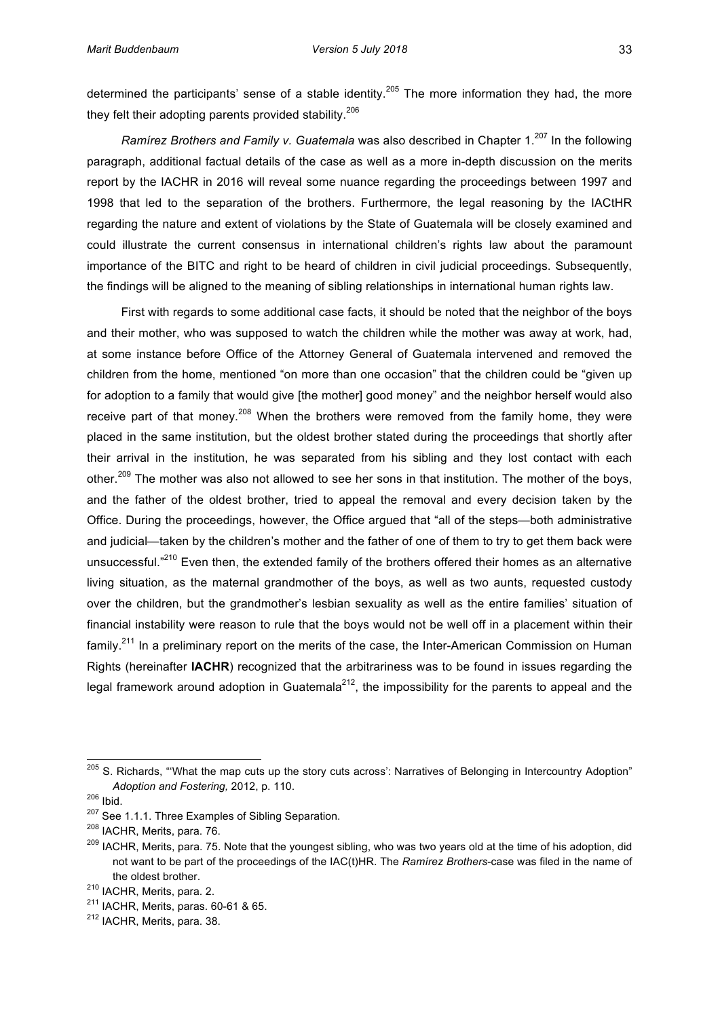determined the participants' sense of a stable identity.<sup>205</sup> The more information they had, the more they felt their adopting parents provided stability.<sup>206</sup>

*Ramírez Brothers and Family v. Guatemala* was also described in Chapter 1.<sup>207</sup> In the following paragraph, additional factual details of the case as well as a more in-depth discussion on the merits report by the IACHR in 2016 will reveal some nuance regarding the proceedings between 1997 and 1998' that led to the separation of the brothers. Furthermore, the legal reasoning by the IACtHR regarding the nature and extent of violations by the State of Guatemala will be closely examined and could illustrate the current consensus in international children's rights law about the paramount importance of the BITC and right to be heard of children in civil judicial proceedings. Subsequently, the findings will be aligned to the meaning of sibling relationships in international human rights law.

First with regards to some additional case facts, it should be noted that the neighbor of the boys' and their mother, who was supposed to watch the children while the mother was away at work, had, at some instance before Office of the Attorney General of Guatemala intervened and removed the children from the home, mentioned "on more than one occasion" that the children could be "given up" for adoption to a family that would give [the mother] good money" and the neighbor herself would also receive part of that money.<sup>208</sup> When the brothers were removed from the family home, they were placed in the same institution, but the oldest brother stated during the proceedings that shortly after their arrival in the institution, he was separated from his sibling and they lost contact with each other.<sup>209</sup> The mother was also not allowed to see her sons in that institution. The mother of the boys, and the father of the oldest brother, tried to appeal the removal and every decision taken by the Office. During the proceedings, however, the Office argued that "all of the steps—both administrative' and judicial—taken by the children's mother and the father of one of them to try to get them back were unsuccessful."<sup>210</sup> Even then, the extended family of the brothers offered their homes as an alternative living situation, as the maternal grandmother of the boys, as well as two aunts, requested custody over the children, but the grandmother's lesbian sexuality as well as the entire families' situation of financial instability were reason to rule that the boys would not be well off in a placement within their family.<sup>211</sup> In a preliminary report on the merits of the case, the Inter-American Commission on Human Rights (hereinafter IACHR) recognized that the arbitrariness was to be found in issues regarding the legal framework around adoption in Guatemala<sup>212</sup>, the impossibility for the parents to appeal and the

<sup>&</sup>lt;sup>205</sup> S. Richards, "'What the map cuts up the story cuts across': Narratives of Belonging in Intercountry Adoption" Adoption and Fostering, 2012, p. 110.

<sup>206</sup> Ibid.

<sup>&</sup>lt;sup>207</sup> See 1.1.1. Three Examples of Sibling Separation.

<sup>&</sup>lt;sup>208</sup> IACHR, Merits, para. 76.

<sup>&</sup>lt;sup>209</sup> IACHR, Merits, para. 75. Note that the youngest sibling, who was two years old at the time of his adoption, did not want to be part of the proceedings of the IAC(t)HR. The *Ramírez Brothers*-case was filed in the name of the oldest brother.

 $210$  IACHR, Merits, para. 2.

 $211$  IACHR, Merits, paras. 60-61 & 65.

<sup>&</sup>lt;sup>212</sup> IACHR, Merits, para. 38.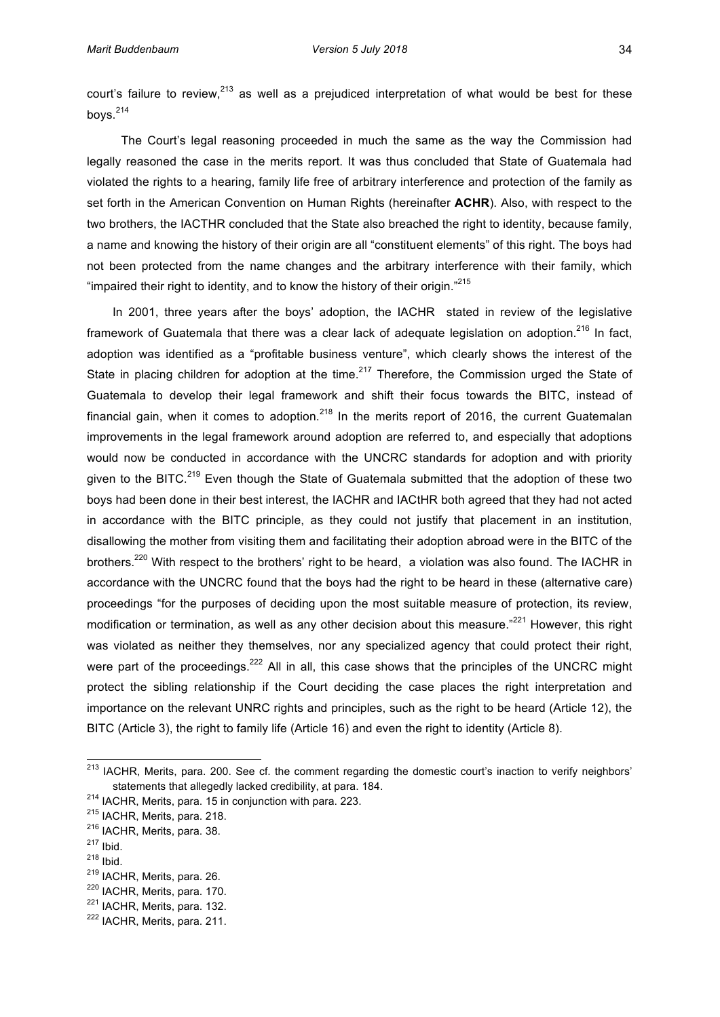court's failure to review, $^{213}$  as well as a prejudiced interpretation of what would be best for these boys.<sup>214</sup>

The Court's legal reasoning proceeded in much the same as the way the Commission had legally reasoned the case in the merits report. It was thus concluded that State of Guatemala had violated the rights to a hearing, family life free of arbitrary interference and protection of the family as set forth in the American Convention on Human Rights (hereinafter **ACHR**). Also, with respect to the two brothers, the IACTHR concluded that the State also breached the right to identity, because family, a name and knowing the history of their origin are all "constituent elements" of this right. The boys had not been protected from the name changes and the arbitrary interference with their family, which "impaired their right to identity, and to know the history of their origin."<sup>215</sup>

In 2001, three years after the boys' adoption, the IACHR stated in review of the legislative framework of Guatemala that there was a clear lack of adequate legislation on adoption.<sup>216</sup> In fact, adoption was identified as a "profitable business venture", which clearly shows the interest of the State in placing children for adoption at the time.<sup>217</sup> Therefore, the Commission urged the State of Guatemala to develop their legal framework and shift their focus towards the BITC, instead of financial gain, when it comes to adoption.<sup>218</sup> In the merits report of 2016, the current Guatemalan improvements in the legal framework around adoption are referred to, and especially that adoptions would now be conducted in accordance with the UNCRC standards for adoption and with priority given to the BITC.<sup>219</sup> Even though the State of Guatemala submitted that the adoption of these two boys had been done in their best interest, the IACHR and IACtHR both agreed that they had not acted in accordance with the BITC principle, as they could not justify that placement in an institution, disallowing the mother from visiting them and facilitating their adoption abroad were in the BITC of the brothers.<sup>220</sup> With respect to the brothers' right to be heard, a violation was also found. The IACHR in accordance with the UNCRC found that the boys had the right to be heard in these (alternative care) proceedings "for the purposes of deciding upon the most suitable measure of protection, its review, modification or termination, as well as any other decision about this measure."<sup>221</sup> However, this right was violated as neither they themselves, nor any specialized agency that could protect their right, were part of the proceedings.<sup>222</sup> All in all, this case shows that the principles of the UNCRC might protect the sibling relationship if the Court deciding the case places the right interpretation and importance on the relevant UNRC rights and principles, such as the right to be heard (Article 12), the BITC (Article 3), the right to family life (Article 16) and even the right to identity (Article 8).

<sup>&</sup>lt;sup>213</sup> IACHR, Merits, para. 200. See cf. the comment regarding the domestic court's inaction to verify neighbors' statements that allegedly lacked credibility, at para. 184.

 $214$  IACHR, Merits, para. 15 in conjunction with para. 223.

 $215$  IACHR, Merits, para. 218.

<sup>&</sup>lt;sup>216</sup> IACHR, Merits, para. 38.

 $217$  Ibid.

<sup>218</sup> Ibid.

 $219$  IACHR, Merits, para. 26.

<sup>&</sup>lt;sup>220</sup> IACHR, Merits, para. 170.

<sup>&</sup>lt;sup>221</sup> IACHR, Merits, para. 132.

<sup>&</sup>lt;sup>222</sup> IACHR, Merits, para. 211.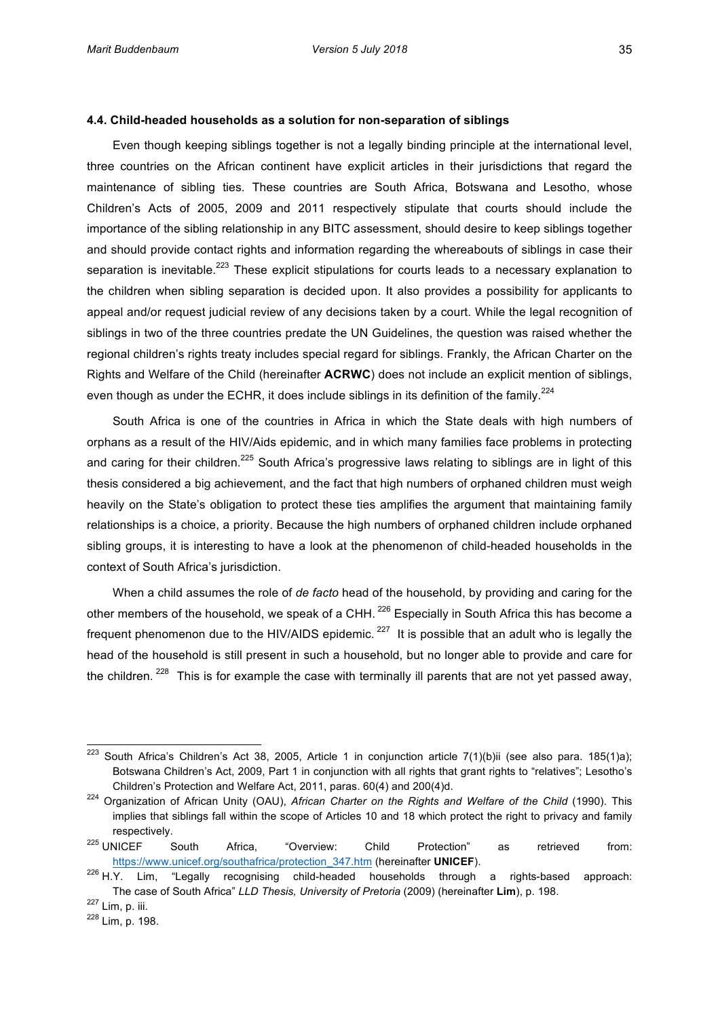#### **4.4. Child-headed households as a solution for non-separation of siblings**

Even though keeping siblings together is not a legally binding principle at the international level, three countries on the African continent have explicit articles in their jurisdictions that regard the maintenance of sibling ties. These countries are South Africa, Botswana and Lesotho, whose Children's Acts of 2005, 2009 and 2011 respectively stipulate that courts should include the importance of the sibling relationship in any BITC assessment, should desire to keep siblings together and should provide contact rights and information regarding the whereabouts of siblings in case their separation is inevitable.<sup>223</sup> These explicit stipulations for courts leads to a necessary explanation to the children when sibling separation is decided upon. It also provides a possibility for applicants to appeal and/or request judicial review of any decisions taken by a court. While the legal recognition of siblings in two of the three countries predate the UN Guidelines, the question was raised whether the regional children's rights treaty includes special regard for siblings. Frankly, the African Charter on the Rights and Welfare of the Child (hereinafter **ACRWC**) does not include an explicit mention of siblings, even though as under the ECHR, it does include siblings in its definition of the family.<sup>224</sup>

South Africa is one of the countries in Africa in which the State deals with high numbers of orphans as a result of the HIV/Aids epidemic, and in which many families face problems in protecting and caring for their children.<sup>225</sup> South Africa's progressive laws relating to siblings are in light of this thesis considered a big achievement, and the fact that high numbers of orphaned children must weigh heavily on the State's obligation to protect these ties amplifies the argument that maintaining family relationships is a choice, a priority. Because the high numbers of orphaned children include orphaned sibling groups, it is interesting to have a look at the phenomenon of child-headed households in the context of South Africa's jurisdiction.

When a child assumes the role of *de facto* head of the household, by providing and caring for the other members of the household, we speak of a CHH.<sup>226</sup> Especially in South Africa this has become a frequent phenomenon due to the HIV/AIDS epidemic. <sup>227</sup> It is possible that an adult who is legally the head of the household is still present in such a household, but no longer able to provide and care for the children. <sup>228</sup> This is for example the case with terminally ill parents that are not yet passed away,

<sup>&</sup>lt;sup>223</sup> South Africa's Children's Act 38, 2005, Article 1 in conjunction article 7(1)(b)ii (see also para. 185(1)a); Botswana Children's Act, 2009, Part 1 in conjunction with all rights that grant rights to "relatives"; Lesotho's Children's Protection and Welfare Act, 2011, paras. 60(4) and 200(4)d.

<sup>&</sup>lt;sup>224</sup> Organization of African Unity (OAU), *African Charter on the Rights and Welfare of the Child* (1990). This implies that siblings fall within the scope of Articles 10 and 18 which protect the right to privacy and family respectively.

<sup>&</sup>lt;sup>225</sup> UNICEF South Africa, "Overview: Child Protection" as retrieved from: https://www.unicef.org/southafrica/protection\_347.htm (hereinafter UNICEF).

 $226$  H.Y. Lim, "Legally recognising child-headed households through a rights-based approach: The case of South Africa" *LLD Thesis, University of Pretoria* (2009) (hereinafter Lim), p. 198.

 $227$  Lim, p. iii.

<sup>&</sup>lt;sup>228</sup> Lim, p. 198.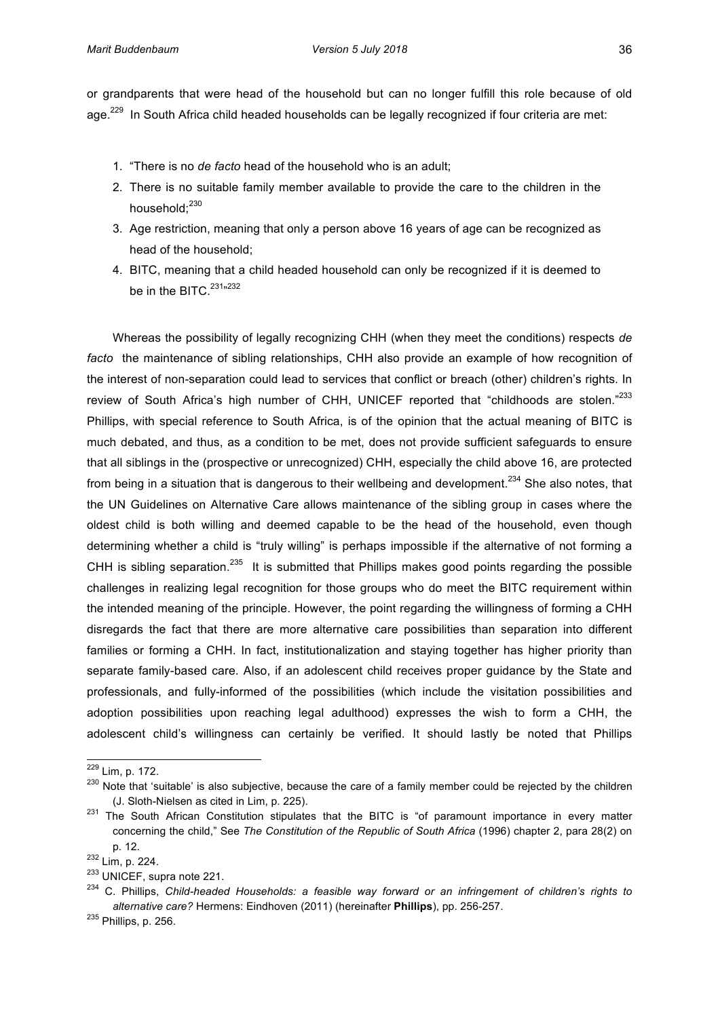or grandparents that were head of the household but can no longer fulfill this role because of old age.<sup>229</sup> In South Africa child headed households can be legally recognized if four criteria are met:

- 1. "There is no *de facto* head of the household who is an adult;
- 2. There is no suitable family member available to provide the care to the children in the household;<sup>230</sup>
- 3. Age restriction, meaning that only a person above 16 years of age can be recognized as head of the household:
- 4. BITC, meaning that a child headed household can only be recognized if it is deemed to be in the BITC.<sup>231</sup>"<sup>232</sup>

Whereas the possibility of legally recognizing CHH (when they meet the conditions) respects *de facto* the maintenance of sibling relationships, CHH also provide an example of how recognition of the interest of non-separation could lead to services that conflict or breach (other) children's rights. In review of South Africa's high number of CHH, UNICEF reported that "childhoods are stolen."<sup>233</sup> Phillips, with special reference to South Africa, is of the opinion that the actual meaning of BITC is much debated, and thus, as a condition to be met, does not provide sufficient safeguards to ensure that all siblings in the (prospective or unrecognized) CHH, especially the child above 16, are protected from being in a situation that is dangerous to their wellbeing and development.<sup>234</sup> She also notes, that the UN Guidelines on Alternative Care allows maintenance of the sibling group in cases where the oldest child is both willing and deemed capable to be the head of the household, even though determining whether a child is "truly willing" is perhaps impossible if the alternative of not forming a CHH is sibling separation.<sup>235</sup> It is submitted that Phillips makes good points regarding the possible challenges in realizing legal recognition for those groups who do meet the BITC requirement within the intended meaning of the principle. However, the point regarding the willingness of forming a CHH disregards the fact that there are more alternative care possibilities than separation into different families or forming a CHH. In fact, institutionalization and staying together has higher priority than separate family-based care. Also, if an adolescent child receives proper guidance by the State and professionals, and fully-informed of the possibilities (which include the visitation possibilities and adoption possibilities upon reaching legal adulthood) expresses the wish to form a CHH, the adolescent child's willingness can certainly be verified. It should lastly be noted that Phillips

<sup>&</sup>lt;sup>229</sup> Lim, p. 172.

<sup>&</sup>lt;sup>230</sup> Note that 'suitable' is also subjective, because the care of a family member could be rejected by the children (J. Sloth-Nielsen as cited in Lim, p. 225).

<sup>&</sup>lt;sup>231</sup> The South African Constitution stipulates that the BITC is "of paramount importance in every matter concerning the child," See *The Constitution of the Republic of South Africa* (1996) chapter 2, para 28(2) on p. 12.

 $232$  Lim, p. 224.

 $233$  UNICEF, supra note 221.

<sup>&</sup>lt;sup>234</sup> C. Phillips, *Child-headed Households: a feasible way forward or an infringement of children's rights to alternative care?* Hermens: Eindhoven (2011) (hereinafter Phillips), pp. 256-257.

 $^{235}$  Phillips, p. 256.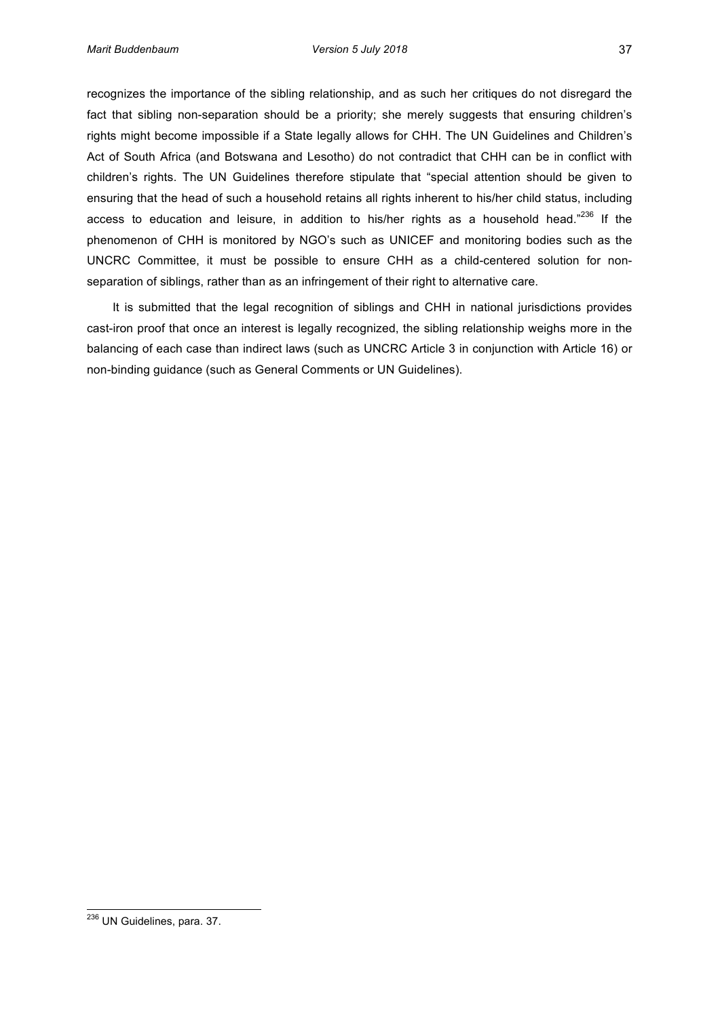recognizes the importance of the sibling relationship, and as such her critiques do not disregard the fact that sibling non-separation should be a priority; she merely suggests that ensuring children's rights might become impossible if a State legally allows for CHH. The UN Guidelines and Children's Act of South Africa (and Botswana and Lesotho) do not contradict that CHH can be in conflict with children's rights. The UN Guidelines therefore stipulate that "special attention should be given to ensuring that the head of such a household retains all rights inherent to his/her child status, including access to education and leisure, in addition to his/her rights as a household head."<sup>236</sup> If the phenomenon of CHH is monitored by NGO's such as UNICEF and monitoring bodies such as the UNCRC Committee, it must be possible to ensure CHH as a child-centered solution for nonseparation of siblings, rather than as an infringement of their right to alternative care.

It is submitted that the legal recognition of siblings and CHH in national jurisdictions provides cast-iron proof that once an interest is legally recognized, the sibling relationship weighs more in the balancing of each case than indirect laws (such as UNCRC Article 3 in conjunction with Article 16) or non-binding guidance (such as General Comments or UN Guidelines).

<sup>&</sup>lt;sup>236</sup> UN Guidelines, para. 37.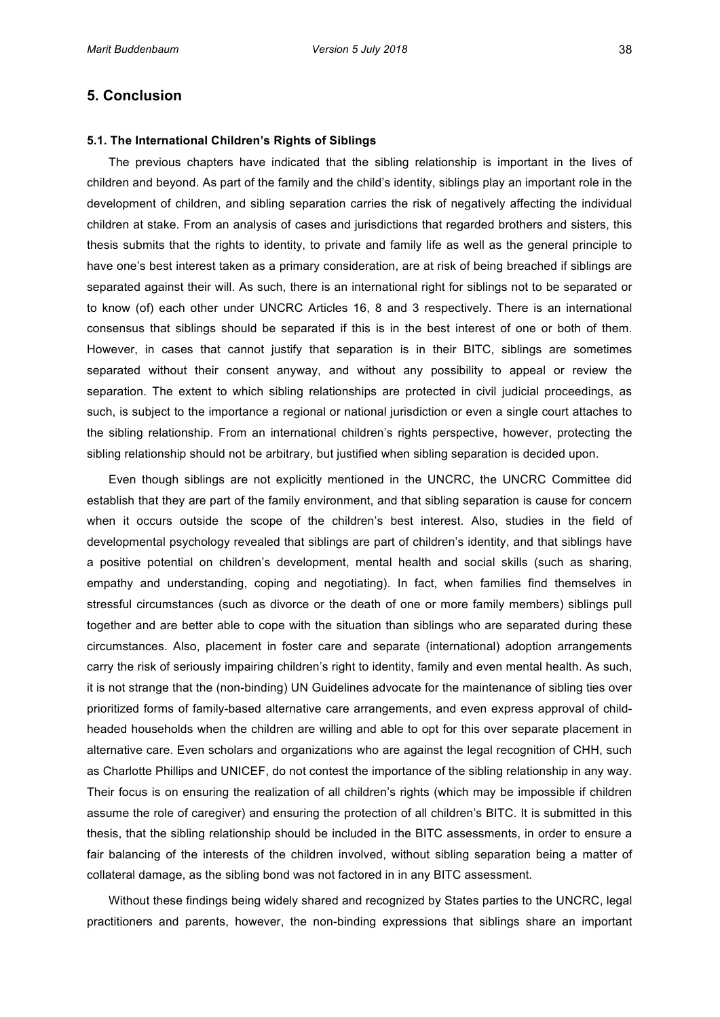## **5.1. The International Children's Rights of Siblings**

The previous chapters have indicated that the sibling relationship is important in the lives of children and beyond. As part of the family and the child's identity, siblings play an important role in the development of children, and sibling separation carries the risk of negatively affecting the individual children'at stake. From an analysis of cases and jurisdictions that regarded brothers and sisters, this thesis submits that the rights to identity, to private and family life as well as the general principle to have one's best interest taken as a primary consideration, are at risk of being breached if siblings are separated against their will. As such, there is an international right for siblings not to be separated or to know (of) each other under UNCRC Articles 16, 8 and 3 respectively. There is an international consensus that siblings should be separated if this is in the best interest of one or both of them. However, in cases that cannot justify that separation is in their BITC, siblings are sometimes separated without their consent anyway, and without any possibility to appeal or review the separation.' The extent to which sibling relationships are protected in civil judicial proceedings, as such, is subject to the importance a regional or national jurisdiction or even a single court attaches to the sibling relationship. From an international children's rights perspective, however, protecting the sibling relationship should not be arbitrary, but justified when sibling separation is decided upon.

Even though siblings are not explicitly mentioned in the UNCRC, the UNCRC Committee did establish that they are part of the family environment, and that sibling separation is cause for concern when it occurs outside the scope of the children's best interest. Also, studies in the field of developmental psychology revealed that siblings are part of children's identity, and that siblings have a positive potential on children's development, mental health and social skills (such as sharing, empathy and understanding, coping and negotiating). In fact, when families find themselves in stressful circumstances (such as divorce or the death of one or more family members) siblings pull together and are better able to cope with the situation than siblings who are separated during these circumstances. Also, placement in foster care and separate (international) adoption arrangements carry the risk of seriously impairing children's right to identity, family and even mental health. As such, it is not strange that the (non-binding) UN Guidelines advocate for the maintenance of sibling ties over prioritized forms of family-based alternative care arrangements, and even express approval of childheaded households when the children are willing and able to opt for this over separate placement in alternative care. Even scholars and organizations who are against the legal recognition of CHH, such as'Charlotte Phillips and UNICEF, do not contest the importance of the sibling relationship in any way. Their focus is on ensuring the realization of all children's rights (which may be impossible if children' assume the role of caregiver) and ensuring the protection of all children's BITC. It is submitted in this thesis, that the sibling relationship should be included in the BITC assessments, in order to ensure a fair balancing of the interests of the children involved, without sibling separation being a matter of collateral damage, as the sibling bond was not factored in in any BITC assessment.

Without these findings being widely shared and recognized by States parties to the UNCRC, legal practitioners and parents, however, the non-binding expressions that siblings share an important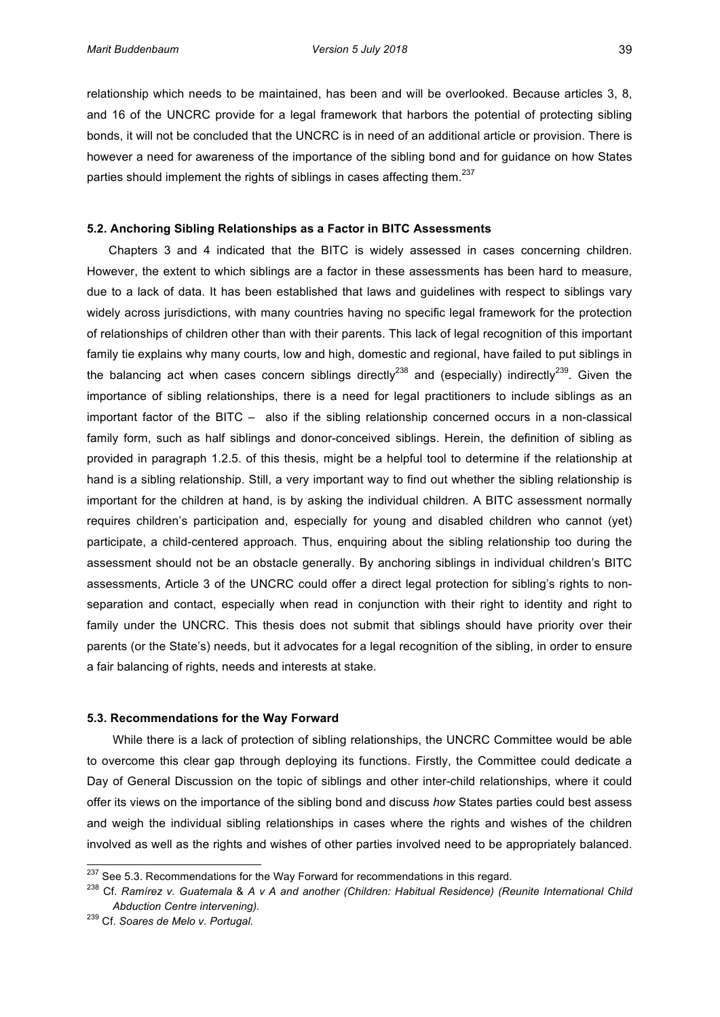relationship which needs to be maintained, has been and will be overlooked. Because articles 3, 8, and 16 of the UNCRC provide for a legal framework that harbors the potential of protecting sibling bonds, it will not be concluded that the UNCRC is in need of an additional article or provision. There is however a need for awareness of the importance of the sibling bond and for guidance on how States parties should implement the rights of siblings in cases affecting them.<sup>237</sup>

## **5.2. Anchoring Sibling Relationships as a Factor in BITC Assessments**

Chapters 3 and 4 indicated that the BITC is widely assessed in cases concerning children. However, the extent to which siblings are a factor in these assessments has been hard to measure, due to a lack of data. It has been established that laws and guidelines with respect to siblings vary widely across jurisdictions, with many countries having no specific legal framework for the protection of relationships of children other than with their parents. This lack of legal recognition of this important family tie explains why many courts, low and high, domestic and regional, have failed to put siblings in the balancing act when cases concern siblings directly<sup>238</sup> and (especially) indirectly<sup>239</sup>. Given the importance of sibling relationships, there is a need for legal practitioners to include siblings as an important factor of the BITC – also if the sibling relationship concerned occurs in a non-classical family form, such as half siblings and donor-conceived siblings. Herein, the definition of sibling as provided in paragraph 1.2.5. of this thesis, might be a helpful tool to determine if the relationship at hand is a sibling relationship. Still, a very important way to find out whether the sibling relationship is important for the children at hand, is by asking the individual children. A BITC assessment normally requires children's participation and, especially for young and disabled children who cannot (yet) participate, a child-centered approach. Thus, enquiring about the sibling relationship too during the assessment should not be an obstacle generally. By anchoring siblings in individual children's BITC assessments, Article 3 of the UNCRC could offer a direct legal protection for sibling's rights to nonseparation and contact, especially when read in conjunction with their right to identity and right to family under the UNCRC. This thesis does not submit that siblings should have priority over their parents (or the State's) needs, but it advocates for a legal recognition of the sibling, in order to ensure a fair balancing of rights, needs and interests at stake.

## **5.3. Recommendations for the Way Forward**

While there is a lack of protection of sibling relationships, the UNCRC Committee would be able to overcome this clear gap through deploying its functions. Firstly, the Committee could dedicate a Day of General Discussion'on the topic of siblings and other inter-child relationships, where it could offer its views on the importance of the sibling bond and discuss *how* States parties could best assess and weigh the individual sibling relationships in cases where the rights and wishes of the children involved as well as the rights and wishes of other parties involved need to be appropriately balanced.

 $^{237}$  See 5.3. Recommendations for the Way Forward for recommendations in this regard.

<sup>&</sup>lt;sup>238</sup> Cf. Ramírez v. Guatemala & A v A and another (Children: Habitual Residence) (Reunite International Child *Abduction&Centre&intervening).&*

<sup>&</sup>lt;sup>239</sup> Cf. Soares de Melo v. Portugal.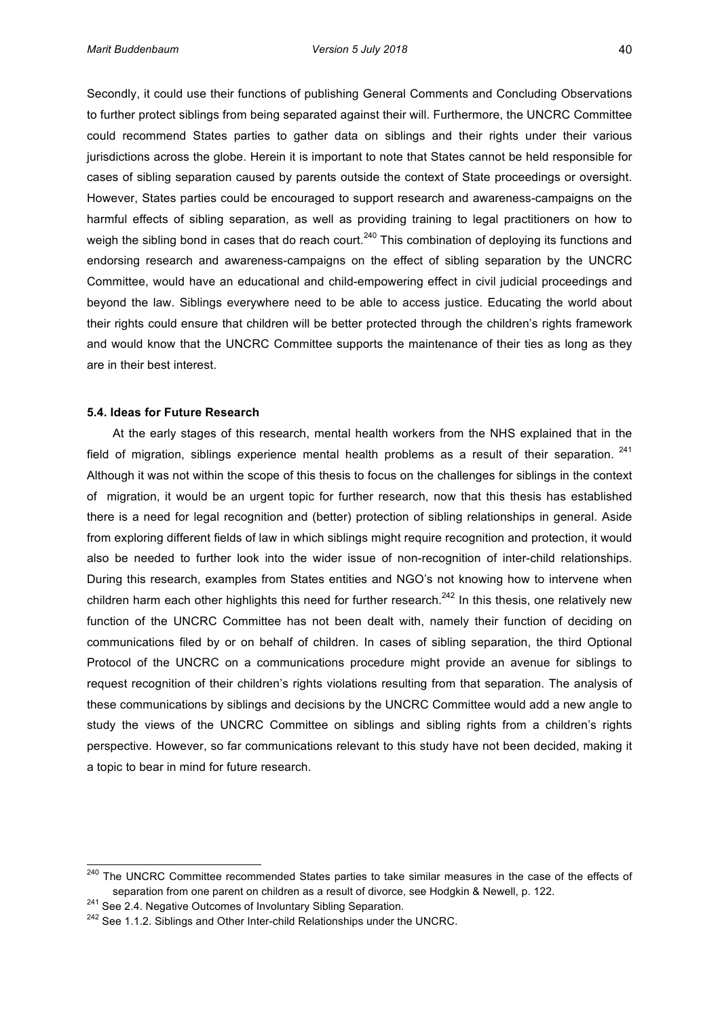Secondly, it could use their functions of publishing General Comments and Concluding Observations' to further protect siblings from being separated against their will. Furthermore, the UNCRC Committee could recommend States parties to gather data on siblings and their rights under their various jurisdictions across the globe. Herein it is important to note that States cannot be held responsible for cases of sibling separation caused by parents outside the context of State proceedings or oversight. However, States parties could be encouraged to support research and awareness-campaigns on the harmful effects of sibling separation, as well as providing training to legal practitioners on how to weigh the sibling bond in cases that do reach court.<sup>240</sup> This combination of deploying its functions and endorsing research and awareness-campaigns on the effect of sibling separation by the UNCRC Committee, would have an educational and child-empowering effect in civil judicial proceedings and beyond the law. Siblings everywhere need to be able to access justice. Educating the world about their rights could ensure that children will be better protected through the children's rights framework and would know that the UNCRC Committee supports the maintenance of their ties as long as they are in their best interest.

# **5.4. Ideas for Future Research**

At the early stages of this research, mental health workers from the NHS explained that in the field of migration, siblings experience mental health problems as a result of their separation.  $241$ Although it was not within the scope of this thesis to focus on the challenges for siblings in the context of migration, it would be an urgent topic for further research, now that this thesis has established there is a need for legal recognition and (better) protection of sibling relationships in general. Aside from exploring different fields of law in which siblings might require recognition and protection, it would also' be needed to further look into the wider issue of non-recognition of inter-child relationships. During this research, examples from States entities and NGO's not knowing how to intervene when' children harm each other highlights this need for further research.<sup>242</sup> In this thesis, one relatively new function of the UNCRC Committee has not been dealt with, namely their function of deciding on communications' filed by or on behalf' of children. In cases of sibling separation, the third Optional Protocol of the UNCRC on a communications procedure might provide an avenue for siblings to request recognition of their children's rights violations resulting from that separation. The analysis of these communications by siblings and decisions by the UNCRC Committee would add a new angle to study the views of the UNCRC Committee on siblings and sibling rights from a children's rights perspective. However, so far communications relevant to this study have not been decided, making it a topic to bear in mind for future research.

<sup>&</sup>lt;sup>240</sup> The UNCRC Committee recommended States parties to take similar measures in the case of the effects of separation from one parent on children as a result of divorce, see Hodgkin & Newell, p. 122.

 $241$  See 2.4. Negative Outcomes of Involuntary Sibling Separation.

<sup>&</sup>lt;sup>242</sup> See 1.1.2. Siblings and Other Inter-child Relationships under the UNCRC.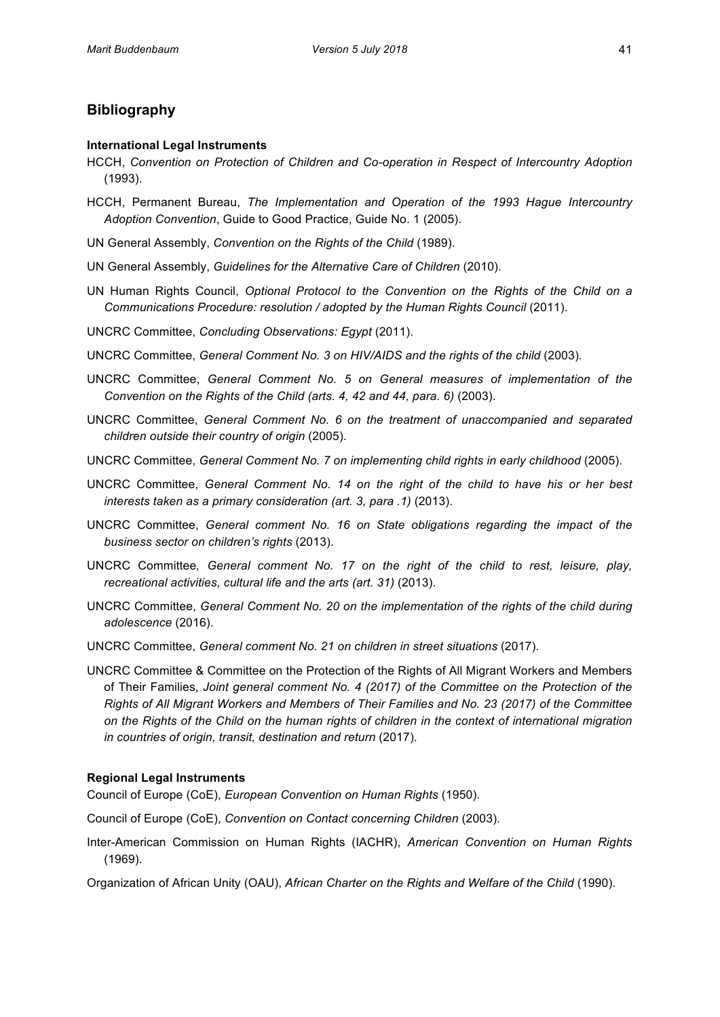# **Bibliography**

## **International Legal Instruments**

- HCCH, Convention on Protection of Children and Co-operation in Respect of Intercountry Adoption (1993).
- HCCH, Permanent Bureau, The Implementation and Operation of the 1993 Hague Intercountry Adoption Convention, Guide to Good Practice, Guide No. 1 (2005).
- UN General Assembly, *Convention on the Rights of the Child* (1989).
- UN'General Assembly, Guidelines for the Alternative Care of Children (2010).
- UN' Human' Rights' Council, *Optional Protocol to the Convention on the Rights of the Child on a Communications Procedure: resolution / adopted by the Human Rights Council (2011).*
- UNCRC Committee, *Concluding Observations: Egypt* (2011).
- UNCRC Committee, *General Comment No. 3 on HIV/AIDS and the rights of the child* (2003).
- UNCRC Committee, *General Comment No. 5 on General measures of implementation of the Convention on the Rights of the Child (arts. 4, 42 and 44, para. 6) (2003).*
- UNCRC Committee, General Comment No. 6 on the treatment of unaccompanied and separated *children&outside&their&country&of&origin* (2005).
- UNCRC Committee, *General Comment No. 7 on implementing child rights in early childhood* (2005).
- UNCRC Committee, *General Comment No. 14 on the right of the child to have his or her best interests taken as a primary consideration (art. 3, para .1)* (2013).
- UNCRC Committee, General comment No. 16 on State obligations regarding the impact of the *business sector on children's rights* (2013).
- UNCRC Committee, General comment No. 17 on the right of the child to rest, leisure, play, *recreational activities, cultural life and the arts (art. 31)* (2013).
- UNCRC Committee, *General Comment No. 20 on the implementation of the rights of the child during adolescence&*(2016).
- UNCRC Committee, *General comment No. 21 on children in street situations* (2017).
- UNCRC'Committee'&'Committee'on'the'Protection'of'the'Rights'of'All'Migrant'Workers'and'Members' of Their Families, Joint general comment No. 4 (2017) of the Committee on the Protection of the *Rights&of&All&Migrant&Workers&and&Members&of&Their&Families&and&No.&23&(2017)&of&the Committee& on&the&Rights&of&the&Child&on&the&human&rights&of&children&in&the&context&of international&migration& in countries of origin, transit, destination and return (2017).*

# **Regional Legal Instruments**

Council of Europe (CoE), *European Convention on Human Rights* (1950).

- Council of Europe (CoE), *Convention* on *Contact concerning Children* (2003).
- Inter-American' Commission' on Human Rights (IACHR), *American Convention on Human Rights* (1969).
- Organization of African Unity (OAU), *African Charter on the Rights and Welfare of the Child* (1990).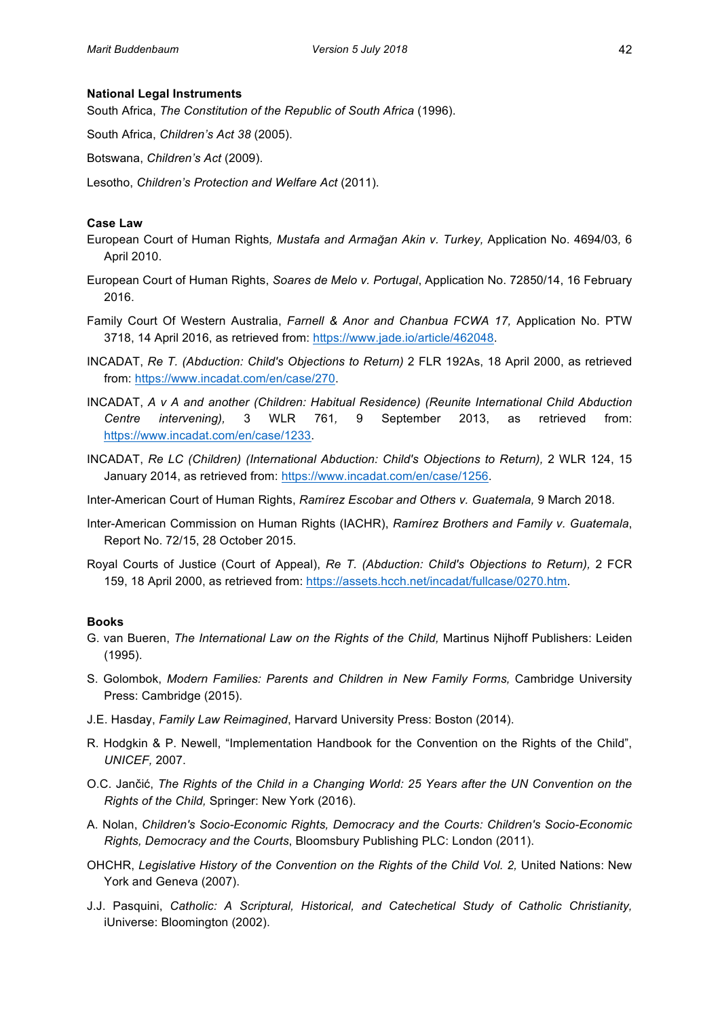# **National Legal Instruments**

South Africa, The Constitution of the Republic of South Africa (1996).

South Africa, *Children's Act 38* (2005).

Botswana, *Children's Act* (2009).

Lesotho, *Children's Protection and Welfare Act* (2011).

# **Case\$Law**

- European Court of Human Rights, Mustafa and Armağan Akin v. Turkey, Application No. 4694/03, 6 April 2010.
- European Court of Human Rights, *Soares de Melo v. Portugal*, Application No. 72850/14, 16 February 2016.'
- Family Court Of Western Australia, *Farnell & Anor and Chanbua FCWA 17*, Application No. PTW 3718, 14 April 2016, as retrieved from: https://www.jade.io/article/462048.
- INCADAT, *Re T. (Abduction: Child's Objections to Return)* 2 FLR 192As, 18 April 2000, as retrieved from: https://www.incadat.com/en/case/270.
- INCADAT, *A v A and another (Children: Habitual Residence) (Reunite International Child Abduction Centre& intervening),&* 3' WLR' 761*,&* 9' September' 2013,' as' retrieved' from:' https://www.incadat.com/en/case/1233.
- INCADAT, *Re LC (Children) (International Abduction: Child's Objections to Return), 2 WLR 124, 15* January 2014, as retrieved from: https://www.incadat.com/en/case/1256.
- Inter-American Court of Human Rights, Ramírez Escobar and Others v. Guatemala, 9 March 2018.
- Inter-American Commission on Human Rights (IACHR), *Ramírez Brothers and Family v. Guatemala*, Report No. 72/15, 28 October 2015.
- Royal Courts of Justice (Court of Appeal), Re T. (Abduction: Child's Objections to Return), 2 FCR 159, 18 April 2000, as retrieved from: https://assets.hcch.net/incadat/fullcase/0270.htm.

# **Books**

- G. van Bueren, *The International Law on the Rights of the Child, Martinus Nijhoff Publishers: Leiden* (1995).
- S. Golombok, *Modern Families: Parents and Children in New Family Forms*, Cambridge University Press: Cambridge (2015).
- J.E. Hasday, Family Law Reimagined, Harvard University Press: Boston (2014).
- R. Hodgkin & P. Newell, "Implementation Handbook for the Convention on the Rights of the Child", *UNICEF,&*2007.
- O.C. Jančić, *The Rights of the Child in a Changing World: 25 Years after the UN Convention on the Rights of the Child, Springer: New York (2016).*
- A. Nolan, Children's Socio-Economic Rights, Democracy and the Courts: Children's Socio-Economic *Rights, Democracy and the Courts, Bloomsbury Publishing PLC: London (2011).*
- OHCHR, Legislative History of the Convention on the Rights of the Child Vol. 2, United Nations: New York and Geneva (2007).
- J.J. Pasquini, *Catholic: A Scriptural, Historical, and Catechetical Study of Catholic Christianity,* iUniverse: Bloomington (2002).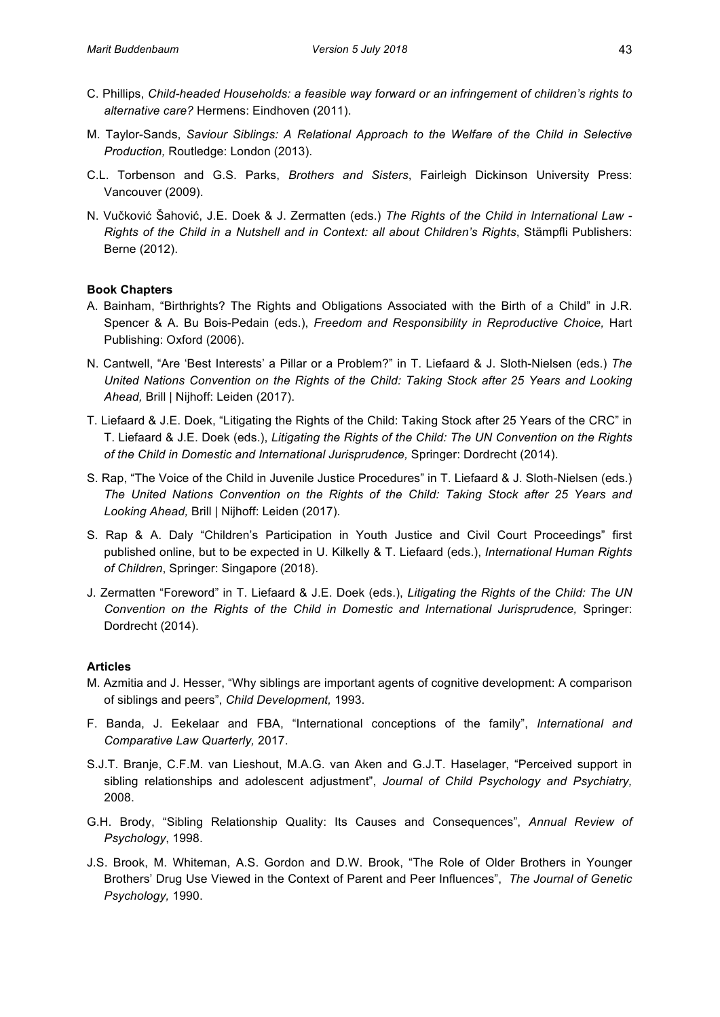- C. Phillips, *Child-headed Households: a feasible way forward or an infringement of children's rights to* alternative care? Hermens: Eindhoven (2011).
- M. Taylor-Sands, Saviour Siblings: A Relational Approach to the Welfare of the Child in Selective *Production, Routledge: London (2013).*
- C.L. Torbenson and G.S. Parks, *Brothers and Sisters*, Fairleigh Dickinson University Press: Vancouver (2009).
- N. Vučković Šahović, J.E. Doek & J. Zermatten (eds.) The Rights of the Child in International Law -*Rights of the Child in a Nutshell and in Context: all about Children's Rights, Stämpfli Publishers:* Berne (2012).

# **Book Chapters**

- A. Bainham, "Birthrights? The Rights and Obligations Associated with the Birth of a Child" in J.R. Spencer & A. Bu Bois-Pedain (eds.), *Freedom and Responsibility in Reproductive Choice, Hart* Publishing: Oxford (2006).
- N. Cantwell, "Are 'Best Interests' a Pillar or a Problem?" in T. Liefaard & J. Sloth-Nielsen (eds.) The *United Nations Convention on the Rights of the Child: Taking Stock after 25 Years and Looking Ahead, Brill | Nijhoff: Leiden (2017).*
- T. Liefaard & J.E. Doek, "Litigating the Rights of the Child: Taking Stock after 25 Years of the CRC" in T. Liefaard & J.E. Doek (eds.), *Litigating the Rights of the Child: The UN Convention on the Rights of the Child in Domestic and International Jurisprudence, Springer: Dordrecht (2014).*
- S. Rap, "The Voice of the Child in Juvenile Justice Procedures" in T. Liefaard & J. Sloth-Nielsen (eds.) The United Nations Convention on the Rights of the Child: Taking Stock after 25 Years and Looking Ahead, Brill | Nijhoff: Leiden (2017).
- S. Rap & A. Daly "Children's Participation in Youth Justice and Civil Court Proceedings" first published online, but to be expected in U. Kilkelly & T. Liefaard (eds.), *International Human Rights* of Children, Springer: Singapore (2018).
- J. Zermatten "Foreword" in T. Liefaard & J.E. Doek (eds.), *Litigating the Rights of the Child: The UN Convention on the Rights of the Child in Domestic and International Jurisprudence, Springer:* Dordrecht (2014).

# **Articles**

- M. Azmitia and J. Hesser, "Why siblings are important agents of cognitive development: A comparison of siblings and peers", Child Development, 1993.
- F. Banda, J. Eekelaar and FBA, "International conceptions of the family", *International and Comparative&Law&Quarterly,&*2017.
- S.J.T. Branje, C.F.M. van Lieshout, M.A.G. van Aken and G.J.T. Haselager, "Perceived support in sibling relationships and adolescent adjustment", *Journal of Child Psychology and Psychiatry*, 2008.
- G.H. Brody, "Sibling Relationship Quality: Its Causes and Consequences", *Annual Review of* Psychology, 1998.
- J.S. Brook, M. Whiteman, A.S. Gordon and D.W. Brook, "The Role of Older Brothers in Younger Brothers' Drug Use Viewed in the Context of Parent and Peer Influences", The Journal of Genetic *Psychology,* 1990.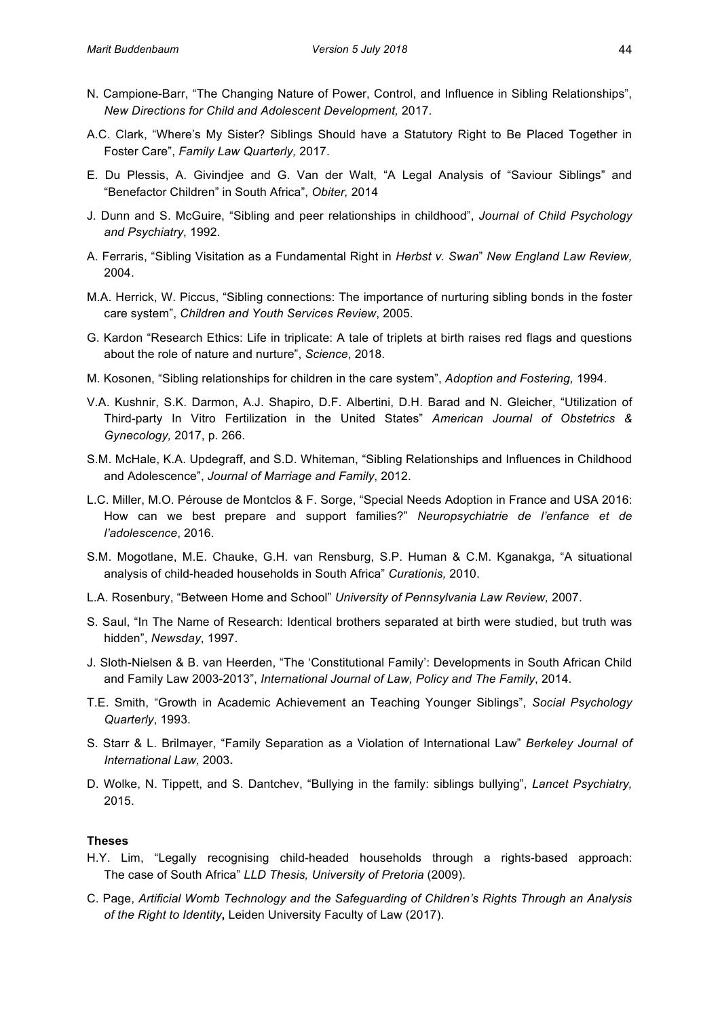- N. Campione-Barr, "The Changing Nature of Power, Control, and Influence in Sibling Relationships", *New&Directions&for&Child&and&Adolescent&Development,&*2017.
- A.C. Clark, "Where's My Sister? Siblings Should have a Statutory Right to Be Placed Together in Foster Care", Family Law Quarterly, 2017.
- E. Du Plessis, A. Givindjee and G. Van der Walt, "A Legal Analysis of "Saviour Siblings" and "Benefactor Children" in South Africa", Obiter, 2014
- J. Dunn and S. McGuire, "Sibling and peer relationships in childhood", *Journal of Child Psychology* and Psychiatry, 1992.
- A. Ferraris, "Sibling Visitation as a Fundamental Right in *Herbst v. Swan*" *New England Law Review,* 2004.
- M.A. Herrick, W. Piccus, "Sibling connections: The importance of nurturing sibling bonds in the foster care system", Children and Youth Services Review, 2005.
- G. Kardon "Research Ethics: Life in triplicate: A tale of triplets at birth raises red flags and questions about the role of nature and nurture", *Science*, 2018.
- M. Kosonen, "Sibling relationships for children in the care system", *Adoption and Fostering*, 1994.
- V.A. Kushnir, S.K. Darmon, A.J. Shapiro, D.F. Albertini, D.H. Barad and N. Gleicher, "Utilization of Third-party In Vitro Fertilization in the United States" American Journal of Obstetrics & *Gynecology, 2017, p. 266.*
- S.M. McHale, K.A. Updegraff, and S.D. Whiteman, "Sibling Relationships and Influences in Childhood and Adolescence", Journal of Marriage and Family, 2012.
- L.C. Miller, M.O. Pérouse de Montclos & F. Sorge, "Special Needs Adoption in France and USA 2016: How can we best prepare and support families?" *Neuropsychiatrie de l'enfance et de* l'adolescence, 2016.
- S.M. Mogotlane, M.E. Chauke, G.H. van Rensburg, S.P. Human & C.M. Kganakga, "A situational analysis of child-headed households in South Africa" Curationis, 2010.
- L.A. Rosenbury, "Between Home and School" University of Pennsylvania Law Review, 2007.
- S. Saul, "In The Name of Research: Identical brothers separated at birth were studied, but truth was hidden", Newsday, 1997.
- J. Sloth-Nielsen & B. van Heerden, "The 'Constitutional Family': Developments in South African Child and Family Law 2003-2013", *International Journal of Law, Policy and The Family*, 2014.
- T.E. Smith, "Growth in Academic Achievement an Teaching Younger Siblings", Social Psychology **Quarterly**, 1993.
- S. Starr & L. Brilmayer, "Family Separation as a Violation of International Law" Berkeley Journal of *International&Law,&*2003**.**
- D. Wolke, N. Tippett, and S. Dantchev, "Bullying in the family: siblings bullying", *Lancet Psychiatry,* 2015.

# **Theses**

- H.Y. Lim, "Legally recognising child-headed households through a rights-based approach: The case of South Africa" *LLD Thesis, University of Pretoria* (2009).
- C. Page, *Artificial Womb Technology and the Safeguarding of Children's Rights Through an Analysis* of the Right to Identity, Leiden University Faculty of Law (2017).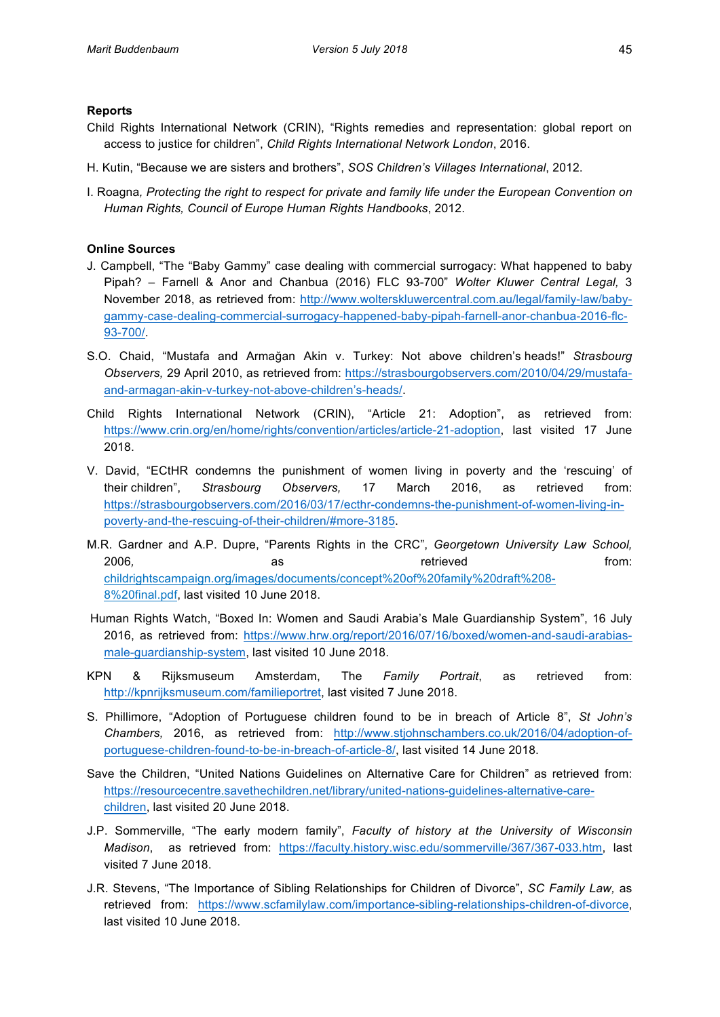# **Reports**

- Child Rights International Network (CRIN), "Rights remedies and representation: global report on access to justice for children", *Child Rights International Network London*, 2016.
- H. Kutin, "Because we are sisters and brothers", *SOS Children's Villages International*, 2012.
- I. Roagna, Protecting the right to respect for private and family life under the European Convention on *Human&Rights,&Council&of&Europe&Human&Rights&Handbooks*,'2012.

# **Online Sources**

- J. Campbell, "The "Baby Gammy" case dealing with commercial surrogacy: What happened to baby Pipah? – Farnell & Anor and Chanbua (2016) FLC 93-700" Wolter Kluwer Central Legal, 3 November 2018, as retrieved from: http://www.wolterskluwercentral.com.au/legal/family-law/babygammy-case-dealing-commercial-surrogacy-happened-baby-pipah-farnell-anor-chanbua-2016-flc-93-700/.
- S.O.' Chaid,' "Mustafa' and' Armağan' Akin' v.' Turkey:' Not' above' children's heads!"' *Strasbourg&* Observers, 29 April 2010, as retrieved from: https://strasbourgobservers.com/2010/04/29/mustafaand-armagan-akin-v-turkey-not-above-children's-heads/.
- Child Rights International Network (CRIN), "Article 21: Adoption", as retrieved from: https://www.crin.org/en/home/rights/convention/articles/article-21-adoption, last visited 17 June 2018.
- V. David, "ECtHR condemns the punishment of women living in poverty and the 'rescuing' of their children",' *Strasbourg& Observers,&* 17' March' 2016, as' retrieved' from:' https://strasbourgobservers.com/2016/03/17/ecthr-condemns-the-punishment-of-women-living-inpoverty-and-the-rescuing-of-their-children/#more-3185.
- M.R. Gardner and A.P. Dupre, "Parents Rights in the CRC", Georgetown University Law School, 2006*,* as' retrieved' from:' childrightscampaign.org/images/documents/concept%20of%20family%20draft%208? 8%20final.pdf, last visited 10 June 2018.
- Human Rights Watch, "Boxed In: Women and Saudi Arabia's Male Guardianship System", 16 July 2016, as retrieved from: https://www.hrw.org/report/2016/07/16/boxed/women-and-saudi-arabiasmale-guardianship-system, last visited 10 June 2018.
- KPN & Rijksmuseum Amsterdam, The *Family Portrait*, as retrieved from: http://kpnrijksmuseum.com/familieportret, last visited 7 June 2018.
- S. Phillimore, "Adoption of Portuguese children found to be in breach of Article 8", St John's Chambers, 2016, as retrieved from: http://www.stjohnschambers.co.uk/2016/04/adoption-ofportuguese-children-found-to-be-in-breach-of-article-8/, last visited 14 June 2018.
- Save the Children, "United Nations Guidelines on Alternative Care for Children" as retrieved from: https://resourcecentre.savethechildren.net/library/united-nations-guidelines-alternative-carechildren, last visited 20 June 2018.
- J.P. Sommerville, "The early modern family", *Faculty of history at the University of Wisconsin Madison*, as retrieved from: https://faculty.history.wisc.edu/sommerville/367/367-033.htm, last visited 7 June 2018.
- J.R. Stevens, "The Importance of Sibling Relationships for Children of Divorce", *SC Family Law,* as retrieved from: https://www.scfamilylaw.com/importance-sibling-relationships-children-of-divorce, last visited 10 June 2018.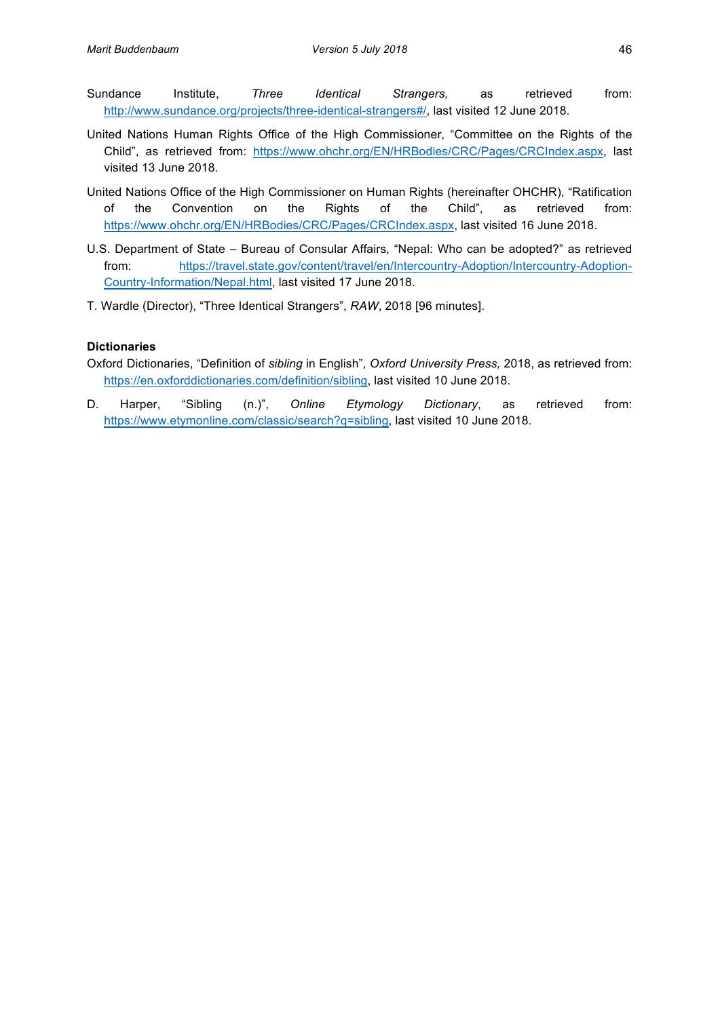- Sundance Institute, *Three Identical Strangers,* as retrieved from: http://www.sundance.org/projects/three-identical-strangers#/, last visited 12 June 2018.
- United Nations' Human Rights' Office of the High Commissioner, "Committee on the Rights of the Child", as retrieved from: https://www.ohchr.org/EN/HRBodies/CRC/Pages/CRCIndex.aspx, last visited 13 June 2018.
- United Nations Office of the High Commissioner on Human Rights (hereinafter OHCHR), "Ratification' of the Convention on the Rights of the Child", as retrieved from: https://www.ohchr.org/EN/HRBodies/CRC/Pages/CRCIndex.aspx, last visited 16 June 2018.
- U.S. Department of State Bureau of Consular Affairs, "Nepal: Who can be adopted?" as retrieved from: https://travel.state.gov/content/travel/en/Intercountry-Adoption/Intercountry-Adoption-Country-Information/Nepal.html, last visited 17 June 2018.
- T. Wardle (Director), "Three Identical Strangers",  $RAW$ , 2018 [96 minutes].

# **Dictionaries\$**

- Oxford Dictionaries, "Definition of *sibling* in English", Oxford University Press, 2018, as retrieved from: https://en.oxforddictionaries.com/definition/sibling, last visited 10 June 2018.
- D. Harper, "Sibling (n.)", Online Etymology Dictionary, as retrieved from: https://www.etymonline.com/classic/search?q=sibling, last visited 10 June 2018.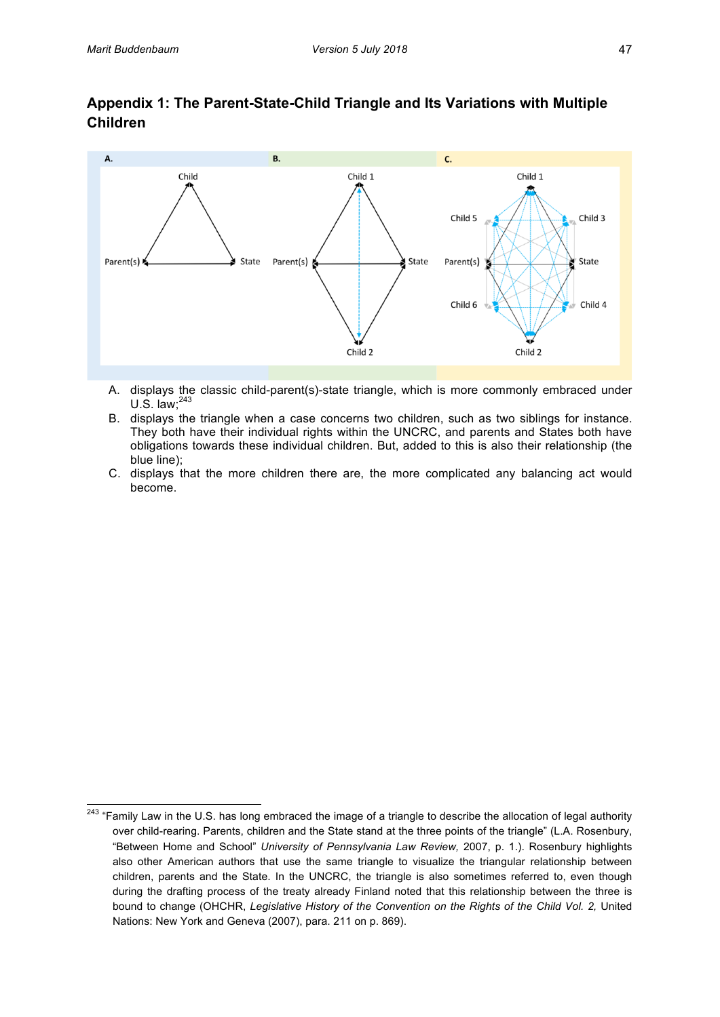# Appendix 1: The Parent-State-Child Triangle and Its Variations with Multiple **Children**



- A. displays the classic child-parent(s)-state triangle, which is more commonly embraced under U.S. law; $^{243}$
- B. displays the triangle when a case concerns two children, such as two siblings for instance. They both have their individual rights within the UNCRC, and parents and States both have obligations towards these individual children. But, added to this is also their relationship (the blue line);
- C. displays that the more children there are, the more complicated any balancing act would become.

<sup>&</sup>lt;sup>243</sup> "Family Law in the U.S. has long embraced the image of a triangle to describe the allocation of legal authority over child-rearing. Parents, children and the State stand at the three points of the triangle" (L.A. Rosenbury, "Between Home and School" University of Pennsylvania Law Review, 2007, p. 1.). Rosenbury highlights also other American authors that use the same triangle to visualize the triangular relationship between' children, parents and the State. In the UNCRC, the triangle is also sometimes referred to, even though during the drafting process of the treaty already Finland noted that this relationship between the three is bound to change (OHCHR, Legislative History of the Convention on the Rights of the Child Vol. 2, United Nations: New York and Geneva (2007), para. 211 on p. 869).